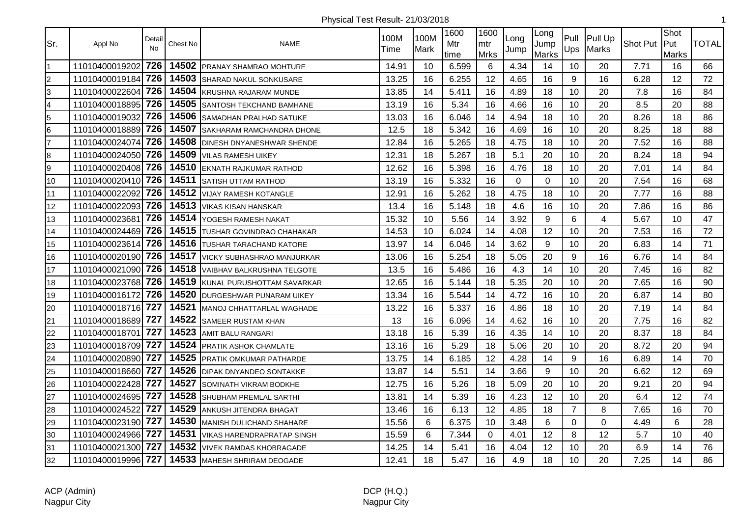| Sr.                     | Appl No            | Detail<br><b>No</b> | Chest No | <b>NAME</b>                       | 100M<br>Time | 100M<br>Mark | 1600<br>Mtr<br>time | 1600<br>mtr<br><b>Mrks</b> | Long<br>Jump | Long<br>Jump<br>Marks | Pull<br>Ups    | Pull Up<br>Marks        | Shot Put | Shot<br>lPut<br><b>Marks</b> | <b>TOTAL</b> |
|-------------------------|--------------------|---------------------|----------|-----------------------------------|--------------|--------------|---------------------|----------------------------|--------------|-----------------------|----------------|-------------------------|----------|------------------------------|--------------|
| $\mathbf{1}$            | 11010400019202     | 726                 | 14502    | <b>PRANAY SHAMRAO MOHTURE</b>     | 14.91        | 10           | 6.599               | 6                          | 4.34         | 14                    | 10             | 20                      | 7.71     | 16                           | 66           |
| $\overline{c}$          | 11010400019184     | 726                 | 14503    | <b>SHARAD NAKUL SONKUSARE</b>     | 13.25        | 16           | 6.255               | 12                         | 4.65         | 16                    | 9              | 16                      | 6.28     | 12                           | 72           |
| 3                       | 11010400022604 726 |                     | 14504    | KRUSHNA RAJARAM MUNDE             | 13.85        | 14           | 5.411               | 16                         | 4.89         | 18                    | 10             | 20                      | 7.8      | 16                           | 84           |
| $\overline{\mathbf{4}}$ | 11010400018895 726 |                     | 14505    | SANTOSH TEKCHAND BAMHANE          | 13.19        | 16           | 5.34                | 16                         | 4.66         | 16                    | 10             | 20                      | 8.5      | 20                           | 88           |
| 5                       | 11010400019032     | 726                 | 14506    | SAMADHAN PRALHAD SATUKE           | 13.03        | 16           | 6.046               | 14                         | 4.94         | 18                    | 10             | 20                      | 8.26     | 18                           | 86           |
| 6                       | 11010400018889     | 726                 | 14507    | SAKHARAM RAMCHANDRA DHONE         | 12.5         | 18           | 5.342               | 16                         | 4.69         | 16                    | 10             | 20                      | 8.25     | 18                           | 88           |
| $\overline{7}$          | 11010400024074     | 726                 | 14508    | DINESH DNYANESHWAR SHENDE         | 12.84        | 16           | 5.265               | 18                         | 4.75         | 18                    | 10             | 20                      | 7.52     | 16                           | 88           |
| 8                       | 11010400024050 726 |                     | 14509    | <b>VILAS RAMESH UIKEY</b>         | 12.31        | 18           | 5.267               | 18                         | 5.1          | 20                    | 10             | 20                      | 8.24     | 18                           | 94           |
| 9                       | 11010400020408 726 |                     | 14510    | <b>EKNATH RAJKUMAR RATHOD</b>     | 12.62        | 16           | 5.398               | 16                         | 4.76         | 18                    | 10             | 20                      | 7.01     | 14                           | 84           |
| 10                      | 11010400020410 726 |                     | 14511    | SATISH UTTAM RATHOD               | 13.19        | 16           | 5.332               | 16                         | 0            | $\Omega$              | 10             | 20                      | 7.54     | 16                           | 68           |
| 11                      | 11010400022092     | 726                 | 14512    | <b>VIJAY RAMESH KOTANGLE</b>      | 12.91        | 16           | 5.262               | 18                         | 4.75         | 18                    | 10             | 20                      | 7.77     | 16                           | 88           |
| 12                      | 11010400022093     | 726                 | 14513    | <b>VIKAS KISAN HANSKAR</b>        | 13.4         | 16           | 5.148               | 18                         | 4.6          | 16                    | 10             | 20                      | 7.86     | 16                           | 86           |
| 13                      | 11010400023681     | 726                 | 14514    | YOGESH RAMESH NAKAT               | 15.32        | 10           | 5.56                | 14                         | 3.92         | 9                     | 6              | $\overline{\mathbf{4}}$ | 5.67     | 10                           | 47           |
| 14                      | 11010400024469 726 |                     | 14515    | TUSHAR GOVINDRAO CHAHAKAR         | 14.53        | 10           | 6.024               | 14                         | 4.08         | 12                    | 10             | 20                      | 7.53     | 16                           | 72           |
| 15                      | 11010400023614 726 |                     | 14516    | <b>TUSHAR TARACHAND KATORE</b>    | 13.97        | 14           | 6.046               | 14                         | 3.62         | 9                     | 10             | 20                      | 6.83     | 14                           | 71           |
| 16                      | 11010400020190 726 |                     | 14517    | VICKY SUBHASHRAO MANJURKAR        | 13.06        | 16           | 5.254               | 18                         | 5.05         | 20                    | 9              | 16                      | 6.76     | 14                           | 84           |
| 17                      | 11010400021090 726 |                     | 14518    | VAIBHAV BALKRUSHNA TELGOTE        | 13.5         | 16           | 5.486               | 16                         | 4.3          | 14                    | 10             | 20                      | 7.45     | 16                           | 82           |
| 18                      | 11010400023768 726 |                     | 14519    | KUNAL PURUSHOTTAM SAVARKAR        | 12.65        | 16           | 5.144               | 18                         | 5.35         | 20                    | 10             | 20                      | 7.65     | 16                           | 90           |
| 19                      | 11010400016172     | 726                 | 14520    | DURGESHWAR PUNARAM UIKEY          | 13.34        | 16           | 5.544               | 14                         | 4.72         | 16                    | 10             | 20                      | 6.87     | 14                           | 80           |
| 20                      | 11010400018716 727 |                     | 14521    | <b>IMANOJ CHHATTARLAL WAGHADE</b> | 13.22        | 16           | 5.337               | 16                         | 4.86         | 18                    | 10             | 20                      | 7.19     | 14                           | 84           |
| 21                      | 11010400018689 727 |                     | 14522    | SAMEER RUSTAM KHAN                | 13           | 16           | 6.096               | 14                         | 4.62         | 16                    | 10             | 20                      | 7.75     | 16                           | 82           |
| 22                      | 11010400018701     | 727                 | 14523    | <b>AMIT BALU RANGARI</b>          | 13.18        | 16           | 5.39                | 16                         | 4.35         | 14                    | 10             | 20                      | 8.37     | 18                           | 84           |
| 23                      | 11010400018709     | 727                 | 14524    | <b>PRATIK ASHOK CHAMLATE</b>      | 13.16        | 16           | 5.29                | 18                         | 5.06         | 20                    | 10             | 20                      | 8.72     | 20                           | 94           |
| 24                      | 11010400020890     | 727                 | 14525    | PRATIK OMKUMAR PATHARDE           | 13.75        | 14           | 6.185               | 12                         | 4.28         | 14                    | 9              | 16                      | 6.89     | 14                           | 70           |
| 25                      | 11010400018660 727 |                     | 14526    | <b>DIPAK DNYANDEO SONTAKKE</b>    | 13.87        | 14           | 5.51                | 14                         | 3.66         | 9                     | 10             | 20                      | 6.62     | 12                           | 69           |
| 26                      | 11010400022428 727 |                     | 14527    | SOMINATH VIKRAM BODKHE            | 12.75        | 16           | 5.26                | 18                         | 5.09         | 20                    | 10             | 20                      | 9.21     | 20                           | 94           |
| 27                      | 11010400024695 727 |                     | 14528    | SHUBHAM PREMLAL SARTHI            | 13.81        | 14           | 5.39                | 16                         | 4.23         | 12                    | 10             | 20                      | 6.4      | 12                           | 74           |
| 28                      | 11010400024522     | 727                 | 14529    | ANKUSH JITENDRA BHAGAT            | 13.46        | 16           | 6.13                | 12                         | 4.85         | 18                    | $\overline{7}$ | 8                       | 7.65     | 16                           | 70           |
| 29                      | 11010400023190 727 |                     | 14530    | MANISH DULICHAND SHAHARE          | 15.56        | 6            | 6.375               | 10                         | 3.48         | 6                     | $\mathbf 0$    | 0                       | 4.49     | 6                            | 28           |
| 30                      | 11010400024966 727 |                     | 14531    | VIKAS HARENDRAPRATAP SINGH        | 15.59        | 6            | 7.344               | $\Omega$                   | 4.01         | 12                    | 8              | 12                      | 5.7      | 10                           | 40           |
| 31                      | 11010400021300 727 |                     | 14532    | <b>VIVEK RAMDAS KHOBRAGADE</b>    | 14.25        | 14           | 5.41                | 16                         | 4.04         | 12                    | 10             | 20                      | 6.9      | 14                           | 76           |
| 32                      | 11010400019996 727 |                     |          | 14533 MAHESH SHRIRAM DEOGADE      | 12.41        | 18           | 5.47                | 16                         | 4.9          | 18                    | 10             | 20                      | 7.25     | 14                           | 86           |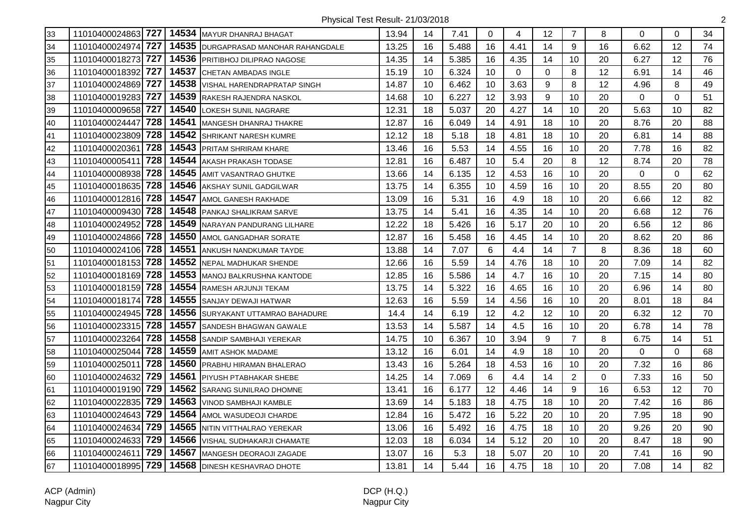| 33 | 11010400024863 727    |       | 14534 MAYUR DHANRAJ BHAGAT         | 13.94 | 14 | 7.41  | $\Omega$ | 4           | 12          | $\overline{7}$ | 8  | $\Omega$    | $\Omega$ | 34 |
|----|-----------------------|-------|------------------------------------|-------|----|-------|----------|-------------|-------------|----------------|----|-------------|----------|----|
| 34 | 727<br>11010400024974 | 14535 | DURGAPRASAD MANOHAR RAHANGDALE     | 13.25 | 16 | 5.488 | 16       | 4.41        | 14          | 9              | 16 | 6.62        | 12       | 74 |
| 35 | 727<br>11010400018273 | 14536 | <b>PRITIBHOJ DILIPRAO NAGOSE</b>   | 14.35 | 14 | 5.385 | 16       | 4.35        | 14          | 10             | 20 | 6.27        | 12       | 76 |
| 36 | 727<br>11010400018392 | 14537 | <b>CHETAN AMBADAS INGLE</b>        | 15.19 | 10 | 6.324 | 10       | $\mathbf 0$ | $\mathbf 0$ | 8              | 12 | 6.91        | 14       | 46 |
| 37 | 11010400024869 727    | 14538 | <b>VISHAL HARENDRAPRATAP SINGH</b> | 14.87 | 10 | 6.462 | 10       | 3.63        | 9           | 8              | 12 | 4.96        | 8        | 49 |
| 38 | 11010400019283 727    | 14539 | <b>RAKESH RAJENDRA NASKOL</b>      | 14.68 | 10 | 6.227 | 12       | 3.93        | 9           | 10             | 20 | 0           | $\Omega$ | 51 |
| 39 | 11010400009658 727    | 14540 | LOKESH SUNIL NAGRARE               | 12.31 | 18 | 5.037 | 20       | 4.27        | 14          | 10             | 20 | 5.63        | 10       | 82 |
| 40 | 728<br>11010400024447 | 14541 | MANGESH DHANRAJ THAKRE             | 12.87 | 16 | 6.049 | 14       | 4.91        | 18          | 10             | 20 | 8.76        | 20       | 88 |
| 41 | 11010400023809 728    | 14542 | SHRIKANT NARESH KUMRE              | 12.12 | 18 | 5.18  | 18       | 4.81        | 18          | 10             | 20 | 6.81        | 14       | 88 |
| 42 | 728<br>11010400020361 | 14543 | <b>PRITAM SHRIRAM KHARE</b>        | 13.46 | 16 | 5.53  | 14       | 4.55        | 16          | 10             | 20 | 7.78        | 16       | 82 |
| 43 | 728<br>11010400005411 | 14544 | AKASH PRAKASH TODASE               | 12.81 | 16 | 6.487 | 10       | 5.4         | 20          | 8              | 12 | 8.74        | 20       | 78 |
| 44 | 728<br>11010400008938 | 14545 | <b>AMIT VASANTRAO GHUTKE</b>       | 13.66 | 14 | 6.135 | 12       | 4.53        | 16          | 10             | 20 | $\mathbf 0$ | 0        | 62 |
| 45 | 11010400018635 728    |       | 14546 AKSHAY SUNIL GADGILWAR       | 13.75 | 14 | 6.355 | 10       | 4.59        | 16          | 10             | 20 | 8.55        | 20       | 80 |
| 46 | 11010400012816 728    |       | 14547 AMOL GANESH RAKHADE          | 13.09 | 16 | 5.31  | 16       | 4.9         | 18          | 10             | 20 | 6.66        | 12       | 82 |
| 47 | 11010400009430 728    | 14548 | <b>PANKAJ SHALIKRAM SARVE</b>      | 13.75 | 14 | 5.41  | 16       | 4.35        | 14          | 10             | 20 | 6.68        | 12       | 76 |
| 48 | 728<br>11010400024952 | 14549 | NARAYAN PANDURANG LILHARE          | 12.22 | 18 | 5.426 | 16       | 5.17        | 20          | 10             | 20 | 6.56        | 12       | 86 |
| 49 | 11010400024866 728    | 14550 | AMOL GANGADHAR SORATE              | 12.87 | 16 | 5.458 | 16       | 4.45        | 14          | 10             | 20 | 8.62        | 20       | 86 |
| 50 | 11010400024106 728    | 14551 | ANKUSH NANDKUMAR TAYDE             | 13.88 | 14 | 7.07  | 6        | 4.4         | 14          | $\overline{7}$ | 8  | 8.36        | 18       | 60 |
| 51 | 728<br>11010400018153 | 14552 | <b>NEPAL MADHUKAR SHENDE</b>       | 12.66 | 16 | 5.59  | 14       | 4.76        | 18          | 10             | 20 | 7.09        | 14       | 82 |
| 52 | 11010400018169 728    | 14553 | MANOJ BALKRUSHNA KANTODE           | 12.85 | 16 | 5.586 | 14       | 4.7         | 16          | 10             | 20 | 7.15        | 14       | 80 |
| 53 | 11010400018159 728    |       | 14554 RAMESH ARJUNJI TEKAM         | 13.75 | 14 | 5.322 | 16       | 4.65        | 16          | 10             | 20 | 6.96        | 14       | 80 |
| 54 | 728<br>11010400018174 | 14555 | <b>SANJAY DEWAJI HATWAR</b>        | 12.63 | 16 | 5.59  | 14       | 4.56        | 16          | 10             | 20 | 8.01        | 18       | 84 |
| 55 | 11010400024945 728    | 14556 | <b>SURYAKANT UTTAMRAO BAHADURE</b> | 14.4  | 14 | 6.19  | 12       | 4.2         | 12          | 10             | 20 | 6.32        | 12       | 70 |
| 56 | 11010400023315 728    | 14557 | <b>SANDESH BHAGWAN GAWALE</b>      | 13.53 | 14 | 5.587 | 14       | 4.5         | 16          | 10             | 20 | 6.78        | 14       | 78 |
| 57 | 728<br>11010400023264 | 14558 | SANDIP SAMBHAJI YEREKAR            | 14.75 | 10 | 6.367 | 10       | 3.94        | 9           | $\overline{7}$ | 8  | 6.75        | 14       | 51 |
| 58 | 728<br>11010400025044 | 14559 | <b>AMIT ASHOK MADAME</b>           | 13.12 | 16 | 6.01  | 14       | 4.9         | 18          | 10             | 20 | 0           | 0        | 68 |
| 59 | 728<br>1101040002501  | 14560 | <b>PRABHU HIRAMAN BHALERAO</b>     | 13.43 | 16 | 5.264 | 18       | 4.53        | 16          | 10             | 20 | 7.32        | 16       | 86 |
| 60 | 729<br>11010400024632 |       | 14561 PIYUSH PTABHAKAR SHEBE       | 14.25 | 14 | 7.069 | 6        | 4.4         | 14          | $\overline{2}$ | 0  | 7.33        | 16       | 50 |
| 61 | 11010400019190 729    |       | 14562 SARANG SUNILRAO DHOMNE       | 13.41 | 16 | 6.177 | 12       | 4.46        | 14          | 9              | 16 | 6.53        | 12       | 70 |
| 62 | 11010400022835 729    | 14563 | <b>VINOD SAMBHAJI KAMBLE</b>       | 13.69 | 14 | 5.183 | 18       | 4.75        | 18          | 10             | 20 | 7.42        | 16       | 86 |
| 63 | 11010400024643 729    | 14564 | AMOL WASUDEOJI CHARDE              | 12.84 | 16 | 5.472 | 16       | 5.22        | 20          | 10             | 20 | 7.95        | 18       | 90 |
| 64 | 11010400024634 729    | 14565 | NITIN VITTHALRAO YEREKAR           | 13.06 | 16 | 5.492 | 16       | 4.75        | 18          | 10             | 20 | 9.26        | 20       | 90 |
| 65 | 729<br>11010400024633 | 14566 | VISHAL SUDHAKARJI CHAMATE          | 12.03 | 18 | 6.034 | 14       | 5.12        | 20          | 10             | 20 | 8.47        | 18       | 90 |
| 66 | 729<br>11010400024611 | 14567 | MANGESH DEORAOJI ZAGADE            | 13.07 | 16 | 5.3   | 18       | 5.07        | 20          | 10             | 20 | 7.41        | 16       | 90 |
| 67 | 11010400018995 729    |       | 14568 DINESH KESHAVRAO DHOTE       | 13.81 | 14 | 5.44  | 16       | 4.75        | 18          | 10             | 20 | 7.08        | 14       | 82 |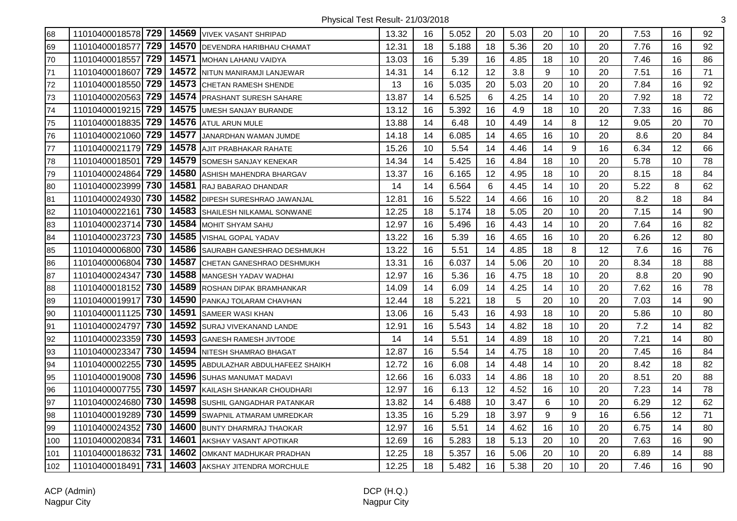| 68  | 11010400018578 729 |     | 14569 | <b>VIVEK VASANT SHRIPAD</b>   | 13.32 | 16 | 5.052 | 20 | 5.03 | 20 | 10 | 20 | 7.53 | 16 | 92 |
|-----|--------------------|-----|-------|-------------------------------|-------|----|-------|----|------|----|----|----|------|----|----|
| 69  | 11010400018577     | 729 | 14570 | DEVENDRA HARIBHAU CHAMAT      | 12.31 | 18 | 5.188 | 18 | 5.36 | 20 | 10 | 20 | 7.76 | 16 | 92 |
| 70  | 11010400018557     | 729 | 14571 | MOHAN LAHANU VAIDYA           | 13.03 | 16 | 5.39  | 16 | 4.85 | 18 | 10 | 20 | 7.46 | 16 | 86 |
| 71  | 11010400018607     | 729 | 14572 | NITUN MANIRAMJI LANJEWAR      | 14.31 | 14 | 6.12  | 12 | 3.8  | 9  | 10 | 20 | 7.51 | 16 | 71 |
| 72  | 11010400018550     | 729 | 14573 | <b>CHETAN RAMESH SHENDE</b>   | 13    | 16 | 5.035 | 20 | 5.03 | 20 | 10 | 20 | 7.84 | 16 | 92 |
| 73  | 11010400020563     | 729 | 14574 | <b>PRASHANT SURESH SAHARE</b> | 13.87 | 14 | 6.525 | 6  | 4.25 | 14 | 10 | 20 | 7.92 | 18 | 72 |
| 74  | 11010400019215 729 |     | 14575 | UMESH SANJAY BURANDE          | 13.12 | 16 | 5.392 | 16 | 4.9  | 18 | 10 | 20 | 7.33 | 16 | 86 |
| 75  | 11010400018835 729 |     | 14576 | <b>ATUL ARUN MULE</b>         | 13.88 | 14 | 6.48  | 10 | 4.49 | 14 | 8  | 12 | 9.05 | 20 | 70 |
| 76  | 11010400021060 729 |     | 14577 | JANARDHAN WAMAN JUMDE         | 14.18 | 14 | 6.085 | 14 | 4.65 | 16 | 10 | 20 | 8.6  | 20 | 84 |
| 77  | 11010400021179     | 729 | 14578 | AJIT PRABHAKAR RAHATE         | 15.26 | 10 | 5.54  | 14 | 4.46 | 14 | 9  | 16 | 6.34 | 12 | 66 |
| 78  | 11010400018501     | 729 | 14579 | SOMESH SANJAY KENEKAR         | 14.34 | 14 | 5.425 | 16 | 4.84 | 18 | 10 | 20 | 5.78 | 10 | 78 |
| 79  | 11010400024864     | 729 | 14580 | ASHISH MAHENDRA BHARGAV       | 13.37 | 16 | 6.165 | 12 | 4.95 | 18 | 10 | 20 | 8.15 | 18 | 84 |
| 80  | 11010400023999     | 730 | 14581 | RAJ BABARAO DHANDAR           | 14    | 14 | 6.564 | 6  | 4.45 | 14 | 10 | 20 | 5.22 | 8  | 62 |
| 81  | 11010400024930 730 |     | 14582 | DIPESH SURESHRAO JAWANJAL     | 12.81 | 16 | 5.522 | 14 | 4.66 | 16 | 10 | 20 | 8.2  | 18 | 84 |
| 82  | 11010400022161     | 730 | 14583 | SHAILESH NILKAMAL SONWANE     | 12.25 | 18 | 5.174 | 18 | 5.05 | 20 | 10 | 20 | 7.15 | 14 | 90 |
| 83  | 11010400023714     | 730 | 14584 | MOHIT SHYAM SAHU              | 12.97 | 16 | 5.496 | 16 | 4.43 | 14 | 10 | 20 | 7.64 | 16 | 82 |
| 84  | 11010400023723     | 730 | 14585 | VISHAL GOPAL YADAV            | 13.22 | 16 | 5.39  | 16 | 4.65 | 16 | 10 | 20 | 6.26 | 12 | 80 |
| 85  | 11010400006800     | 730 | 14586 | SAURABH GANESHRAO DESHMUKH    | 13.22 | 16 | 5.51  | 14 | 4.85 | 18 | 8  | 12 | 7.6  | 16 | 76 |
| 86  | 11010400006804     | 730 | 14587 | CHETAN GANESHRAO DESHMUKH     | 13.31 | 16 | 6.037 | 14 | 5.06 | 20 | 10 | 20 | 8.34 | 18 | 88 |
| 87  | 11010400024347     | 730 | 14588 | MANGESH YADAV WADHAI          | 12.97 | 16 | 5.36  | 16 | 4.75 | 18 | 10 | 20 | 8.8  | 20 | 90 |
| 88  | 11010400018152     | 730 | 14589 | ROSHAN DIPAK BRAMHANKAR       | 14.09 | 14 | 6.09  | 14 | 4.25 | 14 | 10 | 20 | 7.62 | 16 | 78 |
| 89  | 11010400019917     | 730 | 14590 | PANKAJ TOLARAM CHAVHAN        | 12.44 | 18 | 5.221 | 18 | 5    | 20 | 10 | 20 | 7.03 | 14 | 90 |
| 90  | 11010400011125     | 730 | 14591 | SAMEER WASI KHAN              | 13.06 | 16 | 5.43  | 16 | 4.93 | 18 | 10 | 20 | 5.86 | 10 | 80 |
| 91  | 11010400024797     | 730 | 14592 | SURAJ VIVEKANAND LANDE        | 12.91 | 16 | 5.543 | 14 | 4.82 | 18 | 10 | 20 | 7.2  | 14 | 82 |
| 92  | 11010400023359     | 730 | 14593 | GANESH RAMESH JIVTODE         | 14    | 14 | 5.51  | 14 | 4.89 | 18 | 10 | 20 | 7.21 | 14 | 80 |
| 93  | 11010400023347     | 730 | 14594 | NITESH SHAMRAO BHAGAT         | 12.87 | 16 | 5.54  | 14 | 4.75 | 18 | 10 | 20 | 7.45 | 16 | 84 |
| 94  | 11010400002255     | 730 | 14595 | ABDULAZHAR ABDULHAFEEZ SHAIKH | 12.72 | 16 | 6.08  | 14 | 4.48 | 14 | 10 | 20 | 8.42 | 18 | 82 |
| 95  | 11010400019008     | 730 | 14596 | SUHAS MANUMAT MADAVI          | 12.66 | 16 | 6.033 | 14 | 4.86 | 18 | 10 | 20 | 8.51 | 20 | 88 |
| 96  | 11010400007755     | 730 | 14597 | KAILASH SHANKAR CHOUDHARI     | 12.97 | 16 | 6.13  | 12 | 4.52 | 16 | 10 | 20 | 7.23 | 14 | 78 |
| 97  | 11010400024680 730 |     | 14598 | SUSHIL GANGADHAR PATANKAR     | 13.82 | 14 | 6.488 | 10 | 3.47 | 6  | 10 | 20 | 6.29 | 12 | 62 |
| 98  | 11010400019289     | 730 | 14599 | SWAPNIL ATMARAM UMREDKAR      | 13.35 | 16 | 5.29  | 18 | 3.97 | 9  | 9  | 16 | 6.56 | 12 | 71 |
| 99  | 11010400024352     | 730 | 14600 | <b>BUNTY DHARMRAJ THAOKAR</b> | 12.97 | 16 | 5.51  | 14 | 4.62 | 16 | 10 | 20 | 6.75 | 14 | 80 |
| 100 | 11010400020834     | 731 | 14601 | AKSHAY VASANT APOTIKAR        | 12.69 | 16 | 5.283 | 18 | 5.13 | 20 | 10 | 20 | 7.63 | 16 | 90 |
| 101 | 11010400018632     | 731 | 14602 | OMKANT MADHUKAR PRADHAN       | 12.25 | 18 | 5.357 | 16 | 5.06 | 20 | 10 | 20 | 6.89 | 14 | 88 |
| 102 | 11010400018491     | 731 | 14603 | AKSHAY JITENDRA MORCHULE      | 12.25 | 18 | 5.482 | 16 | 5.38 | 20 | 10 | 20 | 7.46 | 16 | 90 |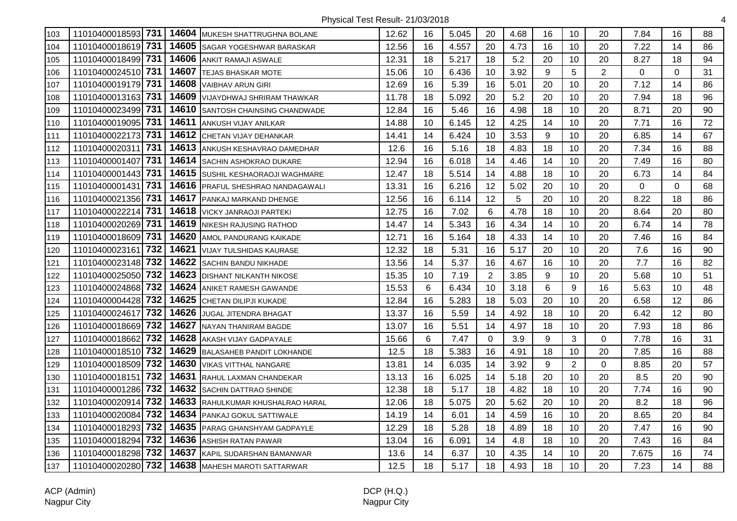| 103 | 11010400018593 731      |       | 14604 MUKESH SHATTRUGHNA BOLANE   | 12.62 | 16 | 5.045 | 20             | 4.68 | 16 | 10             | 20             | 7.84        | 16       | 88 |
|-----|-------------------------|-------|-----------------------------------|-------|----|-------|----------------|------|----|----------------|----------------|-------------|----------|----|
| 104 | 11010400018619 731      |       | 14605 SAGAR YOGESHWAR BARASKAR    | 12.56 | 16 | 4.557 | 20             | 4.73 | 16 | 10             | 20             | 7.22        | 14       | 86 |
| 105 | 11010400018499 731      |       | 14606 ANKIT RAMAJI ASWALE         | 12.31 | 18 | 5.217 | 18             | 5.2  | 20 | 10             | 20             | 8.27        | 18       | 94 |
| 106 | 11010400024510 731      | 14607 | <b>TEJAS BHASKAR MOTE</b>         | 15.06 | 10 | 6.436 | 10             | 3.92 | 9  | $\overline{5}$ | $\overline{2}$ | $\mathbf 0$ | 0        | 31 |
| 107 | 11010400019179 731      |       | 14608 VAIBHAV ARUN GIRI           | 12.69 | 16 | 5.39  | 16             | 5.01 | 20 | 10             | 20             | 7.12        | 14       | 86 |
| 108 | 731<br>11010400013163   |       | 14609 VIJAYDHWAJ SHRIRAM THAWKAR  | 11.78 | 18 | 5.092 | 20             | 5.2  | 20 | 10             | 20             | 7.94        | 18       | 96 |
| 109 | 11010400023499 731      |       | 14610 SANTOSH CHAINSING CHANDWADE | 12.84 | 16 | 5.46  | 16             | 4.98 | 18 | 10             | 20             | 8.71        | 20       | 90 |
| 110 | 731<br>11010400019095   |       | 14611 ANKUSH VIJAY ANILKAR        | 14.88 | 10 | 6.145 | 12             | 4.25 | 14 | 10             | 20             | 7.71        | 16       | 72 |
| 111 | 11010400022173 731      |       | 14612 CHETAN VIJAY DEHANKAR       | 14.41 | 14 | 6.424 | 10             | 3.53 | 9  | 10             | 20             | 6.85        | 14       | 67 |
| 112 | 731<br>11010400020311   |       | 14613 ANKUSH KESHAVRAO DAMEDHAR   | 12.6  | 16 | 5.16  | 18             | 4.83 | 18 | 10             | 20             | 7.34        | 16       | 88 |
| 113 | 731<br>11010400001407   |       | 14614 SACHIN ASHOKRAO DUKARE      | 12.94 | 16 | 6.018 | 14             | 4.46 | 14 | 10             | 20             | 7.49        | 16       | 80 |
| 114 | 11010400001443 731      |       | 14615 SUSHIL KESHAORAOJI WAGHMARE | 12.47 | 18 | 5.514 | 14             | 4.88 | 18 | 10             | 20             | 6.73        | 14       | 84 |
| 115 | 731<br>11010400001431   |       | 14616 PRAFUL SHESHRAO NANDAGAWALI | 13.31 | 16 | 6.216 | 12             | 5.02 | 20 | 10             | 20             | $\mathbf 0$ | $\Omega$ | 68 |
| 116 | 11010400021356 731      |       | 14617 PANKAJ MARKAND DHENGE       | 12.56 | 16 | 6.114 | 12             | 5    | 20 | 10             | 20             | 8.22        | 18       | 86 |
| 117 | 731<br>11010400022214   |       | 14618 VICKY JANRAOJI PARTEKI      | 12.75 | 16 | 7.02  | 6              | 4.78 | 18 | 10             | 20             | 8.64        | 20       | 80 |
| 118 | 731<br>11010400020269   |       | 14619 NIKESH RAJUSING RATHOD      | 14.47 | 14 | 5.343 | 16             | 4.34 | 14 | 10             | 20             | 6.74        | 14       | 78 |
| 119 | 11010400018609 731      | 14620 | <b>AMOL PANDURANG KAIKADE</b>     | 12.71 | 16 | 5.164 | 18             | 4.33 | 14 | 10             | 20             | 7.46        | 16       | 84 |
| 120 | 732<br>11010400023161   | 14621 | <b>VIJAY TULSHIDAS KAURASE</b>    | 12.32 | 18 | 5.31  | 16             | 5.17 | 20 | 10             | 20             | 7.6         | 16       | 90 |
| 121 | 11010400023148 732      | 14622 | <b>SACHIN BANDU NIKHADE</b>       | 13.56 | 14 | 5.37  | 16             | 4.67 | 16 | 10             | 20             | 7.7         | 16       | 82 |
| 122 | 11010400025050 732      |       | 14623 DISHANT NILKANTH NIKOSE     | 15.35 | 10 | 7.19  | $\overline{2}$ | 3.85 | 9  | 10             | 20             | 5.68        | 10       | 51 |
| 123 | 732 ا<br>11010400024868 |       | 14624 ANIKET RAMESH GAWANDE       | 15.53 | 6  | 6.434 | 10             | 3.18 | 6  | 9              | 16             | 5.63        | 10       | 48 |
| 124 | 732<br>11010400004428   |       | 14625 CHETAN DILIPJI KUKADE       | 12.84 | 16 | 5.283 | 18             | 5.03 | 20 | 10             | 20             | 6.58        | 12       | 86 |
| 125 | 732<br>11010400024617   | 14626 | <b>JUGAL JITENDRA BHAGAT</b>      | 13.37 | 16 | 5.59  | 14             | 4.92 | 18 | 10             | 20             | 6.42        | 12       | 80 |
| 126 | 11010400018669 732      | 14627 | <b>NAYAN THANIRAM BAGDE</b>       | 13.07 | 16 | 5.51  | 14             | 4.97 | 18 | 10             | 20             | 7.93        | 18       | 86 |
| 127 | 732<br>11010400018662   | 14628 | AKASH VIJAY GADPAYALE             | 15.66 | 6  | 7.47  | $\Omega$       | 3.9  | 9  | 3              | $\Omega$       | 7.78        | 16       | 31 |
| 128 | 11010400018510 732      |       | 14629 BALASAHEB PANDIT LOKHANDE   | 12.5  | 18 | 5.383 | 16             | 4.91 | 18 | 10             | 20             | 7.85        | 16       | 88 |
| 129 | 11010400018509 732      |       | 14630 VIKAS VITTHAL NANGARE       | 13.81 | 14 | 6.035 | 14             | 3.92 | 9  | $\overline{2}$ | $\mathbf 0$    | 8.85        | 20       | 57 |
| 130 | 732<br>11010400018151   |       | 14631 RAHUL LAXMAN CHANDEKAR      | 13.13 | 16 | 6.025 | 14             | 5.18 | 20 | 10             | 20             | 8.5         | 20       | 90 |
| 131 | 11010400001286 732      |       | 14632 SACHIN DATTRAO SHINDE       | 12.38 | 18 | 5.17  | 18             | 4.82 | 18 | 10             | 20             | 7.74        | 16       | 90 |
| 132 | 732<br>11010400020914   |       | 14633 RAHULKUMAR KHUSHALRAO HARAL | 12.06 | 18 | 5.075 | 20             | 5.62 | 20 | 10             | 20             | 8.2         | 18       | 96 |
| 133 | 732<br>11010400020084   |       | 14634 PANKAJ GOKUL SATTIWALE      | 14.19 | 14 | 6.01  | 14             | 4.59 | 16 | 10             | 20             | 8.65        | 20       | 84 |
| 134 | 11010400018293 732      |       | 14635 PARAG GHANSHYAM GADPAYLE    | 12.29 | 18 | 5.28  | 18             | 4.89 | 18 | 10             | 20             | 7.47        | 16       | 90 |
| 135 | 732<br>11010400018294   | 14636 | <b>ASHISH RATAN PAWAR</b>         | 13.04 | 16 | 6.091 | 14             | 4.8  | 18 | 10             | 20             | 7.43        | 16       | 84 |
| 136 | 732<br>11010400018298   | 14637 | KAPIL SUDARSHAN BAMANWAR          | 13.6  | 14 | 6.37  | 10             | 4.35 | 14 | 10             | 20             | 7.675       | 16       | 74 |
| 137 | 732<br>11010400020280   |       | 14638 MAHESH MAROTI SATTARWAR     | 12.5  | 18 | 5.17  | 18             | 4.93 | 18 | 10             | 20             | 7.23        | 14       | 88 |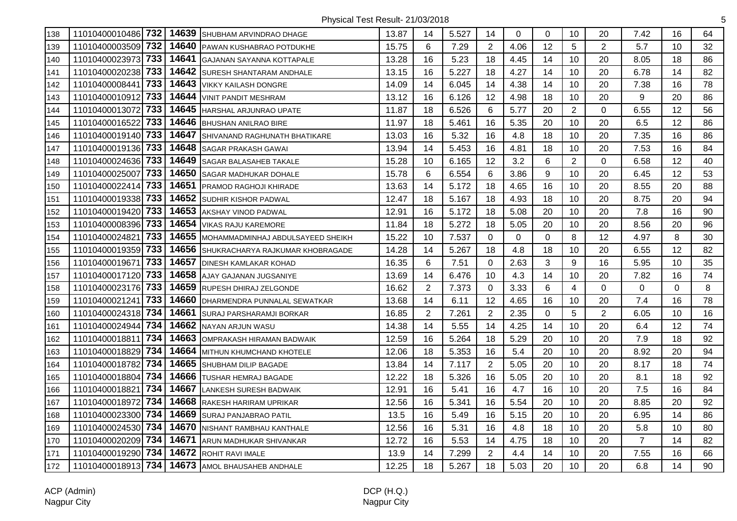| 138 | 11010400010486 732 |     | 14639 | SHUBHAM ARVINDRAO DHAGE           | 13.87 | 14             | 5.527 | 14             | $\Omega$ | $\Omega$       | 10             | 20             | 7.42           | 16       | 64 |
|-----|--------------------|-----|-------|-----------------------------------|-------|----------------|-------|----------------|----------|----------------|----------------|----------------|----------------|----------|----|
| 139 | 11010400003509     | 732 | 14640 | PAWAN KUSHABRAO POTDUKHE          | 15.75 | 6              | 7.29  | $\overline{2}$ | 4.06     | 12             | 5              | $\overline{2}$ | 5.7            | 10       | 32 |
| 140 | 11010400023973     | 733 | 14641 | <b>GAJANAN SAYANNA KOTTAPALE</b>  | 13.28 | 16             | 5.23  | 18             | 4.45     | 14             | 10             | 20             | 8.05           | 18       | 86 |
| 141 | 11010400020238     | 733 | 14642 | <b>SURESH SHANTARAM ANDHALE</b>   | 13.15 | 16             | 5.227 | 18             | 4.27     | 14             | 10             | 20             | 6.78           | 14       | 82 |
| 142 | 11010400008441     | 733 |       | 14643 VIKKY KAILASH DONGRE        | 14.09 | 14             | 6.045 | 14             | 4.38     | 14             | 10             | 20             | 7.38           | 16       | 78 |
| 143 | 11010400010912     | 733 | 14644 | <b>VINIT PANDIT MESHRAM</b>       | 13.12 | 16             | 6.126 | 12             | 4.98     | 18             | 10             | 20             | 9              | 20       | 86 |
| 144 | 11010400013072     | 733 | 14645 | HARSHAL ARJUNRAO UPATE            | 11.87 | 18             | 6.526 | 6              | 5.77     | 20             | $\overline{2}$ | 0              | 6.55           | 12       | 56 |
| 145 | 11010400016522     | 733 | 14646 | <b>BHUSHAN ANILRAO BIRE</b>       | 11.97 | 18             | 5.461 | 16             | 5.35     | 20             | 10             | 20             | 6.5            | 12       | 86 |
| 146 | 11010400019140 733 |     | 14647 | SHIVANAND RAGHUNATH BHATIKARE     | 13.03 | 16             | 5.32  | 16             | 4.8      | 18             | 10             | 20             | 7.35           | 16       | 86 |
| 147 | 11010400019136     | 733 | 14648 | <b>SAGAR PRAKASH GAWAI</b>        | 13.94 | 14             | 5.453 | 16             | 4.81     | 18             | 10             | 20             | 7.53           | 16       | 84 |
| 148 | 11010400024636 733 |     | 14649 | SAGAR BALASAHEB TAKALE            | 15.28 | 10             | 6.165 | 12             | 3.2      | 6              | $\overline{2}$ | $\Omega$       | 6.58           | 12       | 40 |
| 149 | 11010400025007     | 733 | 14650 | <b>SAGAR MADHUKAR DOHALE</b>      | 15.78 | $\,6$          | 6.554 | 6              | 3.86     | 9              | 10             | 20             | 6.45           | 12       | 53 |
| 150 | 11010400022414 733 |     | 14651 | <b>PRAMOD RAGHOJI KHIRADE</b>     | 13.63 | 14             | 5.172 | 18             | 4.65     | 16             | 10             | 20             | 8.55           | 20       | 88 |
| 151 | 11010400019338 733 |     | 14652 | <b>SUDHIR KISHOR PADWAL</b>       | 12.47 | 18             | 5.167 | 18             | 4.93     | 18             | 10             | 20             | 8.75           | 20       | 94 |
| 152 | 11010400019420 733 |     | 14653 | <b>AKSHAY VINOD PADWAL</b>        | 12.91 | 16             | 5.172 | 18             | 5.08     | 20             | 10             | 20             | 7.8            | 16       | 90 |
| 153 | 11010400008396 733 |     | 14654 | <b>VIKAS RAJU KAREMORE</b>        | 11.84 | 18             | 5.272 | 18             | 5.05     | 20             | 10             | 20             | 8.56           | 20       | 96 |
| 154 | 11010400024821     | 733 | 14655 | MOHAMMADMINHAJ ABDULSAYEED SHEIKH | 15.22 | 10             | 7.537 | 0              | $\Omega$ | $\Omega$       | 8              | 12             | 4.97           | 8        | 30 |
| 155 | 11010400019359     | 733 | 14656 | SHUKRACHARYA RAJKUMAR KHOBRAGADE  | 14.28 | 14             | 5.267 | 18             | 4.8      | 18             | 10             | 20             | 6.55           | 12       | 82 |
| 156 | 11010400019671     | 733 | 14657 | <b>DINESH KAMLAKAR KOHAD</b>      | 16.35 | 6              | 7.51  | 0              | 2.63     | 3              | 9              | 16             | 5.95           | 10       | 35 |
| 157 | 11010400017120 733 |     | 14658 | AJAY GAJANAN JUGSANIYE            | 13.69 | 14             | 6.476 | 10             | 4.3      | 14             | 10             | 20             | 7.82           | 16       | 74 |
| 158 | 11010400023176 733 |     |       | 14659 RUPESH DHIRAJ ZELGONDE      | 16.62 | 2              | 7.373 | 0              | 3.33     | 6              | 4              | $\Omega$       | $\Omega$       | $\Omega$ | 8  |
| 159 | 11010400021241     | 733 | 14660 | DHARMENDRA PUNNALAL SEWATKAR      | 13.68 | 14             | 6.11  | 12             | 4.65     | 16             | 10             | 20             | 7.4            | 16       | 78 |
| 160 | 11010400024318 734 |     |       | 14661 SURAJ PARSHARAMJI BORKAR    | 16.85 | $\overline{2}$ | 7.261 | $\overline{2}$ | 2.35     | $\overline{0}$ | $\overline{5}$ | $\overline{2}$ | 6.05           | 10       | 16 |
| 161 | 11010400024944 734 |     | 14662 | <b>NAYAN ARJUN WASU</b>           | 14.38 | 14             | 5.55  | 14             | 4.25     | 14             | 10             | 20             | 6.4            | 12       | 74 |
| 162 | 11010400018811     | 734 | 14663 | OMPRAKASH HIRAMAN BADWAIK         | 12.59 | 16             | 5.264 | 18             | 5.29     | 20             | 10             | 20             | 7.9            | 18       | 92 |
| 163 | 11010400018829     | 734 | 14664 | MITHUN KHUMCHAND KHOTELE          | 12.06 | 18             | 5.353 | 16             | 5.4      | 20             | 10             | 20             | 8.92           | 20       | 94 |
| 164 | 11010400018782     | 734 | 14665 | SHUBHAM DILIP BAGADE              | 13.84 | 14             | 7.117 | $\overline{2}$ | 5.05     | 20             | 10             | 20             | 8.17           | 18       | 74 |
| 165 | 11010400018804 734 |     |       | 14666 TUSHAR HEMRAJ BAGADE        | 12.22 | 18             | 5.326 | 16             | 5.05     | 20             | 10             | 20             | 8.1            | 18       | 92 |
| 166 | 11010400018821     | 734 | 14667 | <b>LANKESH SURESH BADWAIK</b>     | 12.91 | 16             | 5.41  | 16             | 4.7      | 16             | 10             | 20             | 7.5            | 16       | 84 |
| 167 | 11010400018972     | 734 | 14668 | <b>RAKESH HARIRAM UPRIKAR</b>     | 12.56 | 16             | 5.341 | 16             | 5.54     | 20             | 10             | 20             | 8.85           | 20       | 92 |
| 168 | 11010400023300 734 |     |       | 14669 SURAJ PANJABRAO PATIL       | 13.5  | 16             | 5.49  | 16             | 5.15     | 20             | 10             | 20             | 6.95           | 14       | 86 |
| 169 | 11010400024530 734 |     | 14670 | NISHANT RAMBHAU KANTHALE          | 12.56 | 16             | 5.31  | 16             | 4.8      | 18             | 10             | 20             | 5.8            | 10       | 80 |
| 170 | 11010400020209 734 |     | 14671 | ARUN MADHUKAR SHIVANKAR           | 12.72 | 16             | 5.53  | 14             | 4.75     | 18             | 10             | 20             | $\overline{7}$ | 14       | 82 |
| 171 | 11010400019290 734 |     | 14672 | <b>ROHIT RAVI IMALE</b>           | 13.9  | 14             | 7.299 | $\overline{2}$ | 4.4      | 14             | 10             | 20             | 7.55           | 16       | 66 |
| 172 | 11010400018913 734 |     | 14673 | AMOL BHAUSAHEB ANDHALE            | 12.25 | 18             | 5.267 | 18             | 5.03     | 20             | 10             | 20             | 6.8            | 14       | 90 |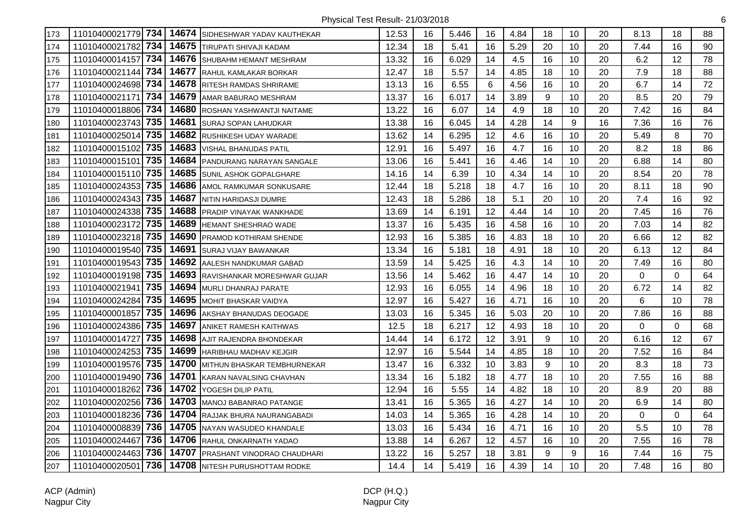| 173 | 11010400021779 734    | 14674 | SIDHESHWAR YADAV KAUTHEKAR    | 12.53 | 16 | 5.446 | 16 | 4.84 | 18 | 10 | 20 | 8.13         | 18       | 88 |
|-----|-----------------------|-------|-------------------------------|-------|----|-------|----|------|----|----|----|--------------|----------|----|
| 174 | 734<br>11010400021782 | 14675 | TIRUPATI SHIVAJI KADAM        | 12.34 | 18 | 5.41  | 16 | 5.29 | 20 | 10 | 20 | 7.44         | 16       | 90 |
| 175 | 11010400014157 734    | 14676 | SHUBAHM HEMANT MESHRAM        | 13.32 | 16 | 6.029 | 14 | 4.5  | 16 | 10 | 20 | 6.2          | 12       | 78 |
| 176 | 734<br>11010400021144 | 14677 | RAHUL KAMLAKAR BORKAR         | 12.47 | 18 | 5.57  | 14 | 4.85 | 18 | 10 | 20 | 7.9          | 18       | 88 |
| 177 | 11010400024698 734    | 14678 | RITESH RAMDAS SHRIRAME        | 13.13 | 16 | 6.55  | 6  | 4.56 | 16 | 10 | 20 | 6.7          | 14       | 72 |
| 178 | 734<br>11010400021171 | 14679 | AMAR BABURAO MESHRAM          | 13.37 | 16 | 6.017 | 14 | 3.89 | 9  | 10 | 20 | 8.5          | 20       | 79 |
| 179 | 734<br>11010400018806 | 14680 | ROSHAN YASHWANTJI NAITAME     | 13.22 | 16 | 6.07  | 14 | 4.9  | 18 | 10 | 20 | 7.42         | 16       | 84 |
| 180 | 735<br>11010400023743 | 14681 | <b>SURAJ SOPAN LAHUDKAR</b>   | 13.38 | 16 | 6.045 | 14 | 4.28 | 14 | 9  | 16 | 7.36         | 16       | 76 |
| 181 | 735<br>11010400025014 | 14682 | RUSHIKESH UDAY WARADE         | 13.62 | 14 | 6.295 | 12 | 4.6  | 16 | 10 | 20 | 5.49         | 8        | 70 |
| 182 | 735<br>11010400015102 | 14683 | VISHAL BHANUDAS PATIL         | 12.91 | 16 | 5.497 | 16 | 4.7  | 16 | 10 | 20 | 8.2          | 18       | 86 |
| 183 | 735<br>11010400015101 | 14684 | PANDURANG NARAYAN SANGALE     | 13.06 | 16 | 5.441 | 16 | 4.46 | 14 | 10 | 20 | 6.88         | 14       | 80 |
| 184 | 11010400015110 735    | 14685 | <b>SUNIL ASHOK GOPALGHARE</b> | 14.16 | 14 | 6.39  | 10 | 4.34 | 14 | 10 | 20 | 8.54         | 20       | 78 |
| 185 | 735<br>11010400024353 | 14686 | AMOL RAMKUMAR SONKUSARE       | 12.44 | 18 | 5.218 | 18 | 4.7  | 16 | 10 | 20 | 8.11         | 18       | 90 |
| 186 | 11010400024343 735    | 14687 | NITIN HARIDASJI DUMRE         | 12.43 | 18 | 5.286 | 18 | 5.1  | 20 | 10 | 20 | 7.4          | 16       | 92 |
| 187 | 11010400024338 735    | 14688 | PRADIP VINAYAK WANKHADE       | 13.69 | 14 | 6.191 | 12 | 4.44 | 14 | 10 | 20 | 7.45         | 16       | 76 |
| 188 | 735<br>11010400023172 | 14689 | HEMANT SHESHRAO WADE          | 13.37 | 16 | 5.435 | 16 | 4.58 | 16 | 10 | 20 | 7.03         | 14       | 82 |
| 189 | 735<br>11010400023218 | 14690 | PRAMOD KOTHIRAM SHENDE        | 12.93 | 16 | 5.385 | 16 | 4.83 | 18 | 10 | 20 | 6.66         | 12       | 82 |
| 190 | 735<br>11010400019540 | 14691 | <b>SURAJ VIJAY BAWANKAR</b>   | 13.34 | 16 | 5.181 | 18 | 4.91 | 18 | 10 | 20 | 6.13         | 12       | 84 |
| 191 | 735<br>11010400019543 | 14692 | AALESH NANDKUMAR GABAD        | 13.59 | 14 | 5.425 | 16 | 4.3  | 14 | 10 | 20 | 7.49         | 16       | 80 |
| 192 | 11010400019198 735    | 14693 | RAVISHANKAR MORESHWAR GUJAR   | 13.56 | 14 | 5.462 | 16 | 4.47 | 14 | 10 | 20 | 0            | $\Omega$ | 64 |
| 193 | 735<br>11010400021941 | 14694 | MURLI DHANRAJ PARATE          | 12.93 | 16 | 6.055 | 14 | 4.96 | 18 | 10 | 20 | 6.72         | 14       | 82 |
| 194 | 735<br>11010400024284 | 14695 | MOHIT BHASKAR VAIDYA          | 12.97 | 16 | 5.427 | 16 | 4.71 | 16 | 10 | 20 | 6            | 10       | 78 |
| 195 | 735<br>11010400001857 | 14696 | AKSHAY BHANUDAS DEOGADE       | 13.03 | 16 | 5.345 | 16 | 5.03 | 20 | 10 | 20 | 7.86         | 16       | 88 |
| 196 | 11010400024386 735    | 14697 | ANIKET RAMESH KAITHWAS        | 12.5  | 18 | 6.217 | 12 | 4.93 | 18 | 10 | 20 | 0            | $\Omega$ | 68 |
| 197 | 735<br>11010400014727 | 14698 | AJIT RAJENDRA BHONDEKAR       | 14.44 | 14 | 6.172 | 12 | 3.91 | 9  | 10 | 20 | 6.16         | 12       | 67 |
| 198 | 735<br>11010400024253 | 14699 | <b>HARIBHAU MADHAV KEJGIR</b> | 12.97 | 16 | 5.544 | 14 | 4.85 | 18 | 10 | 20 | 7.52         | 16       | 84 |
| 199 | 11010400019576 735    | 14700 | MITHUN BHASKAR TEMBHURNEKAR   | 13.47 | 16 | 6.332 | 10 | 3.83 | 9  | 10 | 20 | 8.3          | 18       | 73 |
| 200 | 11010400019490 736    | 14701 | KARAN NAVALSING CHAVHAN       | 13.34 | 16 | 5.182 | 18 | 4.77 | 18 | 10 | 20 | 7.55         | 16       | 88 |
| 201 | 11010400018262 736    | 14702 | YOGESH DILIP PATIL            | 12.94 | 16 | 5.55  | 14 | 4.82 | 18 | 10 | 20 | 8.9          | 20       | 88 |
| 202 | 11010400020256 736    | 14703 | <b>MANOJ BABANRAO PATANGE</b> | 13.41 | 16 | 5.365 | 16 | 4.27 | 14 | 10 | 20 | 6.9          | 14       | 80 |
| 203 | 11010400018236 736    | 14704 | RAJJAK BHURA NAURANGABADI     | 14.03 | 14 | 5.365 | 16 | 4.28 | 14 | 10 | 20 | $\mathbf{0}$ | $\Omega$ | 64 |
| 204 | 736<br>11010400008839 | 14705 | NAYAN WASUDEO KHANDALE        | 13.03 | 16 | 5.434 | 16 | 4.71 | 16 | 10 | 20 | 5.5          | 10       | 78 |
| 205 | 736<br>11010400024467 | 14706 | RAHUL ONKARNATH YADAO         | 13.88 | 14 | 6.267 | 12 | 4.57 | 16 | 10 | 20 | 7.55         | 16       | 78 |
| 206 | 736<br>11010400024463 | 14707 | PRASHANT VINODRAO CHAUDHARI   | 13.22 | 16 | 5.257 | 18 | 3.81 | 9  | 9  | 16 | 7.44         | 16       | 75 |
| 207 | 736<br>11010400020501 | 14708 | NITESH PURUSHOTTAM RODKE      | 14.4  | 14 | 5.419 | 16 | 4.39 | 14 | 10 | 20 | 7.48         | 16       | 80 |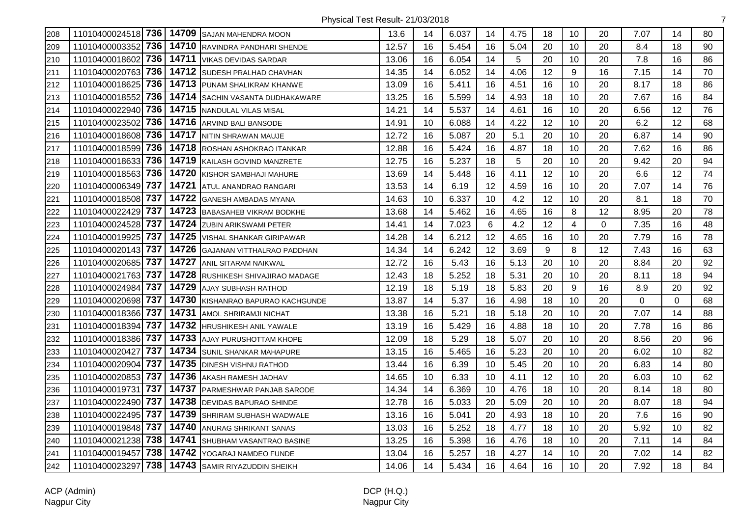| 208 | 11010400024518 736    |       | 14709 SAJAN MAHENDRA MOON           | 13.6  | 14 | 6.037 | 14 | 4.75 | 18 | 10             | 20          | 7.07        | 14       | 80 |
|-----|-----------------------|-------|-------------------------------------|-------|----|-------|----|------|----|----------------|-------------|-------------|----------|----|
| 209 | 736<br>11010400003352 |       | 14710 RAVINDRA PANDHARI SHENDE      | 12.57 | 16 | 5.454 | 16 | 5.04 | 20 | 10             | 20          | 8.4         | 18       | 90 |
| 210 | 736<br>11010400018602 |       | 14711 VIKAS DEVIDAS SARDAR          | 13.06 | 16 | 6.054 | 14 | 5    | 20 | 10             | 20          | 7.8         | 16       | 86 |
| 211 | 736<br>11010400020763 |       | 14712 SUDESH PRALHAD CHAVHAN        | 14.35 | 14 | 6.052 | 14 | 4.06 | 12 | 9              | 16          | 7.15        | 14       | 70 |
| 212 | 736<br>11010400018625 |       | 14713 PUNAM SHALIKRAM KHANWE        | 13.09 | 16 | 5.411 | 16 | 4.51 | 16 | 10             | 20          | 8.17        | 18       | 86 |
| 213 | 736<br>11010400018552 |       | 14714 SACHIN VASANTA DUDHAKAWARE    | 13.25 | 16 | 5.599 | 14 | 4.93 | 18 | 10             | 20          | 7.67        | 16       | 84 |
| 214 | 736<br>11010400022940 |       | 14715 NANDULAL VILAS MISAL          | 14.21 | 14 | 5.537 | 14 | 4.61 | 16 | 10             | 20          | 6.56        | 12       | 76 |
| 215 | 736<br>11010400023502 |       | 14716 ARVIND BALI BANSODE           | 14.91 | 10 | 6.088 | 14 | 4.22 | 12 | 10             | 20          | 6.2         | 12       | 68 |
| 216 | 736<br>11010400018608 |       | 14717 NITIN SHRAWAN MAUJE           | 12.72 | 16 | 5.087 | 20 | 5.1  | 20 | 10             | 20          | 6.87        | 14       | 90 |
| 217 | 736<br>11010400018599 |       | 14718 ROSHAN ASHOKRAO ITANKAR       | 12.88 | 16 | 5.424 | 16 | 4.87 | 18 | 10             | 20          | 7.62        | 16       | 86 |
| 218 | 736<br>11010400018633 |       | 14719 KAILASH GOVIND MANZRETE       | 12.75 | 16 | 5.237 | 18 | 5    | 20 | 10             | 20          | 9.42        | 20       | 94 |
| 219 | 736<br>11010400018563 |       | 14720 KISHOR SAMBHAJI MAHURE        | 13.69 | 14 | 5.448 | 16 | 4.11 | 12 | 10             | 20          | 6.6         | 12       | 74 |
| 220 | 11010400006349 737    |       | 14721 ATUL ANANDRAO RANGARI         | 13.53 | 14 | 6.19  | 12 | 4.59 | 16 | 10             | 20          | 7.07        | 14       | 76 |
| 221 | 737<br>11010400018508 |       | 14722 GANESH AMBADAS MYANA          | 14.63 | 10 | 6.337 | 10 | 4.2  | 12 | 10             | 20          | 8.1         | 18       | 70 |
| 222 | 737<br>11010400022429 |       | 14723 BABASAHEB VIKRAM BODKHE       | 13.68 | 14 | 5.462 | 16 | 4.65 | 16 | 8              | 12          | 8.95        | 20       | 78 |
| 223 | 737<br>11010400024528 |       | 14724 ZUBIN ARIKSWAMI PETER         | 14.41 | 14 | 7.023 | 6  | 4.2  | 12 | $\overline{4}$ | $\mathbf 0$ | 7.35        | 16       | 48 |
| 224 | 737<br>11010400019925 | 14725 | <b>VISHAL SHANKAR GIRIPAWAR</b>     | 14.28 | 14 | 6.212 | 12 | 4.65 | 16 | 10             | 20          | 7.79        | 16       | 78 |
| 225 | 737<br>11010400020143 | 14726 | GAJANAN VITTHALRAO PADDHAN          | 14.34 | 14 | 6.242 | 12 | 3.69 | 9  | 8              | 12          | 7.43        | 16       | 63 |
| 226 | 737<br>11010400020685 | 14727 | <b>ANIL SITARAM NAIKWAL</b>         | 12.72 | 16 | 5.43  | 16 | 5.13 | 20 | 10             | 20          | 8.84        | 20       | 92 |
| 227 | 737<br>11010400021763 |       | 14728 RUSHIKESH SHIVAJIRAO MADAGE   | 12.43 | 18 | 5.252 | 18 | 5.31 | 20 | 10             | 20          | 8.11        | 18       | 94 |
| 228 | 737<br>11010400024984 |       | 14729 AJAY SUBHASH RATHOD           | 12.19 | 18 | 5.19  | 18 | 5.83 | 20 | 9              | 16          | 8.9         | 20       | 92 |
| 229 | 737<br>11010400020698 |       | 14730 KISHANRAO BAPURAO KACHGUNDE   | 13.87 | 14 | 5.37  | 16 | 4.98 | 18 | 10             | 20          | $\mathbf 0$ | $\Omega$ | 68 |
| 230 | 737<br>11010400018366 | 14731 | <b>AMOL SHRIRAMJI NICHAT</b>        | 13.38 | 16 | 5.21  | 18 | 5.18 | 20 | 10             | 20          | 7.07        | 14       | 88 |
| 231 | 737<br>11010400018394 | 14732 | <b>HRUSHIKESH ANIL YAWALE</b>       | 13.19 | 16 | 5.429 | 16 | 4.88 | 18 | 10             | 20          | 7.78        | 16       | 86 |
| 232 | 737<br>11010400018386 | 14733 | <b>AJAY PURUSHOTTAM KHOPE</b>       | 12.09 | 18 | 5.29  | 18 | 5.07 | 20 | 10             | 20          | 8.56        | 20       | 96 |
| 233 | 737<br>11010400020427 | 14734 | <b>SUNIL SHANKAR MAHAPURE</b>       | 13.15 | 16 | 5.465 | 16 | 5.23 | 20 | 10             | 20          | 6.02        | 10       | 82 |
| 234 | 737<br>11010400020904 |       | 14735 DINESH VISHNU RATHOD          | 13.44 | 16 | 6.39  | 10 | 5.45 | 20 | 10             | 20          | 6.83        | 14       | 80 |
| 235 | 737<br>11010400020853 |       | 14736 AKASH RAMESH JADHAV           | 14.65 | 10 | 6.33  | 10 | 4.11 | 12 | 10             | 20          | 6.03        | 10       | 62 |
| 236 | 737<br>11010400019731 |       | 14737 PARMESHWAR PANJAB SARODE      | 14.34 | 14 | 6.369 | 10 | 4.76 | 18 | 10             | 20          | 8.14        | 18       | 80 |
| 237 | 737<br>11010400022490 |       | 14738 DEVIDAS BAPURAO SHINDE        | 12.78 | 16 | 5.033 | 20 | 5.09 | 20 | 10             | 20          | 8.07        | 18       | 94 |
| 238 | 737<br>11010400022495 |       | 14739 SHRIRAM SUBHASH WADWALE       | 13.16 | 16 | 5.041 | 20 | 4.93 | 18 | 10             | 20          | 7.6         | 16       | 90 |
| 239 | 737<br>11010400019848 | 14740 | ANURAG SHRIKANT SANAS               | 13.03 | 16 | 5.252 | 18 | 4.77 | 18 | 10             | 20          | 5.92        | 10       | 82 |
| 240 | 738<br>11010400021238 | 14741 | SHUBHAM VASANTRAO BASINE            | 13.25 | 16 | 5.398 | 16 | 4.76 | 18 | 10             | 20          | 7.11        | 14       | 84 |
| 241 | 738<br>11010400019457 | 14742 | YOGARAJ NAMDEO FUNDE                | 13.04 | 16 | 5.257 | 18 | 4.27 | 14 | 10             | 20          | 7.02        | 14       | 82 |
| 242 | 11010400023297        |       | 738   14743 SAMIR RIYAZUDDIN SHEIKH | 14.06 | 14 | 5.434 | 16 | 4.64 | 16 | 10             | 20          | 7.92        | 18       | 84 |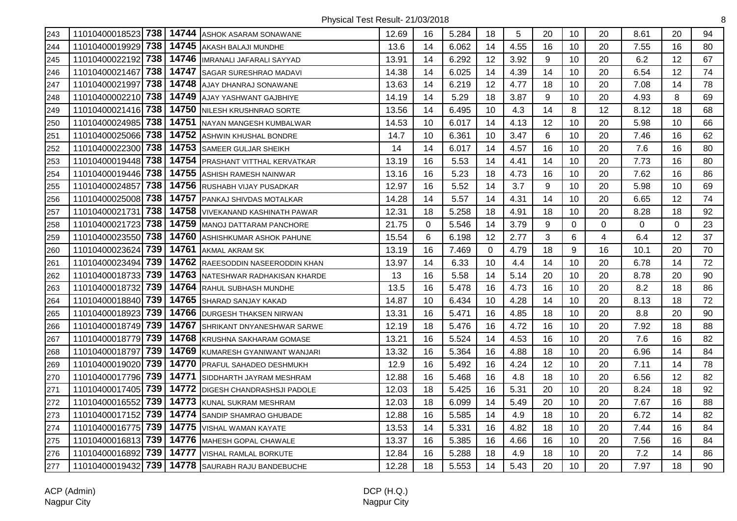| 243 | 11010400018523 738 |     | 14744 | <b>ASHOK ASARAM SONAWANE</b>    | 12.69 | 16          | 5.284 | 18       | 5    | 20 | 10          | 20 | 8.61        | 20       | 94 |
|-----|--------------------|-----|-------|---------------------------------|-------|-------------|-------|----------|------|----|-------------|----|-------------|----------|----|
| 244 | 11010400019929     | 738 | 14745 | AKASH BALAJI MUNDHE             | 13.6  | 14          | 6.062 | 14       | 4.55 | 16 | 10          | 20 | 7.55        | 16       | 80 |
| 245 | 11010400022192     | 738 | 14746 | <b>IMRANALI JAFARALI SAYYAD</b> | 13.91 | 14          | 6.292 | 12       | 3.92 | 9  | 10          | 20 | 6.2         | 12       | 67 |
| 246 | 11010400021467     | 738 | 14747 | SAGAR SURESHRAO MADAVI          | 14.38 | 14          | 6.025 | 14       | 4.39 | 14 | 10          | 20 | 6.54        | 12       | 74 |
| 247 | 11010400021997     | 738 | 14748 | AJAY DHANRAJ SONAWANE           | 13.63 | 14          | 6.219 | 12       | 4.77 | 18 | 10          | 20 | 7.08        | 14       | 78 |
| 248 | 11010400002210     | 738 | 14749 | <b>AJAY YASHWANT GAJBHIYE</b>   | 14.19 | 14          | 5.29  | 18       | 3.87 | 9  | 10          | 20 | 4.93        | 8        | 69 |
| 249 | 11010400021416 738 |     | 14750 | NILESH KRUSHNRAO SORTE          | 13.56 | 14          | 6.495 | 10       | 4.3  | 14 | 8           | 12 | 8.12        | 18       | 68 |
| 250 | 11010400024985     | 738 | 14751 | NAYAN MANGESH KUMBALWAR         | 14.53 | 10          | 6.017 | 14       | 4.13 | 12 | 10          | 20 | 5.98        | 10       | 66 |
| 251 | 11010400025066     | 738 | 14752 | ASHWIN KHUSHAL BONDRE           | 14.7  | 10          | 6.361 | 10       | 3.47 | 6  | 10          | 20 | 7.46        | 16       | 62 |
| 252 | 11010400022300     | 738 | 14753 | SAMEER GULJAR SHEIKH            | 14    | 14          | 6.017 | 14       | 4.57 | 16 | 10          | 20 | 7.6         | 16       | 80 |
| 253 | 11010400019448     | 738 | 14754 | PRASHANT VITTHAL KERVATKAR      | 13.19 | 16          | 5.53  | 14       | 4.41 | 14 | 10          | 20 | 7.73        | 16       | 80 |
| 254 | 11010400019446     | 738 | 14755 | ASHISH RAMESH NAINWAR           | 13.16 | 16          | 5.23  | 18       | 4.73 | 16 | 10          | 20 | 7.62        | 16       | 86 |
| 255 | 11010400024857     | 738 | 14756 | <b>RUSHABH VIJAY PUSADKAR</b>   | 12.97 | 16          | 5.52  | 14       | 3.7  | 9  | 10          | 20 | 5.98        | 10       | 69 |
| 256 | 11010400025008     | 738 | 14757 | PANKAJ SHIVDAS MOTALKAR         | 14.28 | 14          | 5.57  | 14       | 4.31 | 14 | 10          | 20 | 6.65        | 12       | 74 |
| 257 | 11010400021731     | 738 | 14758 | VIVEKANAND KASHINATH PAWAR      | 12.31 | 18          | 5.258 | 18       | 4.91 | 18 | 10          | 20 | 8.28        | 18       | 92 |
| 258 | 11010400021723     | 738 | 14759 | MANOJ DATTARAM PANCHORE         | 21.75 | $\mathbf 0$ | 5.546 | 14       | 3.79 | 9  | $\mathbf 0$ | 0  | $\mathbf 0$ | $\Omega$ | 23 |
| 259 | 11010400023550     | 738 | 14760 | ASHISHKUMAR ASHOK PAHUNE        | 15.54 | 6           | 6.198 | 12       | 2.77 | 3  | 6           | 4  | 6.4         | 12       | 37 |
| 260 | 11010400023624     | 739 | 14761 | <b>AKMAL AKRAM SK</b>           | 13.19 | 16          | 7.469 | $\Omega$ | 4.79 | 18 | 9           | 16 | 10.1        | 20       | 70 |
| 261 | 11010400023494     | 739 | 14762 | RAEESODDIN NASEERODDIN KHAN     | 13.97 | 14          | 6.33  | 10       | 4.4  | 14 | 10          | 20 | 6.78        | 14       | 72 |
| 262 | 11010400018733     | 739 | 14763 | NATESHWAR RADHAKISAN KHARDE     | 13    | 16          | 5.58  | 14       | 5.14 | 20 | 10          | 20 | 8.78        | 20       | 90 |
| 263 | 11010400018732     | 739 | 14764 | RAHUL SUBHASH MUNDHE            | 13.5  | 16          | 5.478 | 16       | 4.73 | 16 | 10          | 20 | 8.2         | 18       | 86 |
| 264 | 11010400018840     | 739 | 14765 | SHARAD SANJAY KAKAD             | 14.87 | 10          | 6.434 | 10       | 4.28 | 14 | 10          | 20 | 8.13        | 18       | 72 |
| 265 | 11010400018923     | 739 | 14766 | DURGESH THAKSEN NIRWAN          | 13.31 | 16          | 5.471 | 16       | 4.85 | 18 | 10          | 20 | 8.8         | 20       | 90 |
| 266 | 11010400018749 739 |     | 14767 | SHRIKANT DNYANESHWAR SARWE      | 12.19 | 18          | 5.476 | 16       | 4.72 | 16 | 10          | 20 | 7.92        | 18       | 88 |
| 267 | 11010400018779     | 739 | 14768 | KRUSHNA SAKHARAM GOMASE         | 13.21 | 16          | 5.524 | 14       | 4.53 | 16 | 10          | 20 | 7.6         | 16       | 82 |
| 268 | 11010400018797     | 739 | 14769 | KUMARESH GYANIWANT WANJARI      | 13.32 | 16          | 5.364 | 16       | 4.88 | 18 | 10          | 20 | 6.96        | 14       | 84 |
| 269 | 11010400019020     | 739 | 14770 | PRAFUL SAHADEO DESHMUKH         | 12.9  | 16          | 5.492 | 16       | 4.24 | 12 | 10          | 20 | 7.11        | 14       | 78 |
| 270 | 11010400017796     | 739 | 14771 | SIDDHARTH JAYRAM MESHRAM        | 12.88 | 16          | 5.468 | 16       | 4.8  | 18 | 10          | 20 | 6.56        | 12       | 82 |
| 271 | 11010400017405 739 |     | 14772 | DIGESH CHANDRASHSJI PADOLE      | 12.03 | 18          | 5.425 | 16       | 5.31 | 20 | 10          | 20 | 8.24        | 18       | 92 |
| 272 | 11010400016552     | 739 | 14773 | KUNAL SUKRAM MESHRAM            | 12.03 | 18          | 6.099 | 14       | 5.49 | 20 | 10          | 20 | 7.67        | 16       | 88 |
| 273 | 11010400017152     | 739 | 14774 | SANDIP SHAMRAO GHUBADE          | 12.88 | 16          | 5.585 | 14       | 4.9  | 18 | 10          | 20 | 6.72        | 14       | 82 |
| 274 | 11010400016775     | 739 | 14775 | VISHAL WAMAN KAYATE             | 13.53 | 14          | 5.331 | 16       | 4.82 | 18 | 10          | 20 | 7.44        | 16       | 84 |
| 275 | 11010400016813     | 739 | 14776 | MAHESH GOPAL CHAWALE            | 13.37 | 16          | 5.385 | 16       | 4.66 | 16 | 10          | 20 | 7.56        | 16       | 84 |
| 276 | 11010400016892     | 739 | 14777 | VISHAL RAMLAL BORKUTE           | 12.84 | 16          | 5.288 | 18       | 4.9  | 18 | 10          | 20 | 7.2         | 14       | 86 |
| 277 | 11010400019432     | 739 | 14778 | SAURABH RAJU BANDEBUCHE         | 12.28 | 18          | 5.553 | 14       | 5.43 | 20 | 10          | 20 | 7.97        | 18       | 90 |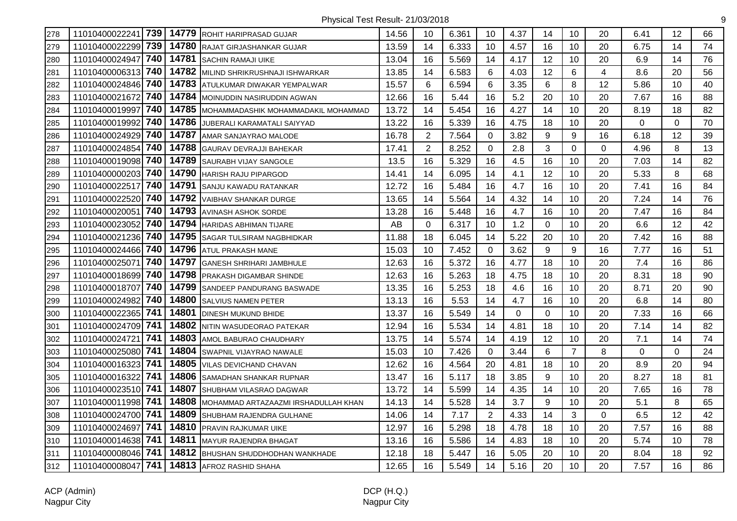| 278 | 11010400022241 739    | 14779 | <b>ROHIT HARIPRASAD GUJAR</b>        | 14.56 | 10             | 6.361 | 10             | 4.37 | 14       | 10             | 20             | 6.41 | 12       | 66 |
|-----|-----------------------|-------|--------------------------------------|-------|----------------|-------|----------------|------|----------|----------------|----------------|------|----------|----|
| 279 | 739<br>11010400022299 | 14780 | RAJAT GIRJASHANKAR GUJAR             | 13.59 | 14             | 6.333 | 10             | 4.57 | 16       | 10             | 20             | 6.75 | 14       | 74 |
| 280 | 740<br>11010400024947 | 14781 | <b>SACHIN RAMAJI UIKE</b>            | 13.04 | 16             | 5.569 | 14             | 4.17 | 12       | 10             | 20             | 6.9  | 14       | 76 |
| 281 | 740<br>11010400006313 |       | 14782 MILIND SHRIKRUSHNAJI ISHWARKAR | 13.85 | 14             | 6.583 | 6              | 4.03 | 12       | 6              | $\overline{4}$ | 8.6  | 20       | 56 |
| 282 | 11010400024846 740    |       | 14783 ATULKUMAR DIWAKAR YEMPALWAR    | 15.57 | 6              | 6.594 | 6              | 3.35 | 6        | 8              | 12             | 5.86 | 10       | 40 |
| 283 | 740<br>11010400021672 |       | 14784   MOINUDDIN NASIRUDDIN AGWAN   | 12.66 | 16             | 5.44  | 16             | 5.2  | 20       | 10             | 20             | 7.67 | 16       | 88 |
| 284 | 740<br>11010400019997 | 14785 | MOHAMMADASHIK MOHAMMADAKIL MOHAMMAD  | 13.72 | 14             | 5.454 | 16             | 4.27 | 14       | 10             | 20             | 8.19 | 18       | 82 |
| 285 | 740<br>11010400019992 | 14786 | JUBERALI KARAMATALI SAIYYAD          | 13.22 | 16             | 5.339 | 16             | 4.75 | 18       | 10             | 20             | 0    | $\Omega$ | 70 |
| 286 | 740<br>11010400024929 | 14787 | AMAR SANJAYRAO MALODE                | 16.78 | $\overline{2}$ | 7.564 | 0              | 3.82 | 9        | 9              | 16             | 6.18 | 12       | 39 |
| 287 | 740<br>11010400024854 | 14788 | GAURAV DEVRAJJI BAHEKAR              | 17.41 | 2              | 8.252 | 0              | 2.8  | 3        | 0              | 0              | 4.96 | 8        | 13 |
| 288 | 740<br>11010400019098 | 14789 | SAURABH VIJAY SANGOLE                | 13.5  | 16             | 5.329 | 16             | 4.5  | 16       | 10             | 20             | 7.03 | 14       | 82 |
| 289 | 740<br>11010400000203 | 14790 | <b>HARISH RAJU PIPARGOD</b>          | 14.41 | 14             | 6.095 | 14             | 4.1  | 12       | 10             | 20             | 5.33 | 8        | 68 |
| 290 | 11010400022517 740    |       | 14791 SANJU KAWADU RATANKAR          | 12.72 | 16             | 5.484 | 16             | 4.7  | 16       | 10             | 20             | 7.41 | 16       | 84 |
| 291 | 11010400022520 740    |       | 14792 VAIBHAV SHANKAR DURGE          | 13.65 | 14             | 5.564 | 14             | 4.32 | 14       | 10             | 20             | 7.24 | 14       | 76 |
| 292 | 740<br>11010400020051 | 14793 | <b>AVINASH ASHOK SORDE</b>           | 13.28 | 16             | 5.448 | 16             | 4.7  | 16       | 10             | 20             | 7.47 | 16       | 84 |
| 293 | 11010400023052 740    | 14794 | <b>HARIDAS ABHIMAN TIJARE</b>        | AB    | 0              | 6.317 | 10             | 1.2  | 0        | 10             | 20             | 6.6  | 12       | 42 |
| 294 | 740<br>11010400021236 | 14795 | SAGAR TULSIRAM NAGBHIDKAR            | 11.88 | 18             | 6.045 | 14             | 5.22 | 20       | 10             | 20             | 7.42 | 16       | 88 |
| 295 | 11010400024466 740    | 14796 | ATUL PRAKASH MANE                    | 15.03 | 10             | 7.452 | 0              | 3.62 | 9        | 9              | 16             | 7.77 | 16       | 51 |
| 296 | 740<br>11010400025071 | 14797 | GANESH SHRIHARI JAMBHULE             | 12.63 | 16             | 5.372 | 16             | 4.77 | 18       | 10             | 20             | 7.4  | 16       | 86 |
| 297 | 740<br>11010400018699 | 14798 | <b>PRAKASH DIGAMBAR SHINDE</b>       | 12.63 | 16             | 5.263 | 18             | 4.75 | 18       | 10             | 20             | 8.31 | 18       | 90 |
| 298 | 740<br>11010400018707 | 14799 | <b>SANDEEP PANDURANG BASWADE</b>     | 13.35 | 16             | 5.253 | 18             | 4.6  | 16       | 10             | 20             | 8.71 | 20       | 90 |
| 299 | 740<br>11010400024982 | 14800 | <b>SALVIUS NAMEN PETER</b>           | 13.13 | 16             | 5.53  | 14             | 4.7  | 16       | 10             | 20             | 6.8  | 14       | 80 |
| 300 | 11010400022365 741    | 14801 | <b>DINESH MUKUND BHIDE</b>           | 13.37 | 16             | 5.549 | 14             | 0    | $\Omega$ | 10             | 20             | 7.33 | 16       | 66 |
| 301 | 11010400024709 741    | 14802 | NITIN WASUDEORAO PATEKAR             | 12.94 | 16             | 5.534 | 14             | 4.81 | 18       | 10             | 20             | 7.14 | 14       | 82 |
| 302 | 741<br>11010400024721 | 14803 | AMOL BABURAO CHAUDHARY               | 13.75 | 14             | 5.574 | 14             | 4.19 | 12       | 10             | 20             | 7.1  | 14       | 74 |
| 303 | 741<br>11010400025080 | 14804 | SWAPNIL VIJAYRAO NAWALE              | 15.03 | 10             | 7.426 | 0              | 3.44 | 6        | $\overline{7}$ | 8              | 0    | 0        | 24 |
| 304 | 741<br>11010400016323 | 14805 | <b>VILAS DEVICHAND CHAVAN</b>        | 12.62 | 16             | 4.564 | 20             | 4.81 | 18       | 10             | 20             | 8.9  | 20       | 94 |
| 305 | 741<br>11010400016322 | 14806 | <b>SAMADHAN SHANKAR RUPNAR</b>       | 13.47 | 16             | 5.117 | 18             | 3.85 | 9        | 10             | 20             | 8.27 | 18       | 81 |
| 306 | 11010400023510 741    |       | 14807 SHUBHAM VILASRAO DAGWAR        | 13.72 | 14             | 5.599 | 14             | 4.35 | 14       | 10             | 20             | 7.65 | 16       | 78 |
| 307 | 11010400011998 741    | 14808 | MOHAMMAD ARTAZAAZMI IRSHADULLAH KHAN | 14.13 | 14             | 5.528 | 14             | 3.7  | 9        | 10             | 20             | 5.1  | 8        | 65 |
| 308 | 11010400024700 741    | 14809 | SHUBHAM RAJENDRA GULHANE             | 14.06 | 14             | 7.17  | $\overline{2}$ | 4.33 | 14       | 3              | $\Omega$       | 6.5  | 12       | 42 |
| 309 | 741<br>11010400024697 | 14810 | PRAVIN RAJKUMAR UIKE                 | 12.97 | 16             | 5.298 | 18             | 4.78 | 18       | 10             | 20             | 7.57 | 16       | 88 |
| 310 | 11010400014638 741    | 14811 | <b>MAYUR RAJENDRA BHAGAT</b>         | 13.16 | 16             | 5.586 | 14             | 4.83 | 18       | 10             | 20             | 5.74 | 10       | 78 |
| 311 | 11010400008046 741    | 14812 | BHUSHAN SHUDDHODHAN WANKHADE         | 12.18 | 18             | 5.447 | 16             | 5.05 | 20       | 10             | 20             | 8.04 | 18       | 92 |
| 312 | 741<br>11010400008047 |       | 14813 AFROZ RASHID SHAHA             | 12.65 | 16             | 5.549 | 14             | 5.16 | 20       | 10             | 20             | 7.57 | 16       | 86 |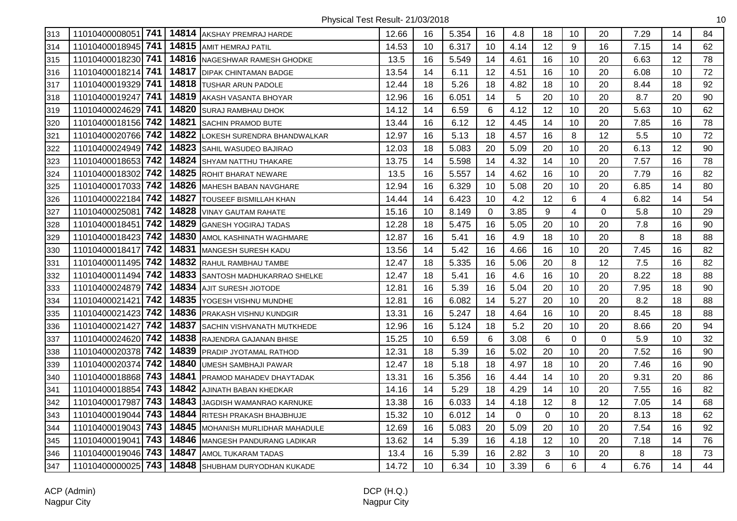| 313 | 11010400008051 741    |       | 14814 AKSHAY PREMRAJ HARDE       | 12.66 | 16 | 5.354 | 16          | 4.8  | 18       | 10             | 20       | 7.29 | 14 | 84 |
|-----|-----------------------|-------|----------------------------------|-------|----|-------|-------------|------|----------|----------------|----------|------|----|----|
| 314 | 741<br>11010400018945 |       | 14815 AMIT HEMRAJ PATIL          | 14.53 | 10 | 6.317 | 10          | 4.14 | 12       | 9              | 16       | 7.15 | 14 | 62 |
| 315 | 11010400018230 741    |       | 14816 NAGESHWAR RAMESH GHODKE    | 13.5  | 16 | 5.549 | 14          | 4.61 | 16       | 10             | 20       | 6.63 | 12 | 78 |
| 316 | 741<br>11010400018214 |       | 14817 DIPAK CHINTAMAN BADGE      | 13.54 | 14 | 6.11  | 12          | 4.51 | 16       | 10             | 20       | 6.08 | 10 | 72 |
| 317 | 741<br>11010400019329 |       | 14818 TUSHAR ARUN PADOLE         | 12.44 | 18 | 5.26  | 18          | 4.82 | 18       | 10             | 20       | 8.44 | 18 | 92 |
| 318 | 741<br>11010400019247 |       | 14819 AKASH VASANTA BHOYAR       | 12.96 | 16 | 6.051 | 14          | 5    | 20       | 10             | 20       | 8.7  | 20 | 90 |
| 319 | 741<br>11010400024629 |       | 14820 SURAJ RAMBHAU DHOK         | 14.12 | 14 | 6.59  | 6           | 4.12 | 12       | 10             | 20       | 5.63 | 10 | 62 |
| 320 | 11010400018156 742    |       | 14821 SACHIN PRAMOD BUTE         | 13.44 | 16 | 6.12  | 12          | 4.45 | 14       | 10             | 20       | 7.85 | 16 | 78 |
| 321 | 11010400020766 742    | 14822 | LOKESH SURENDRA BHANDWALKAR      | 12.97 | 16 | 5.13  | 18          | 4.57 | 16       | 8              | 12       | 5.5  | 10 | 72 |
| 322 | 742<br>11010400024949 | 14823 | SAHIL WASUDEO BAJIRAO            | 12.03 | 18 | 5.083 | 20          | 5.09 | 20       | 10             | 20       | 6.13 | 12 | 90 |
| 323 | 11010400018653 742    | 14824 | <b>SHYAM NATTHU THAKARE</b>      | 13.75 | 14 | 5.598 | 14          | 4.32 | 14       | 10             | 20       | 7.57 | 16 | 78 |
| 324 | 742<br>11010400018302 | 14825 | <b>ROHIT BHARAT NEWARE</b>       | 13.5  | 16 | 5.557 | 14          | 4.62 | 16       | 10             | 20       | 7.79 | 16 | 82 |
| 325 | 11010400017033 742    |       | 14826 MAHESH BABAN NAVGHARE      | 12.94 | 16 | 6.329 | 10          | 5.08 | 20       | 10             | 20       | 6.85 | 14 | 80 |
| 326 | 742<br>11010400022184 |       | 14827 TOUSEEF BISMILLAH KHAN     | 14.44 | 14 | 6.423 | 10          | 4.2  | 12       | $6\phantom{1}$ | 4        | 6.82 | 14 | 54 |
| 327 | 742<br>11010400025081 |       | 14828 VINAY GAUTAM RAHATE        | 15.16 | 10 | 8.149 | $\mathbf 0$ | 3.85 | 9        | 4              | 0        | 5.8  | 10 | 29 |
| 328 | 742<br>11010400018451 | 14829 | <b>GANESH YOGIRAJ TADAS</b>      | 12.28 | 18 | 5.475 | 16          | 5.05 | 20       | 10             | 20       | 7.8  | 16 | 90 |
| 329 | 11010400018423 742    | 14830 | AMOL KASHINATH WAGHMARE          | 12.87 | 16 | 5.41  | 16          | 4.9  | 18       | 10             | 20       | 8    | 18 | 88 |
| 330 | 742<br>11010400018417 | 14831 | <b>MANGESH SURESH KADU</b>       | 13.56 | 14 | 5.42  | 16          | 4.66 | 16       | 10             | 20       | 7.45 | 16 | 82 |
| 331 | 11010400011495 742    | 14832 | <b>RAHUL RAMBHAU TAMBE</b>       | 12.47 | 18 | 5.335 | 16          | 5.06 | 20       | 8              | 12       | 7.5  | 16 | 82 |
| 332 | 742<br>11010400011494 |       | 14833 SANTOSH MADHUKARRAO SHELKE | 12.47 | 18 | 5.41  | 16          | 4.6  | 16       | 10             | 20       | 8.22 | 18 | 88 |
| 333 | 11010400024879 742    |       | 14834 AJIT SURESH JIOTODE        | 12.81 | 16 | 5.39  | 16          | 5.04 | 20       | 10             | 20       | 7.95 | 18 | 90 |
| 334 | 742<br>11010400021421 |       | 14835 YOGESH VISHNU MUNDHE       | 12.81 | 16 | 6.082 | 14          | 5.27 | 20       | 10             | 20       | 8.2  | 18 | 88 |
| 335 | 11010400021423 742    |       | 14836 PRAKASH VISHNU KUNDGIR     | 13.31 | 16 | 5.247 | 18          | 4.64 | 16       | 10             | 20       | 8.45 | 18 | 88 |
| 336 | 742<br>11010400021427 | 14837 | SACHIN VISHVANATH MUTKHEDE       | 12.96 | 16 | 5.124 | 18          | 5.2  | 20       | 10             | 20       | 8.66 | 20 | 94 |
| 337 | 11010400024620 742    | 14838 | RAJENDRA GAJANAN BHISE           | 15.25 | 10 | 6.59  | 6           | 3.08 | 6        | $\mathbf 0$    | $\Omega$ | 5.9  | 10 | 32 |
| 338 | 11010400020378 742    |       | 14839 PRADIP JYOTAMAL RATHOD     | 12.31 | 18 | 5.39  | 16          | 5.02 | 20       | 10             | 20       | 7.52 | 16 | 90 |
| 339 | 742<br>11010400020374 | 14840 | <b>UMESH SAMBHAJI PAWAR</b>      | 12.47 | 18 | 5.18  | 18          | 4.97 | 18       | 10             | 20       | 7.46 | 16 | 90 |
| 340 | 743<br>11010400018868 |       | 14841 PRAMOD MAHADEV DHAYTADAK   | 13.31 | 16 | 5.356 | 16          | 4.44 | 14       | 10             | 20       | 9.31 | 20 | 86 |
| 341 | 743<br>11010400018854 |       | 14842 AJINATH BABAN KHEDKAR      | 14.16 | 14 | 5.29  | 18          | 4.29 | 14       | 10             | 20       | 7.55 | 16 | 82 |
| 342 | 743<br>11010400017987 | 14843 | JAGDISH WAMANRAO KARNUKE         | 13.38 | 16 | 6.033 | 14          | 4.18 | 12       | 8              | 12       | 7.05 | 14 | 68 |
| 343 | 743<br>11010400019044 |       | 14844 RITESH PRAKASH BHAJBHUJE   | 15.32 | 10 | 6.012 | 14          | 0    | $\Omega$ | 10             | 20       | 8.13 | 18 | 62 |
| 344 | 11010400019043 743    | 14845 | MOHANISH MURLIDHAR MAHADULE      | 12.69 | 16 | 5.083 | 20          | 5.09 | 20       | 10             | 20       | 7.54 | 16 | 92 |
| 345 | 743<br>11010400019041 | 14846 | <b>MANGESH PANDURANG LADIKAR</b> | 13.62 | 14 | 5.39  | 16          | 4.18 | 12       | 10             | 20       | 7.18 | 14 | 76 |
| 346 | 11010400019046 743    | 14847 | AMOL TUKARAM TADAS               | 13.4  | 16 | 5.39  | 16          | 2.82 | 3        | 10             | 20       | 8    | 18 | 73 |
| 347 | 11010400000025 743    |       | 14848 SHUBHAM DURYODHAN KUKADE   | 14.72 | 10 | 6.34  | 10          | 3.39 | 6        | 6              | 4        | 6.76 | 14 | 44 |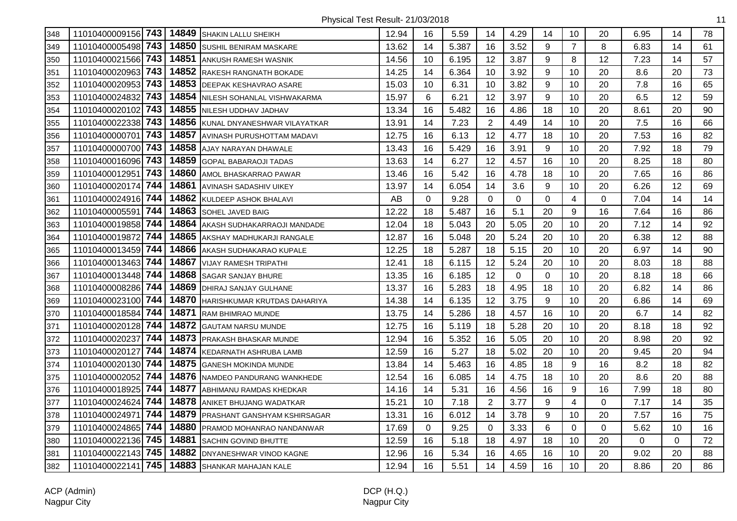| 348 | 11010400009156 743 |     |       | 14849 SHAKIN LALLU SHEIKH          | 12.94 | 16 | 5.59  | 14             | 4.29        | 14          | 10             | 20          | 6.95 | 14       | 78 |
|-----|--------------------|-----|-------|------------------------------------|-------|----|-------|----------------|-------------|-------------|----------------|-------------|------|----------|----|
| 349 | 11010400005498     | 743 | 14850 | <b>SUSHIL BENIRAM MASKARE</b>      | 13.62 | 14 | 5.387 | 16             | 3.52        | 9           | $\overline{7}$ | 8           | 6.83 | 14       | 61 |
| 350 | 11010400021566 743 |     | 14851 | ANKUSH RAMESH WASNIK               | 14.56 | 10 | 6.195 | 12             | 3.87        | 9           | 8              | 12          | 7.23 | 14       | 57 |
| 351 | 11010400020963 743 |     | 14852 | <b>RAKESH RANGNATH BOKADE</b>      | 14.25 | 14 | 6.364 | 10             | 3.92        | 9           | 10             | 20          | 8.6  | 20       | 73 |
| 352 | 11010400020953 743 |     |       | 14853 DEEPAK KESHAVRAO ASARE       | 15.03 | 10 | 6.31  | 10             | 3.82        | 9           | 10             | 20          | 7.8  | 16       | 65 |
| 353 | 11010400024832     | 743 |       | 14854 NILESH SOHANLAL VISHWAKARMA  | 15.97 | 6  | 6.21  | 12             | 3.97        | 9           | 10             | 20          | 6.5  | 12       | 59 |
| 354 | 11010400020102 743 |     |       | 14855 NILESH UDDHAV JADHAV         | 13.34 | 16 | 5.482 | 16             | 4.86        | 18          | 10             | 20          | 8.61 | 20       | 90 |
| 355 | 11010400022338 743 |     | 14856 | KUNAL DNYANESHWAR VILAYATKAR       | 13.91 | 14 | 7.23  | $\overline{2}$ | 4.49        | 14          | 10             | 20          | 7.5  | 16       | 66 |
| 356 | 11010400000701     | 743 | 14857 | <b>AVINASH PURUSHOTTAM MADAVI</b>  | 12.75 | 16 | 6.13  | 12             | 4.77        | 18          | 10             | 20          | 7.53 | 16       | 82 |
| 357 | 11010400000700 743 |     | 14858 | AJAY NARAYAN DHAWALE               | 13.43 | 16 | 5.429 | 16             | 3.91        | 9           | 10             | 20          | 7.92 | 18       | 79 |
| 358 | 11010400016096 743 |     | 14859 | <b>GOPAL BABARAOJI TADAS</b>       | 13.63 | 14 | 6.27  | 12             | 4.57        | 16          | 10             | 20          | 8.25 | 18       | 80 |
| 359 | 11010400012951     | 743 | 14860 | AMOL BHASKARRAO PAWAR              | 13.46 | 16 | 5.42  | 16             | 4.78        | 18          | 10             | 20          | 7.65 | 16       | 86 |
| 360 | 11010400020174     | 744 | 14861 | <b>AVINASH SADASHIV UIKEY</b>      | 13.97 | 14 | 6.054 | 14             | 3.6         | 9           | 10             | 20          | 6.26 | 12       | 69 |
| 361 | 11010400024916 744 |     | 14862 | KULDEEP ASHOK BHALAVI              | AB    | 0  | 9.28  | $\mathbf 0$    | $\mathbf 0$ | $\mathbf 0$ | 4              | $\mathbf 0$ | 7.04 | 14       | 14 |
| 362 | 11010400005591     | 744 |       | 14863 SOHEL JAVED BAIG             | 12.22 | 18 | 5.487 | 16             | 5.1         | 20          | 9              | 16          | 7.64 | 16       | 86 |
| 363 | 11010400019858 744 |     | 14864 | AKASH SUDHAKARRAOJI MANDADE        | 12.04 | 18 | 5.043 | 20             | 5.05        | 20          | 10             | 20          | 7.12 | 14       | 92 |
| 364 | 11010400019872     | 744 | 14865 | AKSHAY MADHUKARJI RANGALE          | 12.87 | 16 | 5.048 | 20             | 5.24        | 20          | 10             | 20          | 6.38 | 12       | 88 |
| 365 | 11010400013459     | 744 | 14866 | AKASH SUDHAKARAO KUPALE            | 12.25 | 18 | 5.287 | 18             | 5.15        | 20          | 10             | 20          | 6.97 | 14       | 90 |
| 366 | 11010400013463     | 744 | 14867 | <b>VIJAY RAMESH TRIPATHI</b>       | 12.41 | 18 | 6.115 | 12             | 5.24        | 20          | 10             | 20          | 8.03 | 18       | 88 |
| 367 | 11010400013448     | 744 | 14868 | <b>SAGAR SANJAY BHURE</b>          | 13.35 | 16 | 6.185 | 12             | 0           | 0           | 10             | 20          | 8.18 | 18       | 66 |
| 368 | 11010400008286 744 |     |       | 14869   DHIRAJ SANJAY GULHANE      | 13.37 | 16 | 5.283 | 18             | 4.95        | 18          | 10             | 20          | 6.82 | 14       | 86 |
| 369 | 11010400023100 744 |     | 14870 | HARISHKUMAR KRUTDAS DAHARIYA       | 14.38 | 14 | 6.135 | 12             | 3.75        | 9           | 10             | 20          | 6.86 | 14       | 69 |
| 370 | 11010400018584     | 744 | 14871 | <b>RAM BHIMRAO MUNDE</b>           | 13.75 | 14 | 5.286 | 18             | 4.57        | 16          | 10             | 20          | 6.7  | 14       | 82 |
| 371 | 11010400020128     | 744 | 14872 | <b>GAUTAM NARSU MUNDE</b>          | 12.75 | 16 | 5.119 | 18             | 5.28        | 20          | 10             | 20          | 8.18 | 18       | 92 |
| 372 | 11010400020237     | 744 | 14873 | <b>PRAKASH BHASKAR MUNDE</b>       | 12.94 | 16 | 5.352 | 16             | 5.05        | 20          | 10             | 20          | 8.98 | 20       | 92 |
| 373 | 11010400020127     | 744 | 14874 | KEDARNATH ASHRUBA LAMB             | 12.59 | 16 | 5.27  | 18             | 5.02        | 20          | 10             | 20          | 9.45 | 20       | 94 |
| 374 | 11010400020130     | 744 | 14875 | <b>GANESH MOKINDA MUNDE</b>        | 13.84 | 14 | 5.463 | 16             | 4.85        | 18          | 9              | 16          | 8.2  | 18       | 82 |
| 375 | 11010400002052     | 744 |       | 14876 NAMDEO PANDURANG WANKHEDE    | 12.54 | 16 | 6.085 | 14             | 4.75        | 18          | 10             | 20          | 8.6  | 20       | 88 |
| 376 | 11010400018925     | 744 |       | 14877 ABHIMANU RAMDAS KHEDKAR      | 14.16 | 14 | 5.31  | 16             | 4.56        | 16          | 9              | 16          | 7.99 | 18       | 80 |
| 377 | 11010400024624     | 744 |       | 14878 ANIKET BHUJANG WADATKAR      | 15.21 | 10 | 7.18  | $\overline{2}$ | 3.77        | 9           | 4              | $\Omega$    | 7.17 | 14       | 35 |
| 378 | 11010400024971     | 744 |       | 14879 PRASHANT GANSHYAM KSHIRSAGAR | 13.31 | 16 | 6.012 | 14             | 3.78        | 9           | 10             | 20          | 7.57 | 16       | 75 |
| 379 | 11010400024865 744 |     | 14880 | PRAMOD MOHANRAO NANDANWAR          | 17.69 | 0  | 9.25  | 0              | 3.33        | 6           | 0              | 0           | 5.62 | 10       | 16 |
| 380 | 11010400022136     | 745 | 14881 | <b>SACHIN GOVIND BHUTTE</b>        | 12.59 | 16 | 5.18  | 18             | 4.97        | 18          | 10             | 20          | 0    | $\Omega$ | 72 |
| 381 | 11010400022143 745 |     | 14882 | DNYANESHWAR VINOD KAGNE            | 12.96 | 16 | 5.34  | 16             | 4.65        | 16          | 10             | 20          | 9.02 | 20       | 88 |
| 382 | 11010400022141     | 745 |       | 14883 SHANKAR MAHAJAN KALE         | 12.94 | 16 | 5.51  | 14             | 4.59        | 16          | 10             | 20          | 8.86 | 20       | 86 |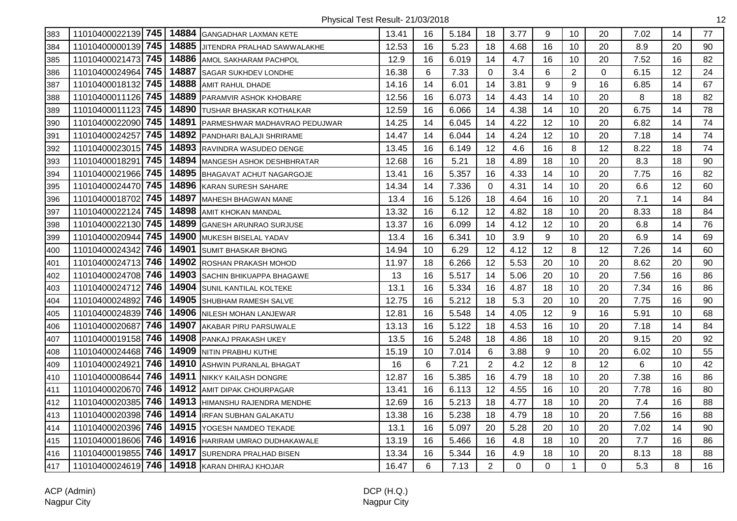| 383 |                       |       | 11010400022139 745   14884 GANGADHAR LAXMAN KETE | 13.41 | 16 | 5.184 | 18             | 3.77 | 9           | 10             | 20       | 7.02 | 14 | 77 |
|-----|-----------------------|-------|--------------------------------------------------|-------|----|-------|----------------|------|-------------|----------------|----------|------|----|----|
| 384 | 11010400000139 745    | 14885 | JITENDRA PRALHAD SAWWALAKHE                      | 12.53 | 16 | 5.23  | 18             | 4.68 | 16          | 10             | 20       | 8.9  | 20 | 90 |
| 385 | 11010400021473 745    | 14886 | <b>AMOL SAKHARAM PACHPOL</b>                     | 12.9  | 16 | 6.019 | 14             | 4.7  | 16          | 10             | 20       | 7.52 | 16 | 82 |
| 386 | 745<br>11010400024964 | 14887 | <b>ISAGAR SUKHDEV LONDHE</b>                     | 16.38 | 6  | 7.33  | 0              | 3.4  | 6           | $\overline{2}$ | $\Omega$ | 6.15 | 12 | 24 |
| 387 | 745<br>11010400018132 |       | 14888 AMIT RAHUL DHADE                           | 14.16 | 14 | 6.01  | 14             | 3.81 | 9           | 9              | 16       | 6.85 | 14 | 67 |
| 388 | 11010400011126 745    |       | 14889 PARAMVIR ASHOK KHOBARE                     | 12.56 | 16 | 6.073 | 14             | 4.43 | 14          | 10             | 20       | 8    | 18 | 82 |
| 389 | 11010400011123 745    |       | 14890 TUSHAR BHASKAR KOTHALKAR                   | 12.59 | 16 | 6.066 | 14             | 4.38 | 14          | 10             | 20       | 6.75 | 14 | 78 |
| 390 | 11010400022090 745    | 14891 | <b>PARMESHWAR MADHAVRAO PEDUJWAR</b>             | 14.25 | 14 | 6.045 | 14             | 4.22 | 12          | 10             | 20       | 6.82 | 14 | 74 |
| 391 | 745<br>11010400024257 |       | 14892 PANDHARI BALAJI SHRIRAME                   | 14.47 | 14 | 6.044 | 14             | 4.24 | 12          | 10             | 20       | 7.18 | 14 | 74 |
| 392 | 745<br>11010400023015 |       | 14893 RAVINDRA WASUDEO DENGE                     | 13.45 | 16 | 6.149 | 12             | 4.6  | 16          | 8              | 12       | 8.22 | 18 | 74 |
| 393 | 745<br>11010400018291 | 14894 | <b>MANGESH ASHOK DESHBHRATAR</b>                 | 12.68 | 16 | 5.21  | 18             | 4.89 | 18          | 10             | 20       | 8.3  | 18 | 90 |
| 394 | 11010400021966 745    |       | 14895 BHAGAVAT ACHUT NAGARGOJE                   | 13.41 | 16 | 5.357 | 16             | 4.33 | 14          | 10             | 20       | 7.75 | 16 | 82 |
| 395 | 11010400024470 745    |       | 14896 KARAN SURESH SAHARE                        | 14.34 | 14 | 7.336 | 0              | 4.31 | 14          | 10             | 20       | 6.6  | 12 | 60 |
| 396 | 11010400018702 745    |       | 14897 MAHESH BHAGWAN MANE                        | 13.4  | 16 | 5.126 | 18             | 4.64 | 16          | 10             | 20       | 7.1  | 14 | 84 |
| 397 | 11010400022124 745    |       | 14898 AMIT KHOKAN MANDAL                         | 13.32 | 16 | 6.12  | 12             | 4.82 | 18          | 10             | 20       | 8.33 | 18 | 84 |
| 398 | 11010400022130 745    |       | 14899 GANESH ARUNRAO SURJUSE                     | 13.37 | 16 | 6.099 | 14             | 4.12 | 12          | 10             | 20       | 6.8  | 14 | 76 |
| 399 | 11010400020944 745    | 14900 | MUKESH BISELAL YADAV                             | 13.4  | 16 | 6.341 | 10             | 3.9  | 9           | 10             | 20       | 6.9  | 14 | 69 |
| 400 | 746<br>11010400024342 | 14901 | <b>SUMIT BHASKAR BHONG</b>                       | 14.94 | 10 | 6.29  | 12             | 4.12 | 12          | 8              | 12       | 7.26 | 14 | 60 |
| 401 | 11010400024713 746    | 14902 | <b>ROSHAN PRAKASH MOHOD</b>                      | 11.97 | 18 | 6.266 | 12             | 5.53 | 20          | 10             | 20       | 8.62 | 20 | 90 |
| 402 | 11010400024708 746    |       | 14903 SACHIN BHIKUAPPA BHAGAWE                   | 13    | 16 | 5.517 | 14             | 5.06 | 20          | 10             | 20       | 7.56 | 16 | 86 |
| 403 | 11010400024712 746    |       | 14904 SUNIL KANTILAL KOLTEKE                     | 13.1  | 16 | 5.334 | 16             | 4.87 | 18          | 10             | 20       | 7.34 | 16 | 86 |
| 404 | 746<br>11010400024892 |       | 14905 SHUBHAM RAMESH SALVE                       | 12.75 | 16 | 5.212 | 18             | 5.3  | 20          | 10             | 20       | 7.75 | 16 | 90 |
| 405 | 11010400024839 746    |       | 14906 NILESH MOHAN LANJEWAR                      | 12.81 | 16 | 5.548 | 14             | 4.05 | 12          | 9              | 16       | 5.91 | 10 | 68 |
| 406 | 746<br>11010400020687 | 14907 | AKABAR PIRU PARSUWALE                            | 13.13 | 16 | 5.122 | 18             | 4.53 | 16          | 10             | 20       | 7.18 | 14 | 84 |
| 407 | 11010400019158 746    |       | 14908 PANKAJ PRAKASH UKEY                        | 13.5  | 16 | 5.248 | 18             | 4.86 | 18          | 10             | 20       | 9.15 | 20 | 92 |
| 408 | 11010400024468 746    |       | 14909 NITIN PRABHU KUTHE                         | 15.19 | 10 | 7.014 | 6              | 3.88 | 9           | 10             | 20       | 6.02 | 10 | 55 |
| 409 | 746<br>11010400024921 |       | 14910 ASHWIN PURANLAL BHAGAT                     | 16    | 6  | 7.21  | $\overline{c}$ | 4.2  | 12          | 8              | 12       | 6    | 10 | 42 |
| 410 | 746<br>11010400008644 |       | 14911 NIKKY KAILASH DONGRE                       | 12.87 | 16 | 5.385 | 16             | 4.79 | 18          | 10             | 20       | 7.38 | 16 | 86 |
| 411 | 11010400020670 746    |       | 14912 AMIT DIPAK CHOURPAGAR                      | 13.41 | 16 | 6.113 | 12             | 4.55 | 16          | 10             | 20       | 7.78 | 16 | 80 |
| 412 | 11010400020385 746    |       | 14913 HIMANSHU RAJENDRA MENDHE                   | 12.69 | 16 | 5.213 | 18             | 4.77 | 18          | 10             | 20       | 7.4  | 16 | 88 |
| 413 | 11010400020398 746    |       | 14914 IRFAN SUBHAN GALAKATU                      | 13.38 | 16 | 5.238 | 18             | 4.79 | 18          | 10             | 20       | 7.56 | 16 | 88 |
| 414 | 746<br>11010400020396 |       | 14915   YOGESH NAMDEO TEKADE                     | 13.1  | 16 | 5.097 | 20             | 5.28 | 20          | 10             | 20       | 7.02 | 14 | 90 |
| 415 | 746<br>11010400018606 |       | 14916 HARIRAM UMRAO DUDHAKAWALE                  | 13.19 | 16 | 5.466 | 16             | 4.8  | 18          | 10             | 20       | 7.7  | 16 | 86 |
| 416 | 11010400019855 746    |       | 14917 SURENDRA PRALHAD BISEN                     | 13.34 | 16 | 5.344 | 16             | 4.9  | 18          | 10             | 20       | 8.13 | 18 | 88 |
| 417 | 11010400024619 746    |       | 14918 KARAN DHIRAJ KHOJAR                        | 16.47 | 6  | 7.13  | $\overline{2}$ | 0    | $\mathbf 0$ | $\mathbf{1}$   | 0        | 5.3  | 8  | 16 |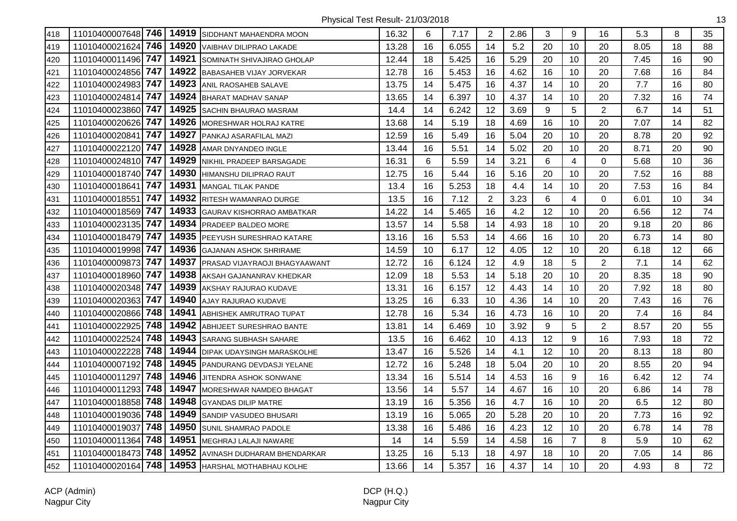| 418 | 11010400007648 746 |     |       | 14919 SIDDHANT MAHAENDRA MOON     | 16.32 | 6  | 7.17  | $\overline{2}$ | 2.86 | 3  | 9              | 16             | 5.3  | 8  | 35 |
|-----|--------------------|-----|-------|-----------------------------------|-------|----|-------|----------------|------|----|----------------|----------------|------|----|----|
| 419 | 11010400021624 746 |     | 14920 | <b>VAIBHAV DILIPRAO LAKADE</b>    | 13.28 | 16 | 6.055 | 14             | 5.2  | 20 | 10             | 20             | 8.05 | 18 | 88 |
| 420 | 11010400011496 747 |     | 14921 | SOMINATH SHIVAJIRAO GHOLAP        | 12.44 | 18 | 5.425 | 16             | 5.29 | 20 | 10             | 20             | 7.45 | 16 | 90 |
| 421 | 11010400024856 747 |     | 14922 | <b>BABASAHEB VIJAY JORVEKAR</b>   | 12.78 | 16 | 5.453 | 16             | 4.62 | 16 | 10             | 20             | 7.68 | 16 | 84 |
| 422 | 11010400024983 747 |     | 14923 | ANIL RAOSAHEB SALAVE              | 13.75 | 14 | 5.475 | 16             | 4.37 | 14 | 10             | 20             | 7.7  | 16 | 80 |
| 423 | 11010400024814 747 |     |       | 14924 BHARAT MADHAV SANAP         | 13.65 | 14 | 6.397 | 10             | 4.37 | 14 | 10             | 20             | 7.32 | 16 | 74 |
| 424 | 11010400023860 747 |     | 14925 | <b>SACHIN BHAURAO MASRAM</b>      | 14.4  | 14 | 6.242 | 12             | 3.69 | 9  | 5              | $\overline{2}$ | 6.7  | 14 | 51 |
| 425 | 11010400020626 747 |     | 14926 | <b>MORESHWAR HOLRAJ KATRE</b>     | 13.68 | 14 | 5.19  | 18             | 4.69 | 16 | 10             | 20             | 7.07 | 14 | 82 |
| 426 | 11010400020841     | 747 | 14927 | PANKAJ ASARAFILAL MAZI            | 12.59 | 16 | 5.49  | 16             | 5.04 | 20 | 10             | 20             | 8.78 | 20 | 92 |
| 427 | 11010400022120 747 |     | 14928 | AMAR DNYANDEO INGLE               | 13.44 | 16 | 5.51  | 14             | 5.02 | 20 | 10             | 20             | 8.71 | 20 | 90 |
| 428 | 11010400024810 747 |     | 14929 | NIKHIL PRADEEP BARSAGADE          | 16.31 | 6  | 5.59  | 14             | 3.21 | 6  | $\overline{4}$ | $\mathbf 0$    | 5.68 | 10 | 36 |
| 429 | 11010400018740 747 |     | 14930 | HIMANSHU DILIPRAO RAUT            | 12.75 | 16 | 5.44  | 16             | 5.16 | 20 | 10             | 20             | 7.52 | 16 | 88 |
| 430 | 11010400018641 747 |     | 14931 | <b>MANGAL TILAK PANDE</b>         | 13.4  | 16 | 5.253 | 18             | 4.4  | 14 | 10             | 20             | 7.53 | 16 | 84 |
| 431 | 11010400018551     | 747 |       | 14932 RITESH WAMANRAO DURGE       | 13.5  | 16 | 7.12  | $\overline{2}$ | 3.23 | 6  | 4              | 0              | 6.01 | 10 | 34 |
| 432 | 11010400018569 747 |     | 14933 | <b>GAURAV KISHORRAO AMBATKAR</b>  | 14.22 | 14 | 5.465 | 16             | 4.2  | 12 | 10             | 20             | 6.56 | 12 | 74 |
| 433 | 11010400023135 747 |     | 14934 | <b>IPRADEEP BALDEO MORE</b>       | 13.57 | 14 | 5.58  | 14             | 4.93 | 18 | 10             | 20             | 9.18 | 20 | 86 |
| 434 | 11010400018479 747 |     | 14935 | PEEYUSH SURESHRAO KATARE          | 13.16 | 16 | 5.53  | 14             | 4.66 | 16 | 10             | 20             | 6.73 | 14 | 80 |
| 435 | 11010400019998 747 |     | 14936 | <b>GAJANAN ASHOK SHRIRAME</b>     | 14.59 | 10 | 6.17  | 12             | 4.05 | 12 | 10             | 20             | 6.18 | 12 | 66 |
| 436 | 11010400009873     | 747 | 14937 | PRASAD VIJAYRAOJI BHAGYAAWANT     | 12.72 | 16 | 6.124 | 12             | 4.9  | 18 | 5              | $\overline{2}$ | 7.1  | 14 | 62 |
| 437 | 11010400018960 747 |     | 14938 | AKSAH GAJANANRAV KHEDKAR          | 12.09 | 18 | 5.53  | 14             | 5.18 | 20 | 10             | 20             | 8.35 | 18 | 90 |
| 438 | 11010400020348 747 |     | 14939 | AKSHAY RAJURAO KUDAVE             | 13.31 | 16 | 6.157 | 12             | 4.43 | 14 | 10             | 20             | 7.92 | 18 | 80 |
| 439 | 11010400020363 747 |     | 14940 | <b>AJAY RAJURAO KUDAVE</b>        | 13.25 | 16 | 6.33  | 10             | 4.36 | 14 | 10             | 20             | 7.43 | 16 | 76 |
| 440 | 11010400020866 748 |     | 14941 | <b>ABHISHEK AMRUTRAO TUPAT</b>    | 12.78 | 16 | 5.34  | 16             | 4.73 | 16 | 10             | 20             | 7.4  | 16 | 84 |
| 441 | 11010400022925     | 748 | 14942 | ABHIJEET SURESHRAO BANTE          | 13.81 | 14 | 6.469 | 10             | 3.92 | 9  | 5              | $\overline{2}$ | 8.57 | 20 | 55 |
| 442 | 11010400022524     | 748 | 14943 | <b>SARANG SUBHASH SAHARE</b>      | 13.5  | 16 | 6.462 | 10             | 4.13 | 12 | 9              | 16             | 7.93 | 18 | 72 |
| 443 | 11010400022228     | 748 | 14944 | <b>DIPAK UDAYSINGH MARASKOLHE</b> | 13.47 | 16 | 5.526 | 14             | 4.1  | 12 | 10             | 20             | 8.13 | 18 | 80 |
| 444 | 11010400007192     | 748 | 14945 | PANDURANG DEVDASJI YELANE         | 12.72 | 16 | 5.248 | 18             | 5.04 | 20 | 10             | 20             | 8.55 | 20 | 94 |
| 445 | 11010400011297     | 748 | 14946 | <b>JITENDRA ASHOK SONWANE</b>     | 13.34 | 16 | 5.514 | 14             | 4.53 | 16 | 9              | 16             | 6.42 | 12 | 74 |
| 446 | 11010400011293 748 |     | 14947 | <b>IMORESHWAR NAMDEO BHAGAT</b>   | 13.56 | 14 | 5.57  | 14             | 4.67 | 16 | 10             | 20             | 6.86 | 14 | 78 |
| 447 | 11010400018858 748 |     | 14948 | <b>GYANDAS DILIP MATRE</b>        | 13.19 | 16 | 5.356 | 16             | 4.7  | 16 | 10             | 20             | 6.5  | 12 | 80 |
| 448 | 11010400019036 748 |     | 14949 | <b>I</b> SANDIP VASUDEO BHUSARI   | 13.19 | 16 | 5.065 | 20             | 5.28 | 20 | 10             | 20             | 7.73 | 16 | 92 |
| 449 | 11010400019037     | 748 | 14950 | <b>SUNIL SHAMRAO PADOLE</b>       | 13.38 | 16 | 5.486 | 16             | 4.23 | 12 | 10             | 20             | 6.78 | 14 | 78 |
| 450 | 11010400011364     | 748 | 14951 | MEGHRAJ LALAJI NAWARE             | 14    | 14 | 5.59  | 14             | 4.58 | 16 | $\overline{7}$ | 8              | 5.9  | 10 | 62 |
| 451 | 11010400018473 748 |     | 14952 | AVINASH DUDHARAM BHENDARKAR       | 13.25 | 16 | 5.13  | 18             | 4.97 | 18 | 10             | 20             | 7.05 | 14 | 86 |
| 452 | 11010400020164 748 |     |       | 14953 HARSHAL MOTHABHAU KOLHE     | 13.66 | 14 | 5.357 | 16             | 4.37 | 14 | 10             | 20             | 4.93 | 8  | 72 |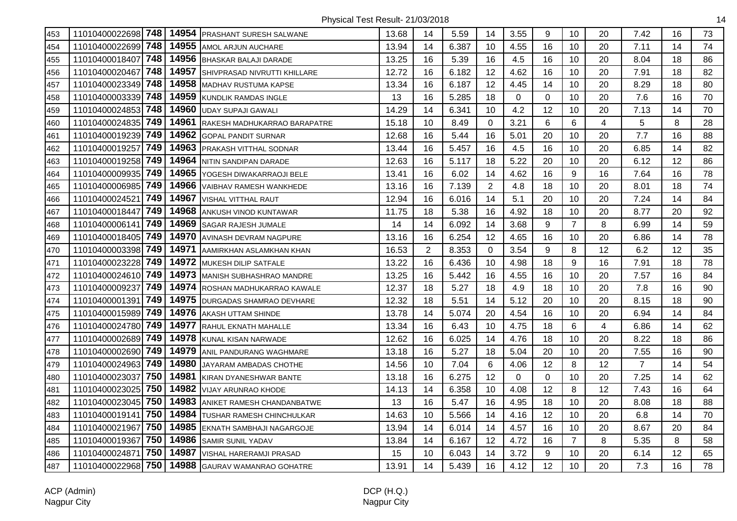| 453 | 11010400022698 748 |     | 14954 | PRASHANT SURESH SALWANE      | 13.68 | 14 | 5.59  | 14             | 3.55        | 9           | 10             | 20 | 7.42           | 16 | 73 |
|-----|--------------------|-----|-------|------------------------------|-------|----|-------|----------------|-------------|-------------|----------------|----|----------------|----|----|
| 454 | 11010400022699     | 748 | 14955 | AMOL ARJUN AUCHARE           | 13.94 | 14 | 6.387 | 10             | 4.55        | 16          | 10             | 20 | 7.11           | 14 | 74 |
| 455 | 11010400018407     | 748 | 14956 | BHASKAR BALAJI DARADE        | 13.25 | 16 | 5.39  | 16             | 4.5         | 16          | 10             | 20 | 8.04           | 18 | 86 |
| 456 | 11010400020467     | 748 | 14957 | SHIVPRASAD NIVRUTTI KHILLARE | 12.72 | 16 | 6.182 | 12             | 4.62        | 16          | 10             | 20 | 7.91           | 18 | 82 |
| 457 | 11010400023349     | 748 | 14958 | <b>MADHAV RUSTUMA KAPSE</b>  | 13.34 | 16 | 6.187 | 12             | 4.45        | 14          | 10             | 20 | 8.29           | 18 | 80 |
| 458 | 11010400003339     | 748 | 14959 | KUNDLIK RAMDAS INGLE         | 13    | 16 | 5.285 | 18             | $\Omega$    | $\mathbf 0$ | 10             | 20 | 7.6            | 16 | 70 |
| 459 | 11010400024853     | 748 | 14960 | <b>UDAY SUPAJI GAWALI</b>    | 14.29 | 14 | 6.341 | 10             | 4.2         | 12          | 10             | 20 | 7.13           | 14 | 70 |
| 460 | 11010400024835 749 |     | 14961 | RAKESH MADHUKARRAO BARAPATRE | 15.18 | 10 | 8.49  | 0              | 3.21        | 6           | 6              | 4  | 5              | 8  | 28 |
| 461 | 11010400019239 749 |     | 14962 | <b>GOPAL PANDIT SURNAR</b>   | 12.68 | 16 | 5.44  | 16             | 5.01        | 20          | 10             | 20 | 7.7            | 16 | 88 |
| 462 | 11010400019257     | 749 | 14963 | PRAKASH VITTHAL SODNAR       | 13.44 | 16 | 5.457 | 16             | 4.5         | 16          | 10             | 20 | 6.85           | 14 | 82 |
| 463 | 11010400019258 749 |     | 14964 | NITIN SANDIPAN DARADE        | 12.63 | 16 | 5.117 | 18             | 5.22        | 20          | 10             | 20 | 6.12           | 12 | 86 |
| 464 | 11010400009935     | 749 | 14965 | YOGESH DIWAKARRAOJI BELE     | 13.41 | 16 | 6.02  | 14             | 4.62        | 16          | 9              | 16 | 7.64           | 16 | 78 |
| 465 | 11010400006985     | 749 | 14966 | VAIBHAV RAMESH WANKHEDE      | 13.16 | 16 | 7.139 | $\overline{2}$ | 4.8         | 18          | 10             | 20 | 8.01           | 18 | 74 |
| 466 | 11010400024521     | 749 | 14967 | <b>VISHAL VITTHAL RAUT</b>   | 12.94 | 16 | 6.016 | 14             | 5.1         | 20          | 10             | 20 | 7.24           | 14 | 84 |
| 467 | 11010400018447     | 749 | 14968 | ANKUSH VINOD KUNTAWAR        | 11.75 | 18 | 5.38  | 16             | 4.92        | 18          | 10             | 20 | 8.77           | 20 | 92 |
| 468 | 11010400006141     | 749 | 14969 | SAGAR RAJESH JUMALE          | 14    | 14 | 6.092 | 14             | 3.68        | 9           | $\overline{7}$ | 8  | 6.99           | 14 | 59 |
| 469 | 11010400018405 749 |     | 14970 | AVINASH DEVRAM NAGPURE       | 13.16 | 16 | 6.254 | 12             | 4.65        | 16          | 10             | 20 | 6.86           | 14 | 78 |
| 470 | 11010400003398 749 |     | 14971 | AAMIRKHAN ASLAMKHAN KHAN     | 16.53 | 2  | 8.353 | $\Omega$       | 3.54        | 9           | 8              | 12 | 6.2            | 12 | 35 |
| 471 | 11010400023228     | 749 | 14972 | MUKESH DILIP SATFALE         | 13.22 | 16 | 6.436 | 10             | 4.98        | 18          | 9              | 16 | 7.91           | 18 | 78 |
| 472 | 11010400024610     | 749 | 14973 | MANISH SUBHASHRAO MANDRE     | 13.25 | 16 | 5.442 | 16             | 4.55        | 16          | 10             | 20 | 7.57           | 16 | 84 |
| 473 | 11010400009237     | 749 | 14974 | ROSHAN MADHUKARRAO KAWALE    | 12.37 | 18 | 5.27  | 18             | 4.9         | 18          | 10             | 20 | 7.8            | 16 | 90 |
| 474 | 11010400001391     | 749 | 14975 | DURGADAS SHAMRAO DEVHARE     | 12.32 | 18 | 5.51  | 14             | 5.12        | 20          | 10             | 20 | 8.15           | 18 | 90 |
| 475 | 11010400015989 749 |     | 14976 | AKASH UTTAM SHINDE           | 13.78 | 14 | 5.074 | 20             | 4.54        | 16          | 10             | 20 | 6.94           | 14 | 84 |
| 476 | 11010400024780 749 |     | 14977 | RAHUL EKNATH MAHALLE         | 13.34 | 16 | 6.43  | 10             | 4.75        | 18          | 6              | 4  | 6.86           | 14 | 62 |
| 477 | 11010400002689     | 749 | 14978 | KUNAL KISAN NARWADE          | 12.62 | 16 | 6.025 | 14             | 4.76        | 18          | 10             | 20 | 8.22           | 18 | 86 |
| 478 | 11010400002690 749 |     | 14979 | ANIL PANDURANG WAGHMARE      | 13.18 | 16 | 5.27  | 18             | 5.04        | 20          | 10             | 20 | 7.55           | 16 | 90 |
| 479 | 11010400024963     | 749 | 14980 | JAYARAM AMBADAS CHOTHE       | 14.56 | 10 | 7.04  | 6              | 4.06        | 12          | 8              | 12 | $\overline{7}$ | 14 | 54 |
| 480 | 11010400023037     | 750 | 14981 | KIRAN DYANESHWAR BANTE       | 13.18 | 16 | 6.275 | 12             | $\mathbf 0$ | $\mathbf 0$ | 10             | 20 | 7.25           | 14 | 62 |
| 481 | 11010400023025     | 750 | 14982 | <b>VIJAY ARUNRAO KHODE</b>   | 14.13 | 14 | 6.358 | 10             | 4.08        | 12          | 8              | 12 | 7.43           | 16 | 64 |
| 482 | 11010400023045 750 |     | 14983 | ANIKET RAMESH CHANDANBATWE   | 13    | 16 | 5.47  | 16             | 4.95        | 18          | 10             | 20 | 8.08           | 18 | 88 |
| 483 | 11010400019141     | 750 | 14984 | TUSHAR RAMESH CHINCHULKAR    | 14.63 | 10 | 5.566 | 14             | 4.16        | 12          | 10             | 20 | 6.8            | 14 | 70 |
| 484 | 11010400021967     | 750 | 14985 | EKNATH SAMBHAJI NAGARGOJE    | 13.94 | 14 | 6.014 | 14             | 4.57        | 16          | 10             | 20 | 8.67           | 20 | 84 |
| 485 | 11010400019367     | 750 | 14986 | SAMIR SUNIL YADAV            | 13.84 | 14 | 6.167 | 12             | 4.72        | 16          | $\overline{7}$ | 8  | 5.35           | 8  | 58 |
| 486 | 11010400024871     | 750 | 14987 | VISHAL HARERAMJI PRASAD      | 15    | 10 | 6.043 | 14             | 3.72        | 9           | 10             | 20 | 6.14           | 12 | 65 |
| 487 | 11010400022968     | 750 | 14988 | GAURAV WAMANRAO GOHATRE      | 13.91 | 14 | 5.439 | 16             | 4.12        | 12          | 10             | 20 | 7.3            | 16 | 78 |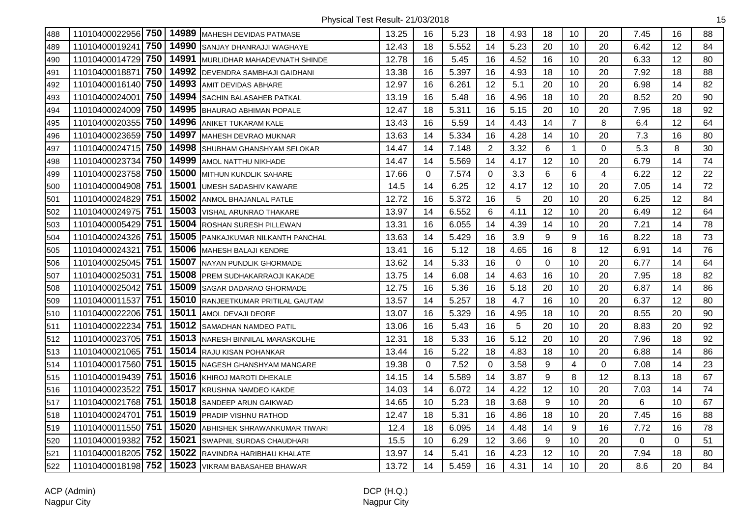| 488 | 11010400022956 750 |     | 14989 | <b>MAHESH DEVIDAS PATMASE</b>       | 13.25 | 16 | 5.23  | 18             | 4.93 | 18 | 10             | 20                       | 7.45           | 16       | 88 |
|-----|--------------------|-----|-------|-------------------------------------|-------|----|-------|----------------|------|----|----------------|--------------------------|----------------|----------|----|
| 489 | 11010400019241     | 750 | 14990 | SANJAY DHANRAJJI WAGHAYE            | 12.43 | 18 | 5.552 | 14             | 5.23 | 20 | 10             | 20                       | 6.42           | 12       | 84 |
| 490 | 11010400014729     | 750 | 14991 | MURLIDHAR MAHADEVNATH SHINDE        | 12.78 | 16 | 5.45  | 16             | 4.52 | 16 | 10             | 20                       | 6.33           | 12       | 80 |
| 491 | 11010400018871     | 750 | 14992 | <b>DEVENDRA SAMBHAJI GAIDHANI</b>   | 13.38 | 16 | 5.397 | 16             | 4.93 | 18 | 10             | 20                       | 7.92           | 18       | 88 |
| 492 | 11010400016140 750 |     | 14993 | <b>AMIT DEVIDAS ABHARE</b>          | 12.97 | 16 | 6.261 | 12             | 5.1  | 20 | 10             | 20                       | 6.98           | 14       | 82 |
| 493 | 11010400024001     | 750 |       | 14994 SACHIN BALASAHEB PATKAL       | 13.19 | 16 | 5.48  | 16             | 4.96 | 18 | 10             | 20                       | 8.52           | 20       | 90 |
| 494 | 11010400024009     | 750 | 14995 | <b>BHAURAO ABHIMAN POPALE</b>       | 12.47 | 18 | 5.311 | 16             | 5.15 | 20 | 10             | 20                       | 7.95           | 18       | 92 |
| 495 | 11010400020355     | 750 | 14996 | ANIKET TUKARAM KALE                 | 13.43 | 16 | 5.59  | 14             | 4.43 | 14 | $\overline{7}$ | 8                        | 6.4            | 12       | 64 |
| 496 | 11010400023659 750 |     | 14997 | MAHESH DEVRAO MUKNAR                | 13.63 | 14 | 5.334 | 16             | 4.28 | 14 | 10             | 20                       | 7.3            | 16       | 80 |
| 497 | 11010400024715     | 750 | 14998 | SHUBHAM GHANSHYAM SELOKAR           | 14.47 | 14 | 7.148 | $\overline{2}$ | 3.32 | 6  | $\mathbf 1$    | 0                        | 5.3            | 8        | 30 |
| 498 | 11010400023734     | 750 | 14999 | AMOL NATTHU NIKHADE                 | 14.47 | 14 | 5.569 | 14             | 4.17 | 12 | 10             | 20                       | 6.79           | 14       | 74 |
| 499 | 11010400023758     | 750 | 15000 | MITHUN KUNDLIK SAHARE               | 17.66 | 0  | 7.574 | 0              | 3.3  | 6  | 6              | $\overline{\mathcal{A}}$ | 6.22           | 12       | 22 |
| 500 | 11010400004908 751 |     | 15001 | <b>UMESH SADASHIV KAWARE</b>        | 14.5  | 14 | 6.25  | 12             | 4.17 | 12 | 10             | 20                       | 7.05           | 14       | 72 |
| 501 | 11010400024829 751 |     | 15002 | ANMOL BHAJANLAL PATLE               | 12.72 | 16 | 5.372 | 16             | 5    | 20 | 10             | 20                       | 6.25           | 12       | 84 |
| 502 | 11010400024975 751 |     | 15003 | <b>VISHAL ARUNRAO THAKARE</b>       | 13.97 | 14 | 6.552 | 6              | 4.11 | 12 | 10             | 20                       | 6.49           | 12       | 64 |
| 503 | 11010400005429 751 |     | 15004 | <b>ROSHAN SURESH PILLEWAN</b>       | 13.31 | 16 | 6.055 | 14             | 4.39 | 14 | 10             | 20                       | 7.21           | 14       | 78 |
| 504 | 11010400024326 751 |     | 15005 | PANKAJKUMAR NILKANTH PANCHAL        | 13.63 | 14 | 5.429 | 16             | 3.9  | 9  | 9              | 16                       | 8.22           | 18       | 73 |
| 505 | 11010400024321     | 751 | 15006 | <b>MAHESH BALAJI KENDRE</b>         | 13.41 | 16 | 5.12  | 18             | 4.65 | 16 | 8              | 12                       | 6.91           | 14       | 76 |
| 506 | 11010400025045     | 751 | 15007 | NAYAN PUNDLIK GHORMADE              | 13.62 | 14 | 5.33  | 16             | 0    | 0  | 10             | 20                       | 6.77           | 14       | 64 |
| 507 | 11010400025031     | 751 | 15008 | PREM SUDHAKARRAOJI KAKADE           | 13.75 | 14 | 6.08  | 14             | 4.63 | 16 | 10             | 20                       | 7.95           | 18       | 82 |
| 508 | 11010400025042 751 |     |       | 15009 SAGAR DADARAO GHORMADE        | 12.75 | 16 | 5.36  | 16             | 5.18 | 20 | 10             | 20                       | 6.87           | 14       | 86 |
| 509 | 11010400011537     | 751 |       | 15010 RANJEETKUMAR PRITILAL GAUTAM  | 13.57 | 14 | 5.257 | 18             | 4.7  | 16 | 10             | 20                       | 6.37           | 12       | 80 |
| 510 | 11010400022206 751 |     | 15011 | AMOL DEVAJI DEORE                   | 13.07 | 16 | 5.329 | 16             | 4.95 | 18 | 10             | 20                       | 8.55           | 20       | 90 |
| 511 | 11010400022234     | 751 |       | 15012 SAMADHAN NAMDEO PATIL         | 13.06 | 16 | 5.43  | 16             | 5    | 20 | 10             | 20                       | 8.83           | 20       | 92 |
| 512 | 11010400023705 751 |     |       | 15013 NARESH BINNILAL MARASKOLHE    | 12.31 | 18 | 5.33  | 16             | 5.12 | 20 | 10             | 20                       | 7.96           | 18       | 92 |
| 513 | 11010400021065     | 751 | 15014 | <b>RAJU KISAN POHANKAR</b>          | 13.44 | 16 | 5.22  | 18             | 4.83 | 18 | 10             | 20                       | 6.88           | 14       | 86 |
| 514 | 11010400017560 751 |     | 15015 | NAGESH GHANSHYAM MANGARE            | 19.38 | 0  | 7.52  | 0              | 3.58 | 9  | 4              | 0                        | 7.08           | 14       | 23 |
| 515 | 11010400019439 751 |     |       | 15016 KHIROJ MAROTI DHEKALE         | 14.15 | 14 | 5.589 | 14             | 3.87 | 9  | 8              | 12                       | 8.13           | 18       | 67 |
| 516 | 11010400023522     | 751 |       | 15017 KRUSHNA NAMDEO KAKDE          | 14.03 | 14 | 6.072 | 14             | 4.22 | 12 | 10             | 20                       | 7.03           | 14       | 74 |
| 517 | 11010400021768 751 |     |       | 15018 SANDEEP ARUN GAIKWAD          | 14.65 | 10 | 5.23  | 18             | 3.68 | 9  | 10             | 20                       | $6\phantom{1}$ | 10       | 67 |
| 518 | 11010400024701     | 751 |       | 15019 PRADIP VISHNU RATHOD          | 12.47 | 18 | 5.31  | 16             | 4.86 | 18 | 10             | 20                       | 7.45           | 16       | 88 |
| 519 | 11010400011550 751 |     | 15020 | <b>ABHISHEK SHRAWANKUMAR TIWARI</b> | 12.4  | 18 | 6.095 | 14             | 4.48 | 14 | 9              | 16                       | 7.72           | 16       | 78 |
| 520 | 11010400019382 752 |     | 15021 | <b>SWAPNIL SURDAS CHAUDHARI</b>     | 15.5  | 10 | 6.29  | 12             | 3.66 | 9  | 10             | 20                       | 0              | $\Omega$ | 51 |
| 521 | 11010400018205 752 |     | 15022 | RAVINDRA HARIBHAU KHALATE           | 13.97 | 14 | 5.41  | 16             | 4.23 | 12 | 10             | 20                       | 7.94           | 18       | 80 |
| 522 | 11010400018198 752 |     | 15023 | <b>VIKRAM BABASAHEB BHAWAR</b>      | 13.72 | 14 | 5.459 | 16             | 4.31 | 14 | 10             | 20                       | 8.6            | 20       | 84 |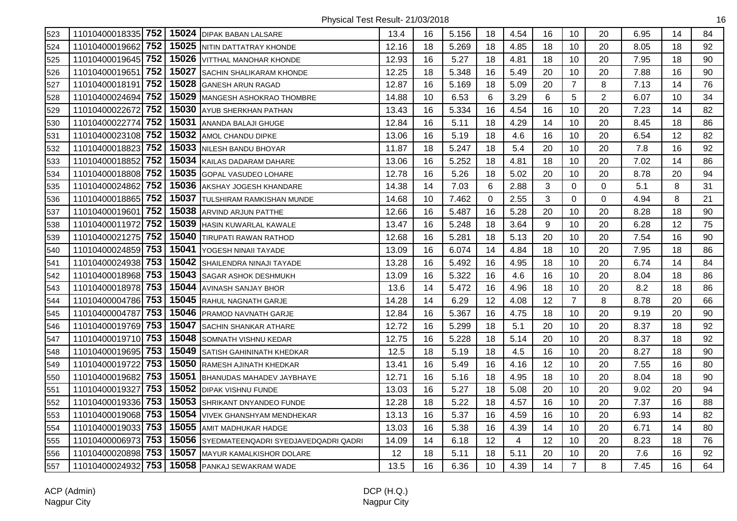| 523 |                    |     |       | 11010400018335 752   15024 DIPAK BABAN LALSARE | 13.4  | 16 | 5.156 | 18          | 4.54 | 16           | 10             | 20          | 6.95 | 14 | 84 |
|-----|--------------------|-----|-------|------------------------------------------------|-------|----|-------|-------------|------|--------------|----------------|-------------|------|----|----|
| 524 | 11010400019662 752 |     | 15025 | NITIN DATTATRAY KHONDE                         | 12.16 | 18 | 5.269 | 18          | 4.85 | 18           | 10             | 20          | 8.05 | 18 | 92 |
| 525 | 11010400019645 752 |     | 15026 | VITTHAL MANOHAR KHONDE                         | 12.93 | 16 | 5.27  | 18          | 4.81 | 18           | 10             | 20          | 7.95 | 18 | 90 |
| 526 | 11010400019651     | 752 | 15027 | SACHIN SHALIKARAM KHONDE                       | 12.25 | 18 | 5.348 | 16          | 5.49 | 20           | 10             | 20          | 7.88 | 16 | 90 |
| 527 | 11010400018191     | 752 | 15028 | <b>GANESH ARUN RAGAD</b>                       | 12.87 | 16 | 5.169 | 18          | 5.09 | 20           | $\overline{7}$ | 8           | 7.13 | 14 | 76 |
| 528 | 11010400024694 752 |     | 15029 | <b>MANGESH ASHOKRAO THOMBRE</b>                | 14.88 | 10 | 6.53  | 6           | 3.29 | 6            | 5              | 2           | 6.07 | 10 | 34 |
| 529 | 11010400022672 752 |     | 15030 | AYUB SHERKHAN PATHAN                           | 13.43 | 16 | 5.334 | 16          | 4.54 | 16           | 10             | 20          | 7.23 | 14 | 82 |
| 530 | 11010400022774 752 |     | 15031 | ANANDA BALAJI GHUGE                            | 12.84 | 16 | 5.11  | 18          | 4.29 | 14           | 10             | 20          | 8.45 | 18 | 86 |
| 531 | 11010400023108 752 |     | 15032 | AMOL CHANDU DIPKE                              | 13.06 | 16 | 5.19  | 18          | 4.6  | 16           | 10             | 20          | 6.54 | 12 | 82 |
| 532 | 11010400018823 752 |     | 15033 | NILESH BANDU BHOYAR                            | 11.87 | 18 | 5.247 | 18          | 5.4  | 20           | 10             | 20          | 7.8  | 16 | 92 |
| 533 | 11010400018852     | 752 | 15034 | KAILAS DADARAM DAHARE                          | 13.06 | 16 | 5.252 | 18          | 4.81 | 18           | 10             | 20          | 7.02 | 14 | 86 |
| 534 | 11010400018808 752 |     | 15035 | <b>GOPAL VASUDEO LOHARE</b>                    | 12.78 | 16 | 5.26  | 18          | 5.02 | 20           | 10             | 20          | 8.78 | 20 | 94 |
| 535 | 11010400024862 752 |     | 15036 | AKSHAY JOGESH KHANDARE                         | 14.38 | 14 | 7.03  | 6           | 2.88 | 3            | $\mathbf 0$    | 0           | 5.1  | 8  | 31 |
| 536 | 11010400018865 752 |     | 15037 | <b>TULSHIRAM RAMKISHAN MUNDE</b>               | 14.68 | 10 | 7.462 | $\mathbf 0$ | 2.55 | $\mathbf{3}$ | $\mathbf 0$    | $\mathbf 0$ | 4.94 | 8  | 21 |
| 537 | 11010400019601 752 |     | 15038 | ARVIND ARJUN PATTHE                            | 12.66 | 16 | 5.487 | 16          | 5.28 | 20           | 10             | 20          | 8.28 | 18 | 90 |
| 538 | 11010400011972 752 |     | 15039 | <b>HASIN KUWARLAL KAWALE</b>                   | 13.47 | 16 | 5.248 | 18          | 3.64 | 9            | 10             | 20          | 6.28 | 12 | 75 |
| 539 | 11010400021275 752 |     | 15040 | TIRUPATI RAWAN RATHOD                          | 12.68 | 16 | 5.281 | 18          | 5.13 | 20           | 10             | 20          | 7.54 | 16 | 90 |
| 540 | 11010400024859 753 |     | 15041 | YOGESH NINAII TAYADE                           | 13.09 | 16 | 6.074 | 14          | 4.84 | 18           | 10             | 20          | 7.95 | 18 | 86 |
| 541 | 11010400024938 753 |     | 15042 | SHAILENDRA NINAJI TAYADE                       | 13.28 | 16 | 5.492 | 16          | 4.95 | 18           | 10             | 20          | 6.74 | 14 | 84 |
| 542 | 11010400018968 753 |     | 15043 | SAGAR ASHOK DESHMUKH                           | 13.09 | 16 | 5.322 | 16          | 4.6  | 16           | 10             | 20          | 8.04 | 18 | 86 |
| 543 | 11010400018978 753 |     | 15044 | AVINASH SANJAY BHOR                            | 13.6  | 14 | 5.472 | 16          | 4.96 | 18           | 10             | 20          | 8.2  | 18 | 86 |
| 544 | 11010400004786 753 |     | 15045 | <b>RAHUL NAGNATH GARJE</b>                     | 14.28 | 14 | 6.29  | 12          | 4.08 | 12           | $\overline{7}$ | 8           | 8.78 | 20 | 66 |
| 545 | 11010400004787 753 |     | 15046 | <b>PRAMOD NAVNATH GARJE</b>                    | 12.84 | 16 | 5.367 | 16          | 4.75 | 18           | 10             | 20          | 9.19 | 20 | 90 |
| 546 | 11010400019769 753 |     | 15047 | SACHIN SHANKAR ATHARE                          | 12.72 | 16 | 5.299 | 18          | 5.1  | 20           | 10             | 20          | 8.37 | 18 | 92 |
| 547 | 11010400019710 753 |     | 15048 | SOMNATH VISHNU KEDAR                           | 12.75 | 16 | 5.228 | 18          | 5.14 | 20           | 10             | 20          | 8.37 | 18 | 92 |
| 548 | 11010400019695 753 |     | 15049 | SATISH GAHININATH KHEDKAR                      | 12.5  | 18 | 5.19  | 18          | 4.5  | 16           | 10             | 20          | 8.27 | 18 | 90 |
| 549 | 11010400019722     | 753 | 15050 | RAMESH AJINATH KHEDKAR                         | 13.41 | 16 | 5.49  | 16          | 4.16 | 12           | 10             | 20          | 7.55 | 16 | 80 |
| 550 | 11010400019682     | 753 | 15051 | BHANUDAS MAHADEV JAYBHAYE                      | 12.71 | 16 | 5.16  | 18          | 4.95 | 18           | 10             | 20          | 8.04 | 18 | 90 |
| 551 | 11010400019327     | 753 | 15052 | <b>IDIPAK VISHNU FUNDE</b>                     | 13.03 | 16 | 5.27  | 18          | 5.08 | 20           | 10             | 20          | 9.02 | 20 | 94 |
| 552 | 11010400019336 753 |     | 15053 | SHRIKANT DNYANDEO FUNDE                        | 12.28 | 18 | 5.22  | 18          | 4.57 | 16           | 10             | 20          | 7.37 | 16 | 88 |
| 553 | 11010400019068 753 |     | 15054 | <b>VIVEK GHANSHYAM MENDHEKAR</b>               | 13.13 | 16 | 5.37  | 16          | 4.59 | 16           | 10             | 20          | 6.93 | 14 | 82 |
| 554 | 11010400019033 753 |     | 15055 | AMIT MADHUKAR HADGE                            | 13.03 | 16 | 5.38  | 16          | 4.39 | 14           | 10             | 20          | 6.71 | 14 | 80 |
| 555 | 11010400006973 753 |     | 15056 | SYEDMATEENQADRI SYEDJAVEDQADRI QADRI           | 14.09 | 14 | 6.18  | 12          | 4    | 12           | 10             | 20          | 8.23 | 18 | 76 |
| 556 | 11010400020898 753 |     | 15057 | MAYUR KAMALKISHOR DOLARE                       | 12    | 18 | 5.11  | 18          | 5.11 | 20           | 10             | 20          | 7.6  | 16 | 92 |
| 557 | 11010400024932 753 |     |       | 15058 PANKAJ SEWAKRAM WADE                     | 13.5  | 16 | 6.36  | 10          | 4.39 | 14           | $\overline{7}$ | 8           | 7.45 | 16 | 64 |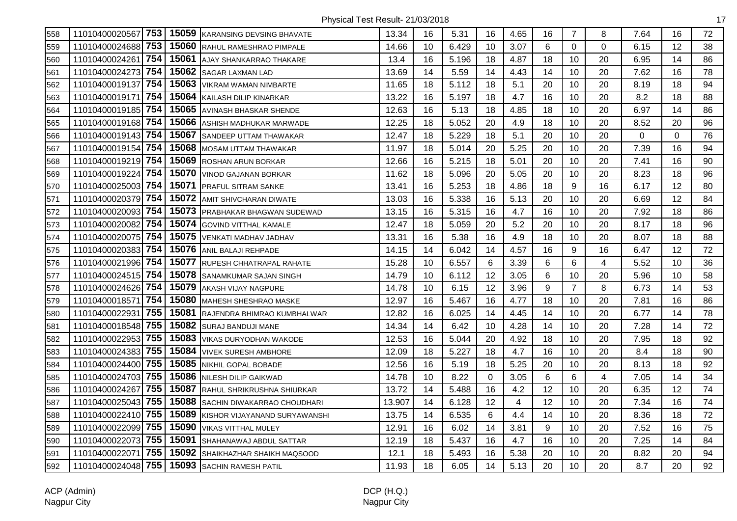| 558 | 11010400020567 753 |     | 15059 | <b>KARANSING DEVSING BHAVATE</b>  | 13.34  | 16 | 5.31  | 16          | 4.65 | 16 | $\overline{7}$ | 8        | 7.64 | 16       | 72 |
|-----|--------------------|-----|-------|-----------------------------------|--------|----|-------|-------------|------|----|----------------|----------|------|----------|----|
| 559 | 11010400024688 753 |     | 15060 | RAHUL RAMESHRAO PIMPALE           | 14.66  | 10 | 6.429 | 10          | 3.07 | 6  | $\Omega$       | $\Omega$ | 6.15 | 12       | 38 |
| 560 | 11010400024261     | 754 | 15061 | AJAY SHANKARRAO THAKARE           | 13.4   | 16 | 5.196 | 18          | 4.87 | 18 | 10             | 20       | 6.95 | 14       | 86 |
| 561 | 11010400024273 754 |     | 15062 | SAGAR LAXMAN LAD                  | 13.69  | 14 | 5.59  | 14          | 4.43 | 14 | 10             | 20       | 7.62 | 16       | 78 |
| 562 | 11010400019137 754 |     | 15063 | VIKRAM WAMAN NIMBARTE             | 11.65  | 18 | 5.112 | 18          | 5.1  | 20 | 10             | 20       | 8.19 | 18       | 94 |
| 563 | 11010400019171     | 754 | 15064 | KAILASH DILIP KINARKAR            | 13.22  | 16 | 5.197 | 18          | 4.7  | 16 | 10             | 20       | 8.2  | 18       | 88 |
| 564 | 11010400019185 754 |     | 15065 | AVINASH BHASKAR SHENDE            | 12.63  | 16 | 5.13  | 18          | 4.85 | 18 | 10             | 20       | 6.97 | 14       | 86 |
| 565 | 11010400019168 754 |     | 15066 | ASHISH MADHUKAR MARWADE           | 12.25  | 18 | 5.052 | 20          | 4.9  | 18 | 10             | 20       | 8.52 | 20       | 96 |
| 566 | 11010400019143 754 |     | 15067 | SANDEEP UTTAM THAWAKAR            | 12.47  | 18 | 5.229 | 18          | 5.1  | 20 | 10             | 20       | 0    | $\Omega$ | 76 |
| 567 | 11010400019154     | 754 | 15068 | <b>MOSAM UTTAM THAWAKAR</b>       | 11.97  | 18 | 5.014 | 20          | 5.25 | 20 | 10             | 20       | 7.39 | 16       | 94 |
| 568 | 11010400019219 754 |     | 15069 | <b>ROSHAN ARUN BORKAR</b>         | 12.66  | 16 | 5.215 | 18          | 5.01 | 20 | 10             | 20       | 7.41 | 16       | 90 |
| 569 | 11010400019224     | 754 | 15070 | VINOD GAJANAN BORKAR              | 11.62  | 18 | 5.096 | 20          | 5.05 | 20 | 10             | 20       | 8.23 | 18       | 96 |
| 570 | 11010400025003 754 |     | 15071 | <b>PRAFUL SITRAM SANKE</b>        | 13.41  | 16 | 5.253 | 18          | 4.86 | 18 | 9              | 16       | 6.17 | 12       | 80 |
| 571 | 11010400020379 754 |     | 15072 | AMIT SHIVCHARAN DIWATE            | 13.03  | 16 | 5.338 | 16          | 5.13 | 20 | 10             | 20       | 6.69 | 12       | 84 |
| 572 | 11010400020093 754 |     | 15073 | <b>PRABHAKAR BHAGWAN SUDEWAD</b>  | 13.15  | 16 | 5.315 | 16          | 4.7  | 16 | 10             | 20       | 7.92 | 18       | 86 |
| 573 | 11010400020082     | 754 | 15074 | <b>GOVIND VITTHAL KAMALE</b>      | 12.47  | 18 | 5.059 | 20          | 5.2  | 20 | 10             | 20       | 8.17 | 18       | 96 |
| 574 | 11010400020075 754 |     | 15075 | <b>VENKATI MADHAV JADHAV</b>      | 13.31  | 16 | 5.38  | 16          | 4.9  | 18 | 10             | 20       | 8.07 | 18       | 88 |
| 575 | 11010400020383     | 754 | 15076 | ANIL BALAJI REHPADE               | 14.15  | 14 | 6.042 | 14          | 4.57 | 16 | 9              | 16       | 6.47 | 12       | 72 |
| 576 | 11010400021996 754 |     | 15077 | <b>RUPESH CHHATRAPAL RAHATE</b>   | 15.28  | 10 | 6.557 | 6           | 3.39 | 6  | 6              | 4        | 5.52 | 10       | 36 |
| 577 | 11010400024515 754 |     | 15078 | SANAMKUMAR SAJAN SINGH            | 14.79  | 10 | 6.112 | 12          | 3.05 | 6  | 10             | 20       | 5.96 | 10       | 58 |
| 578 | 11010400024626 754 |     | 15079 | AKASH VIJAY NAGPURE               | 14.78  | 10 | 6.15  | 12          | 3.96 | 9  | $\overline{7}$ | 8        | 6.73 | 14       | 53 |
| 579 | 11010400018571     | 754 | 15080 | <b>MAHESH SHESHRAO MASKE</b>      | 12.97  | 16 | 5.467 | 16          | 4.77 | 18 | 10             | 20       | 7.81 | 16       | 86 |
| 580 | 11010400022931     | 755 | 15081 | RAJENDRA BHIMRAO KUMBHALWAR       | 12.82  | 16 | 6.025 | 14          | 4.45 | 14 | 10             | 20       | 6.77 | 14       | 78 |
| 581 | 11010400018548 755 |     | 15082 | SURAJ BANDUJI MANE                | 14.34  | 14 | 6.42  | 10          | 4.28 | 14 | 10             | 20       | 7.28 | 14       | 72 |
| 582 | 11010400022953 755 |     | 15083 | VIKAS DURYODHAN WAKODE            | 12.53  | 16 | 5.044 | 20          | 4.92 | 18 | 10             | 20       | 7.95 | 18       | 92 |
| 583 | 11010400024383     | 755 | 15084 | <b>VIVEK SURESH AMBHORE</b>       | 12.09  | 18 | 5.227 | 18          | 4.7  | 16 | 10             | 20       | 8.4  | 18       | 90 |
| 584 | 11010400024400 755 |     | 15085 | NIKHIL GOPAL BOBADE               | 12.56  | 16 | 5.19  | 18          | 5.25 | 20 | 10             | 20       | 8.13 | 18       | 92 |
| 585 | 11010400024703 755 |     | 15086 | <b>NILESH DILIP GAIKWAD</b>       | 14.78  | 10 | 8.22  | $\mathbf 0$ | 3.05 | 6  | 6              | 4        | 7.05 | 14       | 34 |
| 586 | 11010400024267 755 |     | 15087 | <b>RAHUL SHRIKRUSHNA SHIURKAR</b> | 13.72  | 14 | 5.488 | 16          | 4.2  | 12 | 10             | 20       | 6.35 | 12       | 74 |
| 587 | 11010400025043 755 |     | 15088 | SACHIN DIWAKARRAO CHOUDHARI       | 13.907 | 14 | 6.128 | 12          | 4    | 12 | 10             | 20       | 7.34 | 16       | 74 |
| 588 | 11010400022410 755 |     | 15089 | KISHOR VIJAYANAND SURYAWANSHI     | 13.75  | 14 | 6.535 | 6           | 4.4  | 14 | 10             | 20       | 8.36 | 18       | 72 |
| 589 | 11010400022099 755 |     | 15090 | VIKAS VITTHAL MULEY               | 12.91  | 16 | 6.02  | 14          | 3.81 | 9  | 10             | 20       | 7.52 | 16       | 75 |
| 590 | 11010400022073     | 755 | 15091 | SHAHANAWAJ ABDUL SATTAR           | 12.19  | 18 | 5.437 | 16          | 4.7  | 16 | 10             | 20       | 7.25 | 14       | 84 |
| 591 | 1101040002207      | 755 | 15092 | SHAIKHAZHAR SHAIKH MAQSOOD        | 12.1   | 18 | 5.493 | 16          | 5.38 | 20 | 10             | 20       | 8.82 | 20       | 94 |
| 592 | 11010400024048 755 |     | 15093 | SACHIN RAMESH PATIL               | 11.93  | 18 | 6.05  | 14          | 5.13 | 20 | 10             | 20       | 8.7  | 20       | 92 |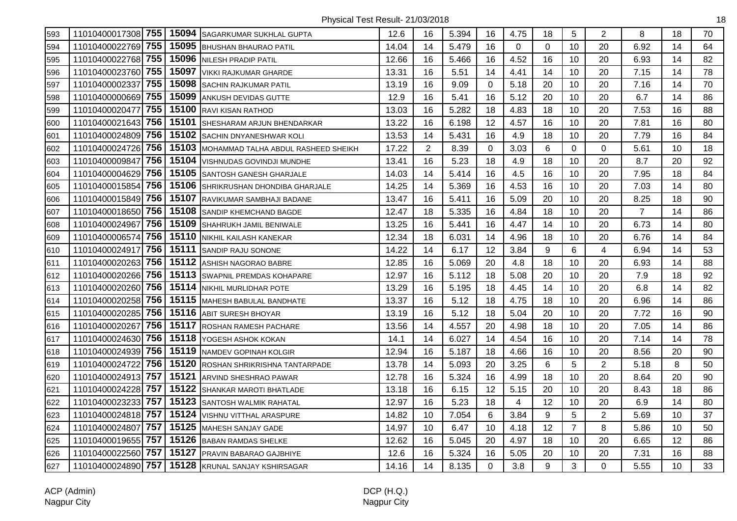| 593 | 11010400017308 755 |     |       | 15094 SAGARKUMAR SUKHLAL GUPTA      | 12.6  | 16             | 5.394 | 16             | 4.75     | 18 | 5              | $\overline{2}$ | 8              | 18 | 70 |
|-----|--------------------|-----|-------|-------------------------------------|-------|----------------|-------|----------------|----------|----|----------------|----------------|----------------|----|----|
| 594 | 11010400022769 755 |     | 15095 | BHUSHAN BHAURAO PATIL               | 14.04 | 14             | 5.479 | 16             | $\Omega$ | 0  | 10             | 20             | 6.92           | 14 | 64 |
| 595 | 11010400022768 755 |     | 15096 | <b>NILESH PRADIP PATIL</b>          | 12.66 | 16             | 5.466 | 16             | 4.52     | 16 | 10             | 20             | 6.93           | 14 | 82 |
| 596 | 11010400023760 755 |     | 15097 | VIKKI RAJKUMAR GHARDE               | 13.31 | 16             | 5.51  | 14             | 4.41     | 14 | 10             | 20             | 7.15           | 14 | 78 |
| 597 | 11010400002337 755 |     | 15098 | <b>SACHIN RAJKUMAR PATIL</b>        | 13.19 | 16             | 9.09  | 0              | 5.18     | 20 | 10             | 20             | 7.16           | 14 | 70 |
| 598 | 11010400000669 755 |     | 15099 | ANKUSH DEVIDAS GUTTE                | 12.9  | 16             | 5.41  | 16             | 5.12     | 20 | 10             | 20             | 6.7            | 14 | 86 |
| 599 | 11010400020477     | 755 | 15100 | <b>RAVI KISAN RATHOD</b>            | 13.03 | 16             | 5.282 | 18             | 4.83     | 18 | 10             | 20             | 7.53           | 16 | 88 |
| 600 | 11010400021643 756 |     | 15101 | SHESHARAM ARJUN BHENDARKAR          | 13.22 | 16             | 6.198 | 12             | 4.57     | 16 | 10             | 20             | 7.81           | 16 | 80 |
| 601 | 11010400024809 756 |     | 15102 | SACHIN DNYANESHWAR KOLI             | 13.53 | 14             | 5.431 | 16             | 4.9      | 18 | 10             | 20             | 7.79           | 16 | 84 |
| 602 | 11010400024726     | 756 | 15103 | MOHAMMAD TALHA ABDUL RASHEED SHEIKH | 17.22 | $\overline{2}$ | 8.39  | 0              | 3.03     | 6  | $\mathbf 0$    | 0              | 5.61           | 10 | 18 |
| 603 | 11010400009847     | 756 | 15104 | VISHNUDAS GOVINDJI MUNDHE           | 13.41 | 16             | 5.23  | 18             | 4.9      | 18 | 10             | 20             | 8.7            | 20 | 92 |
| 604 | 11010400004629     | 756 | 15105 | SANTOSH GANESH GHARJALE             | 14.03 | 14             | 5.414 | 16             | 4.5      | 16 | 10             | 20             | 7.95           | 18 | 84 |
| 605 | 11010400015854 756 |     | 15106 | SHRIKRUSHAN DHONDIBA GHARJALE       | 14.25 | 14             | 5.369 | 16             | 4.53     | 16 | 10             | 20             | 7.03           | 14 | 80 |
| 606 | 11010400015849 756 |     | 15107 | RAVIKUMAR SAMBHAJI BADANE           | 13.47 | 16             | 5.411 | 16             | 5.09     | 20 | 10             | 20             | 8.25           | 18 | 90 |
| 607 | 11010400018650 756 |     | 15108 | <b>SANDIP KHEMCHAND BAGDE</b>       | 12.47 | 18             | 5.335 | 16             | 4.84     | 18 | 10             | 20             | $\overline{7}$ | 14 | 86 |
| 608 | 11010400024967     | 756 | 15109 | SHAHRUKH JAMIL BENIWALE             | 13.25 | 16             | 5.441 | 16             | 4.47     | 14 | 10             | 20             | 6.73           | 14 | 80 |
| 609 | 11010400006574     | 756 | 15110 | NIKHIL KAILASH KANEKAR              | 12.34 | 18             | 6.031 | 14             | 4.96     | 18 | 10             | 20             | 6.76           | 14 | 84 |
| 610 | 11010400024917     | 756 | 15111 | SANDIP RAJU SONONE                  | 14.22 | 14             | 6.17  | 12             | 3.84     | 9  | 6              | 4              | 6.94           | 14 | 53 |
| 611 | 11010400020263     | 756 | 15112 | ASHISH NAGORAO BABRE                | 12.85 | 16             | 5.069 | 20             | 4.8      | 18 | 10             | 20             | 6.93           | 14 | 88 |
| 612 | 11010400020266 756 |     | 15113 | SWAPNIL PREMDAS KOHAPARE            | 12.97 | 16             | 5.112 | 18             | 5.08     | 20 | 10             | 20             | 7.9            | 18 | 92 |
| 613 | 11010400020260 756 |     |       | 15114 NIKHIL MURLIDHAR POTE         | 13.29 | 16             | 5.195 | 18             | 4.45     | 14 | 10             | 20             | 6.8            | 14 | 82 |
| 614 | 11010400020258 756 |     | 15115 | <b>MAHESH BABULAL BANDHATE</b>      | 13.37 | 16             | 5.12  | 18             | 4.75     | 18 | 10             | 20             | 6.96           | 14 | 86 |
| 615 | 11010400020285 756 |     | 15116 | ABIT SURESH BHOYAR                  | 13.19 | 16             | 5.12  | 18             | 5.04     | 20 | 10             | 20             | 7.72           | 16 | 90 |
| 616 | 11010400020267     | 756 | 15117 | <b>ROSHAN RAMESH PACHARE</b>        | 13.56 | 14             | 4.557 | 20             | 4.98     | 18 | 10             | 20             | 7.05           | 14 | 86 |
| 617 | 11010400024630 756 |     | 15118 | YOGESH ASHOK KOKAN                  | 14.1  | 14             | 6.027 | 14             | 4.54     | 16 | 10             | 20             | 7.14           | 14 | 78 |
| 618 | 11010400024939     | 756 | 15119 | NAMDEV GOPINAH KOLGIR               | 12.94 | 16             | 5.187 | 18             | 4.66     | 16 | 10             | 20             | 8.56           | 20 | 90 |
| 619 | 11010400024722     | 756 | 15120 | ROSHAN SHRIKRISHNA TANTARPADE       | 13.78 | 14             | 5.093 | 20             | 3.25     | 6  | 5              | $\overline{2}$ | 5.18           | 8  | 50 |
| 620 | 11010400024913 757 |     | 15121 | ARVIND SHESHRAO PAWAR               | 12.78 | 16             | 5.324 | 16             | 4.99     | 18 | 10             | 20             | 8.64           | 20 | 90 |
| 621 | 11010400024228 757 |     | 15122 | SHANKAR MAROTI BHATLADE             | 13.18 | 16             | 6.15  | 12             | 5.15     | 20 | 10             | 20             | 8.43           | 18 | 86 |
| 622 | 11010400023233 757 |     | 15123 | <b>SANTOSH WALMIK RAHATAL</b>       | 12.97 | 16             | 5.23  | 18             | 4        | 12 | 10             | 20             | 6.9            | 14 | 80 |
| 623 | 11010400024818 757 |     | 15124 | <b>VISHNU VITTHAL ARASPURE</b>      | 14.82 | 10             | 7.054 | 6              | 3.84     | 9  | 5              | $\overline{2}$ | 5.69           | 10 | 37 |
| 624 | 11010400024807     | 757 | 15125 | <b>MAHESH SANJAY GADE</b>           | 14.97 | 10             | 6.47  | 10             | 4.18     | 12 | $\overline{7}$ | 8              | 5.86           | 10 | 50 |
| 625 | 11010400019655 757 |     | 15126 | <b>BABAN RAMDAS SHELKE</b>          | 12.62 | 16             | 5.045 | 20             | 4.97     | 18 | 10             | 20             | 6.65           | 12 | 86 |
| 626 | 11010400022560 757 |     | 15127 | PRAVIN BABARAO GAJBHIYE             | 12.6  | 16             | 5.324 | 16             | 5.05     | 20 | 10             | 20             | 7.31           | 16 | 88 |
| 627 | 11010400024890 757 |     |       | 15128 KRUNAL SANJAY KSHIRSAGAR      | 14.16 | 14             | 8.135 | $\overline{0}$ | 3.8      | 9  | 3              | 0              | 5.55           | 10 | 33 |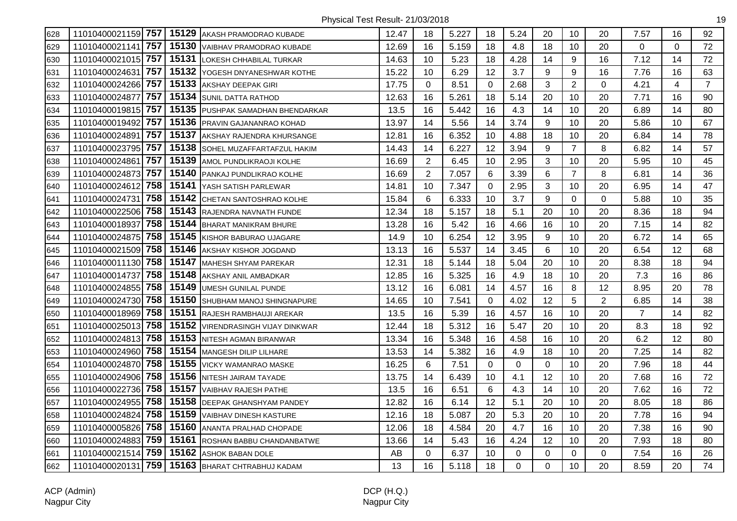| 628 |                       |       | 11010400021159 757 15129 AKASH PRAMODRAO KUBADE | 12.47 | 18             | 5.227 | 18             | 5.24 | 20          | 10             | 20          | 7.57           | 16       | 92             |
|-----|-----------------------|-------|-------------------------------------------------|-------|----------------|-------|----------------|------|-------------|----------------|-------------|----------------|----------|----------------|
| 629 | 757<br>11010400021141 | 15130 | VAIBHAV PRAMODRAO KUBADE                        | 12.69 | 16             | 5.159 | 18             | 4.8  | 18          | 10             | 20          | $\Omega$       | $\Omega$ | 72             |
| 630 | 11010400021015 757    | 15131 | LOKESH CHHABILAL TURKAR                         | 14.63 | 10             | 5.23  | 18             | 4.28 | 14          | 9              | 16          | 7.12           | 14       | 72             |
| 631 | 757<br>11010400024631 | 15132 | YOGESH DNYANESHWAR KOTHE                        | 15.22 | 10             | 6.29  | 12             | 3.7  | 9           | 9              | 16          | 7.76           | 16       | 63             |
| 632 | 11010400024266 757    | 15133 | AKSHAY DEEPAK GIRI                              | 17.75 | 0              | 8.51  | $\overline{0}$ | 2.68 | 3           | $\overline{2}$ | $\mathbf 0$ | 4.21           | 4        | $\overline{7}$ |
| 633 | 757<br>11010400024877 |       | 15134 SUNIL DATTA RATHOD                        | 12.63 | 16             | 5.261 | 18             | 5.14 | 20          | 10             | 20          | 7.71           | 16       | 90             |
| 634 | 11010400019815 757    |       | 15135 PUSHPAK SAMADHAN BHENDARKAR               | 13.5  | 16             | 5.442 | 16             | 4.3  | 14          | 10             | 20          | 6.89           | 14       | 80             |
| 635 | 757<br>11010400019492 | 15136 | <b>PRAVIN GAJANANRAO KOHAD</b>                  | 13.97 | 14             | 5.56  | 14             | 3.74 | 9           | 10             | 20          | 5.86           | 10       | 67             |
| 636 | 757<br>11010400024891 | 15137 | AKSHAY RAJENDRA KHURSANGE                       | 12.81 | 16             | 6.352 | 10             | 4.88 | 18          | 10             | 20          | 6.84           | 14       | 78             |
| 637 | 757<br>11010400023795 | 15138 | SOHEL MUZAFFARTAFZUL HAKIM                      | 14.43 | 14             | 6.227 | 12             | 3.94 | 9           | $\overline{7}$ | 8           | 6.82           | 14       | 57             |
| 638 | 757<br>11010400024861 | 15139 | AMOL PUNDLIKRAOJI KOLHE                         | 16.69 | $\overline{2}$ | 6.45  | 10             | 2.95 | 3           | 10             | 20          | 5.95           | 10       | 45             |
| 639 | 757<br>11010400024873 | 15140 | PANKAJ PUNDLIKRAO KOLHE                         | 16.69 | $\overline{2}$ | 7.057 | 6              | 3.39 | 6           | $\overline{7}$ | 8           | 6.81           | 14       | 36             |
| 640 | 758<br>11010400024612 | 15141 | YASH SATISH PARLEWAR                            | 14.81 | 10             | 7.347 | 0              | 2.95 | 3           | 10             | 20          | 6.95           | 14       | 47             |
| 641 | 758<br>11010400024731 | 15142 | <b>CHETAN SANTOSHRAO KOLHE</b>                  | 15.84 | 6              | 6.333 | 10             | 3.7  | 9           | $\mathbf 0$    | $\mathbf 0$ | 5.88           | 10       | 35             |
| 642 | 758<br>11010400022506 | 15143 | RAJENDRA NAVNATH FUNDE                          | 12.34 | 18             | 5.157 | 18             | 5.1  | 20          | 10             | 20          | 8.36           | 18       | 94             |
| 643 | 758<br>11010400018937 | 15144 | <b>BHARAT MANIKRAM BHURE</b>                    | 13.28 | 16             | 5.42  | 16             | 4.66 | 16          | 10             | 20          | 7.15           | 14       | 82             |
| 644 | 758<br>11010400024875 | 15145 | KISHOR BABURAO UJAGARE                          | 14.9  | 10             | 6.254 | 12             | 3.95 | 9           | 10             | 20          | 6.72           | 14       | 65             |
| 645 | 758<br>11010400021509 | 15146 | AKSHAY KISHOR JOGDAND                           | 13.13 | 16             | 5.537 | 14             | 3.45 | 6           | 10             | 20          | 6.54           | 12       | 68             |
| 646 | 758<br>11010400011130 | 15147 | <b>MAHESH SHYAM PAREKAR</b>                     | 12.31 | 18             | 5.144 | 18             | 5.04 | 20          | 10             | 20          | 8.38           | 18       | 94             |
| 647 | 758<br>11010400014737 | 15148 | AKSHAY ANIL AMBADKAR                            | 12.85 | 16             | 5.325 | 16             | 4.9  | 18          | 10             | 20          | 7.3            | 16       | 86             |
| 648 | 758<br>11010400024855 | 15149 | UMESH GUNILAL PUNDE                             | 13.12 | 16             | 6.081 | 14             | 4.57 | 16          | 8              | 12          | 8.95           | 20       | 78             |
| 649 | 11010400024730 758    | 15150 | SHUBHAM MANOJ SHINGNAPURE                       | 14.65 | 10             | 7.541 | $\Omega$       | 4.02 | 12          | 5              | 2           | 6.85           | 14       | 38             |
| 650 | 758<br>11010400018969 |       | 15151 RAJESH RAMBHAUJI AREKAR                   | 13.5  | 16             | 5.39  | 16             | 4.57 | 16          | 10             | 20          | $\overline{7}$ | 14       | 82             |
| 651 | 758<br>11010400025013 | 15152 | VIRENDRASINGH VIJAY DINKWAR                     | 12.44 | 18             | 5.312 | 16             | 5.47 | 20          | 10             | 20          | 8.3            | 18       | 92             |
| 652 | 11010400024813 758    | 15153 | NITESH AGMAN BIRANWAR                           | 13.34 | 16             | 5.348 | 16             | 4.58 | 16          | 10             | 20          | 6.2            | 12       | 80             |
| 653 | 758<br>11010400024960 | 15154 | <b>MANGESH DILIP LILHARE</b>                    | 13.53 | 14             | 5.382 | 16             | 4.9  | 18          | 10             | 20          | 7.25           | 14       | 82             |
| 654 | 758<br>11010400024870 | 15155 | VICKY WAMANRAO MASKE                            | 16.25 | 6              | 7.51  | $\Omega$       | 0    | $\Omega$    | 10             | 20          | 7.96           | 18       | 44             |
| 655 | 758<br>11010400024906 | 15156 | NITESH JAIRAM TAYADE                            | 13.75 | 14             | 6.439 | 10             | 4.1  | 12          | 10             | 20          | 7.68           | 16       | 72             |
| 656 | 11010400022736 758    | 15157 | <b>VAIBHAV RAJESH PATHE</b>                     | 13.5  | 16             | 6.51  | 6              | 4.3  | 14          | 10             | 20          | 7.62           | 16       | 72             |
| 657 | 11010400024955 758    | 15158 | <b>DEEPAK GHANSHYAM PANDEY</b>                  | 12.82 | 16             | 6.14  | 12             | 5.1  | 20          | 10             | 20          | 8.05           | 18       | 86             |
| 658 | 758<br>11010400024824 | 15159 | <b>VAIBHAV DINESH KASTURE</b>                   | 12.16 | 18             | 5.087 | 20             | 5.3  | 20          | 10             | 20          | 7.78           | 16       | 94             |
| 659 | 758<br>11010400005826 | 15160 | ANANTA PRALHAD CHOPADE                          | 12.06 | 18             | 4.584 | 20             | 4.7  | 16          | 10             | 20          | 7.38           | 16       | 90             |
| 660 | 759<br>11010400024883 | 15161 | ROSHAN BABBU CHANDANBATWE                       | 13.66 | 14             | 5.43  | 16             | 4.24 | 12          | 10             | 20          | 7.93           | 18       | 80             |
| 661 | 759<br>11010400021514 | 15162 | <b>ASHOK BABAN DOLE</b>                         | AB    | 0              | 6.37  | 10             | 0    | 0           | $\mathbf 0$    | 0           | 7.54           | 16       | 26             |
| 662 | 759<br>11010400020131 |       | 15163 BHARAT CHTRABHUJ KADAM                    | 13    | 16             | 5.118 | 18             | 0    | $\mathbf 0$ | 10             | 20          | 8.59           | 20       | 74             |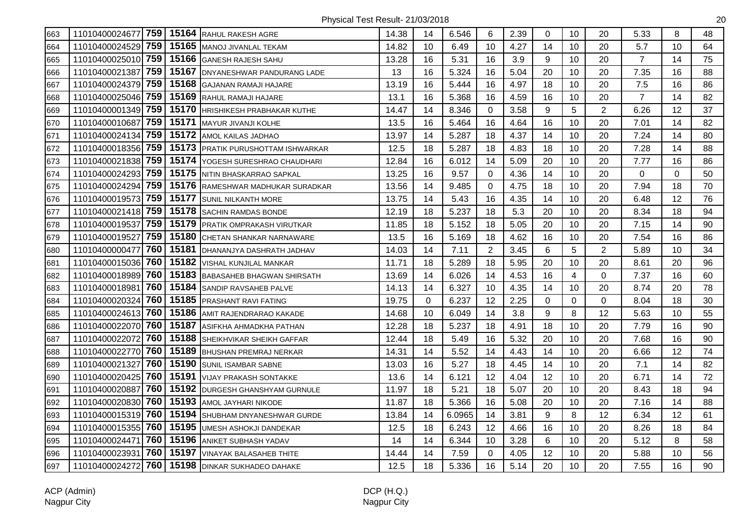| 663 | 11010400024677 759 15164 RAHUL RAKESH AGRE |       |                                     | 14.38 | 14 | 6.546  | 6              | 2.39 | $\mathbf 0$ | 10 | 20             | 5.33           | 8        | 48 |
|-----|--------------------------------------------|-------|-------------------------------------|-------|----|--------|----------------|------|-------------|----|----------------|----------------|----------|----|
| 664 | 11010400024529 759                         | 15165 | <b>MANOJ JIVANLAL TEKAM</b>         | 14.82 | 10 | 6.49   | 10             | 4.27 | 14          | 10 | 20             | 5.7            | 10       | 64 |
| 665 | 11010400025010 759                         | 15166 | <b>GANESH RAJESH SAHU</b>           | 13.28 | 16 | 5.31   | 16             | 3.9  | 9           | 10 | 20             | $\overline{7}$ | 14       | 75 |
| 666 | 759<br>11010400021387                      | 15167 | <b>DNYANESHWAR PANDURANG LADE</b>   | 13    | 16 | 5.324  | 16             | 5.04 | 20          | 10 | 20             | 7.35           | 16       | 88 |
| 667 | 759<br>11010400024379                      | 15168 | <b>GAJANAN RAMAJI HAJARE</b>        | 13.19 | 16 | 5.444  | 16             | 4.97 | 18          | 10 | 20             | 7.5            | 16       | 86 |
| 668 | 11010400025046 759                         |       | 15169 RAHUL RAMAJI HAJARE           | 13.1  | 16 | 5.368  | 16             | 4.59 | 16          | 10 | 20             | $\overline{7}$ | 14       | 82 |
| 669 | 11010400001349 759                         | 15170 | HRISHIKESH PRABHAKAR KUTHE          | 14.47 | 14 | 8.346  | 0              | 3.58 | 9           | 5  | $\overline{2}$ | 6.26           | 12       | 37 |
| 670 | 759<br>11010400010687                      | 15171 | MAYUR JIVANJI KOLHE                 | 13.5  | 16 | 5.464  | 16             | 4.64 | 16          | 10 | 20             | 7.01           | 14       | 82 |
| 671 | 11010400024134 759                         | 15172 | AMOL KAILAS JADHAO                  | 13.97 | 14 | 5.287  | 18             | 4.37 | 14          | 10 | 20             | 7.24           | 14       | 80 |
| 672 | 11010400018356 759                         | 15173 | <b>PRATIK PURUSHOTTAM ISHWARKAR</b> | 12.5  | 18 | 5.287  | 18             | 4.83 | 18          | 10 | 20             | 7.28           | 14       | 88 |
| 673 | 11010400021838 759                         | 15174 | YOGESH SURESHRAO CHAUDHARI          | 12.84 | 16 | 6.012  | 14             | 5.09 | 20          | 10 | 20             | 7.77           | 16       | 86 |
| 674 | 759<br>11010400024293                      | 15175 | NITIN BHASKARRAO SAPKAL             | 13.25 | 16 | 9.57   | 0              | 4.36 | 14          | 10 | 20             | 0              | $\Omega$ | 50 |
| 675 | 11010400024294 759                         |       | 15176 RAMESHWAR MADHUKAR SURADKAR   | 13.56 | 14 | 9.485  | $\mathbf 0$    | 4.75 | 18          | 10 | 20             | 7.94           | 18       | 70 |
| 676 | 11010400019573 759                         |       | 15177 SUNIL NILKANTH MORE           | 13.75 | 14 | 5.43   | 16             | 4.35 | 14          | 10 | 20             | 6.48           | 12       | 76 |
| 677 | 11010400021418 759                         |       | 15178 SACHIN RAMDAS BONDE           | 12.19 | 18 | 5.237  | 18             | 5.3  | 20          | 10 | 20             | 8.34           | 18       | 94 |
| 678 | 759<br>11010400019537                      | 15179 | PRATIK OMPRAKASH VIRUTKAR           | 11.85 | 18 | 5.152  | 18             | 5.05 | 20          | 10 | 20             | 7.15           | 14       | 90 |
| 679 | 759<br>11010400019527                      | 15180 | CHETAN SHANKAR NARNAWARE            | 13.5  | 16 | 5.169  | 18             | 4.62 | 16          | 10 | 20             | 7.54           | 16       | 86 |
| 680 | 760<br>11010400000477                      | 15181 | DHANANJYA DASHRATH JADHAV           | 14.03 | 14 | 7.11   | $\overline{2}$ | 3.45 | 6           | 5  | $\overline{2}$ | 5.89           | 10       | 34 |
| 681 | 11010400015036 760                         | 15182 | <b>VISHAL KUNJILAL MANKAR</b>       | 11.71 | 18 | 5.289  | 18             | 5.95 | 20          | 10 | 20             | 8.61           | 20       | 96 |
| 682 | 760<br>11010400018989                      | 15183 | <b>BABASAHEB BHAGWAN SHIRSATH</b>   | 13.69 | 14 | 6.026  | 14             | 4.53 | 16          | 4  | 0              | 7.37           | 16       | 60 |
| 683 | 760<br>11010400018981                      |       | 15184 SANDIP RAVSAHEB PALVE         | 14.13 | 14 | 6.327  | 10             | 4.35 | 14          | 10 | 20             | 8.74           | 20       | 78 |
| 684 | 760<br>11010400020324                      |       | 15185 PRASHANT RAVI FATING          | 19.75 | 0  | 6.237  | 12             | 2.25 | 0           | 0  | $\Omega$       | 8.04           | 18       | 30 |
| 685 | 11010400024613 760                         |       | 15186 AMIT RAJENDRARAO KAKADE       | 14.68 | 10 | 6.049  | 14             | 3.8  | 9           | 8  | 12             | 5.63           | 10       | 55 |
| 686 | 11010400022070 760                         | 15187 | ASIFKHA AHMADKHA PATHAN             | 12.28 | 18 | 5.237  | 18             | 4.91 | 18          | 10 | 20             | 7.79           | 16       | 90 |
| 687 | 760<br>11010400022072                      | 15188 | SHEIKHVIKAR SHEIKH GAFFAR           | 12.44 | 18 | 5.49   | 16             | 5.32 | 20          | 10 | 20             | 7.68           | 16       | 90 |
| 688 | 760<br>11010400022770                      | 15189 | <b>BHUSHAN PREMRAJ NERKAR</b>       | 14.31 | 14 | 5.52   | 14             | 4.43 | 14          | 10 | 20             | 6.66           | 12       | 74 |
| 689 | 760<br>11010400021327                      | 15190 | <b>SUNIL ISAMBAR SABNE</b>          | 13.03 | 16 | 5.27   | 18             | 4.45 | 14          | 10 | 20             | 7.1            | 14       | 82 |
| 690 | 760<br>11010400020425                      |       | 15191 VIJAY PRAKASH SONTAKKE        | 13.6  | 14 | 6.121  | 12             | 4.04 | 12          | 10 | 20             | 6.71           | 14       | 72 |
| 691 | 760<br>11010400020887                      |       | 15192 DURGESH GHANSHYAM GURNULE     | 11.97 | 18 | 5.21   | 18             | 5.07 | 20          | 10 | 20             | 8.43           | 18       | 94 |
| 692 | 11010400020830 760                         |       | 15193 AMOL JAYHARI NIKODE           | 11.87 | 18 | 5.366  | 16             | 5.08 | 20          | 10 | 20             | 7.16           | 14       | 88 |
| 693 | 11010400015319 760                         |       | 15194 SHUBHAM DNYANESHWAR GURDE     | 13.84 | 14 | 6.0965 | 14             | 3.81 | 9           | 8  | 12             | 6.34           | 12       | 61 |
| 694 | 11010400015355 760                         | 15195 | UMESH ASHOKJI DANDEKAR              | 12.5  | 18 | 6.243  | 12             | 4.66 | 16          | 10 | 20             | 8.26           | 18       | 84 |
| 695 | 760<br>11010400024471                      | 15196 | <b>ANIKET SUBHASH YADAV</b>         | 14    | 14 | 6.344  | 10             | 3.28 | 6           | 10 | 20             | 5.12           | 8        | 58 |
| 696 | 760<br>11010400023931                      |       | 15197 VINAYAK BALASAHEB THITE       | 14.44 | 14 | 7.59   | $\Omega$       | 4.05 | 12          | 10 | 20             | 5.88           | 10       | 56 |
| 697 | 760<br>11010400024272                      |       | 15198 DINKAR SUKHADEO DAHAKE        | 12.5  | 18 | 5.336  | 16             | 5.14 | 20          | 10 | 20             | 7.55           | 16       | 90 |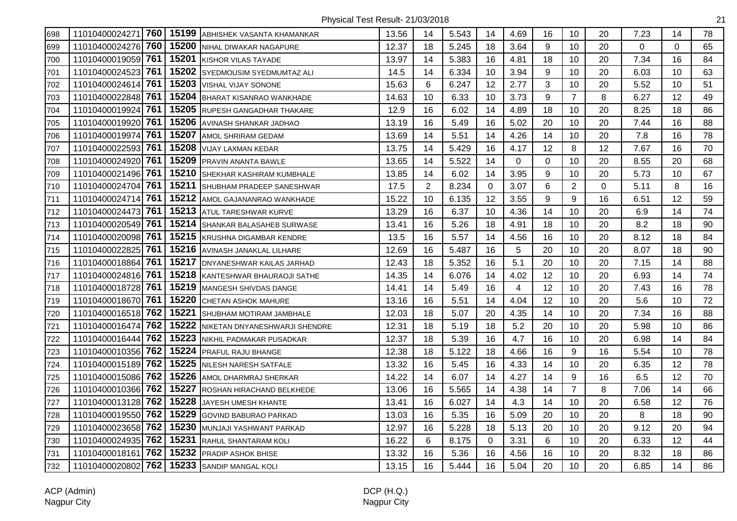| 698 | 760<br>11010400024271 |       | 15199 ABHISHEK VASANTA KHAMANKAR | 13.56 | 14             | 5.543 | 14       | 4.69           | 16 | 10             | 20       | 7.23        | 14          | 78 |
|-----|-----------------------|-------|----------------------------------|-------|----------------|-------|----------|----------------|----|----------------|----------|-------------|-------------|----|
| 699 | 760<br>11010400024276 |       | 15200 NIHAL DIWAKAR NAGAPURE     | 12.37 | 18             | 5.245 | 18       | 3.64           | 9  | 10             | 20       | $\mathbf 0$ | $\mathbf 0$ | 65 |
| 700 | 761<br>11010400019059 |       | 15201 KISHOR VILAS TAYADE        | 13.97 | 14             | 5.383 | 16       | 4.81           | 18 | 10             | 20       | 7.34        | 16          | 84 |
| 701 | 11010400024523 761    |       | 15202 SYEDMOUSIM SYEDMUMTAZ ALI  | 14.5  | 14             | 6.334 | 10       | 3.94           | 9  | 10             | 20       | 6.03        | 10          | 63 |
| 702 | 761<br>11010400024614 |       | 15203 VISHAL VIJAY SONONE        | 15.63 | 6              | 6.247 | 12       | 2.77           | 3  | 10             | 20       | 5.52        | 10          | 51 |
| 703 | 11010400022848 761    |       | 15204 BHARAT KISANRAO WANKHADE   | 14.63 | 10             | 6.33  | 10       | 3.73           | 9  | $\overline{7}$ | 8        | 6.27        | 12          | 49 |
| 704 | 761<br>11010400019924 |       | 15205 RUPESH GANGADHAR THAKARE   | 12.9  | 16             | 6.02  | 14       | 4.89           | 18 | 10             | 20       | 8.25        | 18          | 86 |
| 705 | 761<br>11010400019920 |       | 15206 AVINASH SHANKAR JADHAO     | 13.19 | 16             | 5.49  | 16       | 5.02           | 20 | 10             | 20       | 7.44        | 16          | 88 |
| 706 | 761<br>11010400019974 | 15207 | <b>AMOL SHRIRAM GEDAM</b>        | 13.69 | 14             | 5.51  | 14       | 4.26           | 14 | 10             | 20       | 7.8         | 16          | 78 |
| 707 | 761<br>11010400022593 | 15208 | <b>VIJAY LAXMAN KEDAR</b>        | 13.75 | 14             | 5.429 | 16       | 4.17           | 12 | 8              | 12       | 7.67        | 16          | 70 |
| 708 | 761<br>11010400024920 |       | 15209 PRAVIN ANANTA BAWLE        | 13.65 | 14             | 5.522 | 14       | $\mathbf 0$    | 0  | 10             | 20       | 8.55        | 20          | 68 |
| 709 | 11010400021496 761    |       | 15210 SHEKHAR KASHIRAM KUMBHALE  | 13.85 | 14             | 6.02  | 14       | 3.95           | 9  | 10             | 20       | 5.73        | 10          | 67 |
| 710 | 11010400024704 761    |       | 15211 SHUBHAM PRADEEP SANESHWAR  | 17.5  | $\overline{2}$ | 8.234 | $\Omega$ | 3.07           | 6  | $\overline{2}$ | $\Omega$ | 5.11        | 8           | 16 |
| 711 | 761<br>11010400024714 |       | 15212 AMOL GAJANANRAO WANKHADE   | 15.22 | 10             | 6.135 | 12       | 3.55           | 9  | 9              | 16       | 6.51        | 12          | 59 |
| 712 | 761<br>11010400024473 |       | 15213 ATUL TARESHWAR KURVE       | 13.29 | 16             | 6.37  | 10       | 4.36           | 14 | 10             | 20       | 6.9         | 14          | 74 |
| 713 | 11010400020549 761    |       | 15214 SHANKAR BALASAHEB SURWASE  | 13.41 | 16             | 5.26  | 18       | 4.91           | 18 | 10             | 20       | 8.2         | 18          | 90 |
| 714 | 761<br>11010400020098 |       | 15215 KRUSHNA DIGAMBAR KENDRE    | 13.5  | 16             | 5.57  | 14       | 4.56           | 16 | 10             | 20       | 8.12        | 18          | 84 |
| 715 | 761<br>11010400022825 |       | 15216 AVINASH JANAKLAL LILHARE   | 12.69 | 16             | 5.487 | 16       | 5              | 20 | 10             | 20       | 8.07        | 18          | 90 |
| 716 | 761<br>11010400018864 |       | 15217 DNYANESHWAR KAILAS JARHAD  | 12.43 | 18             | 5.352 | 16       | 5.1            | 20 | 10             | 20       | 7.15        | 14          | 88 |
| 717 | 11010400024816 761    |       | 15218 KANTESHWAR BHAURAOJI SATHE | 14.35 | 14             | 6.076 | 14       | 4.02           | 12 | 10             | 20       | 6.93        | 14          | 74 |
| 718 | 11010400018728 761    |       | 15219 MANGESH SHIVDAS DANGE      | 14.41 | 14             | 5.49  | 16       | $\overline{4}$ | 12 | 10             | 20       | 7.43        | 16          | 78 |
| 719 | 11010400018670 761    | 15220 | <b>CHETAN ASHOK MAHURE</b>       | 13.16 | 16             | 5.51  | 14       | 4.04           | 12 | 10             | 20       | 5.6         | 10          | 72 |
| 720 | 11010400016518 762    |       | 15221 SHUBHAM MOTIRAM JAMBHALE   | 12.03 | 18             | 5.07  | 20       | 4.35           | 14 | 10             | 20       | 7.34        | 16          | 88 |
| 721 | 762<br>11010400016474 | 15222 | NIKETAN DNYANESHWARJI SHENDRE    | 12.31 | 18             | 5.19  | 18       | 5.2            | 20 | 10             | 20       | 5.98        | 10          | 86 |
| 722 | 762<br>11010400016444 | 15223 | NIKHIL PADMAKAR PUSADKAR         | 12.37 | 18             | 5.39  | 16       | 4.7            | 16 | 10             | 20       | 6.98        | 14          | 84 |
| 723 | 11010400010356 762    | 15224 | <b>PRAFUL RAJU BHANGE</b>        | 12.38 | 18             | 5.122 | 18       | 4.66           | 16 | 9              | 16       | 5.54        | 10          | 78 |
| 724 | 762<br>11010400015189 |       | 15225 NILESH NARESH SATFALE      | 13.32 | 16             | 5.45  | 16       | 4.33           | 14 | 10             | 20       | 6.35        | 12          | 78 |
| 725 | 11010400015086 762    |       | 15226 AMOL DHARMRAJ SHERKAR      | 14.22 | 14             | 6.07  | 14       | 4.27           | 14 | 9              | 16       | 6.5         | 12          | 70 |
| 726 | 11010400010366 762    |       | 15227 ROSHAN HIRACHAND BELKHEDE  | 13.06 | 16             | 5.565 | 14       | 4.38           | 14 | $\overline{7}$ | 8        | 7.06        | 14          | 66 |
| 727 | 11010400013128 762    | 15228 | <b>JAYESH UMESH KHANTE</b>       | 13.41 | 16             | 6.027 | 14       | 4.3            | 14 | 10             | 20       | 6.58        | 12          | 76 |
| 728 | 11010400019550 762    | 15229 | <b>GOVIND BABURAO PARKAD</b>     | 13.03 | 16             | 5.35  | 16       | 5.09           | 20 | 10             | 20       | 8           | 18          | 90 |
| 729 | 762<br>11010400023658 | 15230 | MUNJAJI YASHWANT PARKAD          | 12.97 | 16             | 5.228 | 18       | 5.13           | 20 | 10             | 20       | 9.12        | 20          | 94 |
| 730 | 762<br>11010400024935 | 15231 | RAHUL SHANTARAM KOLI             | 16.22 | 6              | 8.175 | 0        | 3.31           | 6  | 10             | 20       | 6.33        | 12          | 44 |
| 731 | 762<br>11010400018161 |       | 15232 PRADIP ASHOK BHISE         | 13.32 | 16             | 5.36  | 16       | 4.56           | 16 | 10             | 20       | 8.32        | 18          | 86 |
| 732 | 762<br>11010400020802 |       | 15233 SANDIP MANGAL KOLI         | 13.15 | 16             | 5.444 | 16       | 5.04           | 20 | 10             | 20       | 6.85        | 14          | 86 |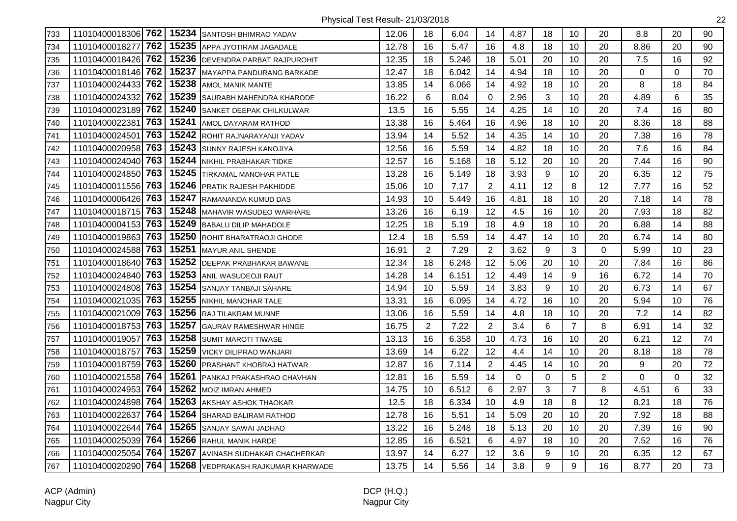| 733 | 11010400018306 762 |     |       | 15234 SANTOSH BHIMRAO YADAV        | 12.06 | 18             | 6.04  | 14             | 4.87 | 18 | 10             | 20             | 8.8      | 20       | 90 |
|-----|--------------------|-----|-------|------------------------------------|-------|----------------|-------|----------------|------|----|----------------|----------------|----------|----------|----|
| 734 | 11010400018277     | 762 | 15235 | APPA JYOTIRAM JAGADALE             | 12.78 | 16             | 5.47  | 16             | 4.8  | 18 | 10             | 20             | 8.86     | 20       | 90 |
| 735 | 11010400018426     | 762 |       | 15236 DEVENDRA PARBAT RAJPUROHIT   | 12.35 | 18             | 5.246 | 18             | 5.01 | 20 | 10             | 20             | 7.5      | 16       | 92 |
| 736 | 11010400018146 762 |     | 15237 | MAYAPPA PANDURANG BARKADE          | 12.47 | 18             | 6.042 | 14             | 4.94 | 18 | 10             | 20             | $\Omega$ | $\Omega$ | 70 |
| 737 | 11010400024433 762 |     | 15238 | <b>AMOL MANIK MANTE</b>            | 13.85 | 14             | 6.066 | 14             | 4.92 | 18 | 10             | 20             | 8        | 18       | 84 |
| 738 | 11010400024332 762 |     |       | 15239 SAURABH MAHENDRA KHARODE     | 16.22 | $\,6\,$        | 8.04  | 0              | 2.96 | 3  | 10             | 20             | 4.89     | 6        | 35 |
| 739 | 11010400023189 762 |     | 15240 | <b>SANKET DEEPAK CHILKULWAR</b>    | 13.5  | 16             | 5.55  | 14             | 4.25 | 14 | 10             | 20             | 7.4      | 16       | 80 |
| 740 | 11010400022381     | 763 | 15241 | <b>AMOL DAYARAM RATHOD</b>         | 13.38 | 16             | 5.464 | 16             | 4.96 | 18 | 10             | 20             | 8.36     | 18       | 88 |
| 741 | 11010400024501     | 763 | 15242 | ROHIT RAJNARAYANJI YADAV           | 13.94 | 14             | 5.52  | 14             | 4.35 | 14 | 10             | 20             | 7.38     | 16       | 78 |
| 742 | 11010400020958     | 763 | 15243 | SUNNY RAJESH KANOJIYA              | 12.56 | 16             | 5.59  | 14             | 4.82 | 18 | 10             | 20             | 7.6      | 16       | 84 |
| 743 | 11010400024040     | 763 | 15244 | NIKHIL PRABHAKAR TIDKE             | 12.57 | 16             | 5.168 | 18             | 5.12 | 20 | 10             | 20             | 7.44     | 16       | 90 |
| 744 | 11010400024850 763 |     | 15245 | <b>TIRKAMAL MANOHAR PATLE</b>      | 13.28 | 16             | 5.149 | 18             | 3.93 | 9  | 10             | 20             | 6.35     | 12       | 75 |
| 745 | 11010400011556 763 |     |       | 15246 PRATIK RAJESH PAKHIDDE       | 15.06 | 10             | 7.17  | $\overline{2}$ | 4.11 | 12 | 8              | 12             | 7.77     | 16       | 52 |
| 746 | 11010400006426 763 |     |       | 15247 RAMANANDA KUMUD DAS          | 14.93 | 10             | 5.449 | 16             | 4.81 | 18 | 10             | 20             | 7.18     | 14       | 78 |
| 747 | 11010400018715 763 |     |       | 15248 MAHAVIR WASUDEO WARHARE      | 13.26 | 16             | 6.19  | 12             | 4.5  | 16 | 10             | 20             | 7.93     | 18       | 82 |
| 748 | 11010400004153 763 |     |       | 15249 BABALU DILIP MAHADOLE        | 12.25 | 18             | 5.19  | 18             | 4.9  | 18 | 10             | 20             | 6.88     | 14       | 88 |
| 749 | 11010400019863 763 |     |       | 15250 ROHIT BHARATRAOJI GHODE      | 12.4  | 18             | 5.59  | 14             | 4.47 | 14 | 10             | 20             | 6.74     | 14       | 80 |
| 750 | 11010400024588 763 |     | 15251 | MAYUR ANIL SHENDE                  | 16.91 | $\overline{2}$ | 7.29  | $\overline{2}$ | 3.62 | 9  | 3              | 0              | 5.99     | 10       | 23 |
| 751 | 11010400018640 763 |     | 15252 | <b>DEEPAK PRABHAKAR BAWANE</b>     | 12.34 | 18             | 6.248 | 12             | 5.06 | 20 | 10             | 20             | 7.84     | 16       | 86 |
| 752 | 11010400024840 763 |     | 15253 | ANIL WASUDEOJI RAUT                | 14.28 | 14             | 6.151 | 12             | 4.49 | 14 | 9              | 16             | 6.72     | 14       | 70 |
| 753 | 11010400024808 763 |     |       | 15254 SANJAY TANBAJI SAHARE        | 14.94 | 10             | 5.59  | 14             | 3.83 | 9  | 10             | 20             | 6.73     | 14       | 67 |
| 754 | 11010400021035 763 |     |       | 15255 NIKHIL MANOHAR TALE          | 13.31 | 16             | 6.095 | 14             | 4.72 | 16 | 10             | 20             | 5.94     | 10       | 76 |
| 755 | 11010400021009 763 |     |       | 15256 RAJ TILAKRAM MUNNE           | 13.06 | 16             | 5.59  | 14             | 4.8  | 18 | 10             | 20             | 7.2      | 14       | 82 |
| 756 | 11010400018753 763 |     | 15257 | <b>GAURAV RAMESHWAR HINGE</b>      | 16.75 | $\overline{2}$ | 7.22  | $\overline{2}$ | 3.4  | 6  | $\overline{7}$ | 8              | 6.91     | 14       | 32 |
| 757 | 11010400019057     | 763 | 15258 | <b>SUMIT MAROTI TIWASE</b>         | 13.13 | 16             | 6.358 | 10             | 4.73 | 16 | 10             | 20             | 6.21     | 12       | 74 |
| 758 | 11010400018757     | 763 | 15259 | <b>VICKY DILIPRAO WANJARI</b>      | 13.69 | 14             | 6.22  | 12             | 4.4  | 14 | 10             | 20             | 8.18     | 18       | 78 |
| 759 | 11010400018759 763 |     |       | 15260 PRASHANT KHOBRAJ HATWAR      | 12.87 | 16             | 7.114 | $\overline{c}$ | 4.45 | 14 | 10             | 20             | $9\,$    | 20       | 72 |
| 760 | 11010400021558 764 |     | 15261 | <b>PANKAJ PRAKASHRAO CHAVHAN</b>   | 12.81 | 16             | 5.59  | 14             | 0    | 0  | 5              | $\overline{2}$ | $\Omega$ | $\Omega$ | 32 |
| 761 | 11010400024953 764 |     |       | 15262 MOIZ IMRAN AHMED             | 14.75 | 10             | 6.512 | 6              | 2.97 | 3  | $\overline{7}$ | 8              | 4.51     | 6        | 33 |
| 762 | 11010400024898 764 |     | 15263 | <b>AKSHAY ASHOK THAOKAR</b>        | 12.5  | 18             | 6.334 | 10             | 4.9  | 18 | 8              | 12             | 8.21     | 18       | 76 |
| 763 | 11010400022637     | 764 | 15264 | <b>SHARAD BALIRAM RATHOD</b>       | 12.78 | 16             | 5.51  | 14             | 5.09 | 20 | 10             | 20             | 7.92     | 18       | 88 |
| 764 | 11010400022644     | 764 | 15265 | <b>SANJAY SAWAI JADHAO</b>         | 13.22 | 16             | 5.248 | 18             | 5.13 | 20 | 10             | 20             | 7.39     | 16       | 90 |
| 765 | 11010400025039     | 764 | 15266 | <b>RAHUL MANIK HARDE</b>           | 12.85 | 16             | 6.521 | 6              | 4.97 | 18 | 10             | 20             | 7.52     | 16       | 76 |
| 766 | 11010400025054     | 764 | 15267 | AVINASH SUDHAKAR CHACHERKAR        | 13.97 | 14             | 6.27  | 12             | 3.6  | 9  | 10             | 20             | 6.35     | 12       | 67 |
| 767 | 11010400020290 764 |     |       | 15268 VEDPRAKASH RAJKUMAR KHARWADE | 13.75 | 14             | 5.56  | 14             | 3.8  | 9  | 9              | 16             | 8.77     | 20       | 73 |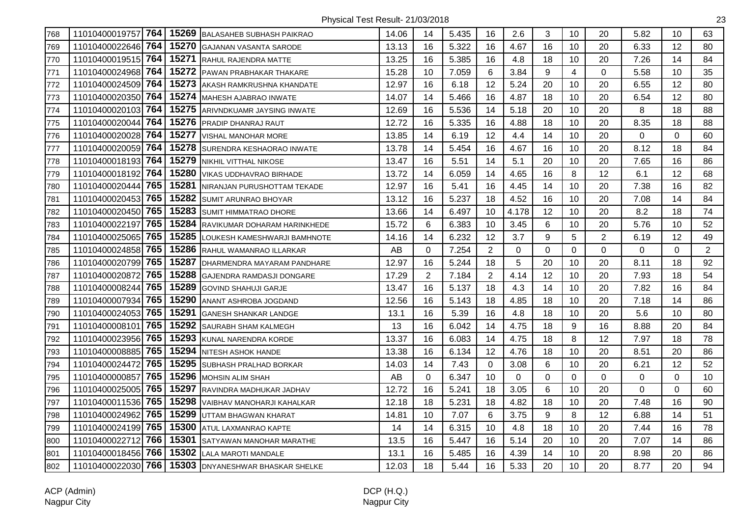| 768 | 11010400019757 764 |     | 15269 | <b>BALASAHEB SUBHASH PAIKRAO</b> | 14.06 | 14             | 5.435 | 16             | 2.6   | 3           | 10             | 20             | 5.82        | 10       | 63             |
|-----|--------------------|-----|-------|----------------------------------|-------|----------------|-------|----------------|-------|-------------|----------------|----------------|-------------|----------|----------------|
| 769 | 11010400022646     | 764 | 15270 | <b>GAJANAN VASANTA SARODE</b>    | 13.13 | 16             | 5.322 | 16             | 4.67  | 16          | 10             | 20             | 6.33        | 12       | 80             |
| 770 | 11010400019515 764 |     | 15271 | RAHUL RAJENDRA MATTE             | 13.25 | 16             | 5.385 | 16             | 4.8   | 18          | 10             | 20             | 7.26        | 14       | 84             |
| 771 | 11010400024968 764 |     | 15272 | PAWAN PRABHAKAR THAKARE          | 15.28 | 10             | 7.059 | 6              | 3.84  | 9           | $\overline{4}$ | $\mathbf 0$    | 5.58        | 10       | 35             |
| 772 | 11010400024509 764 |     | 15273 | AKASH RAMKRUSHNA KHANDATE        | 12.97 | 16             | 6.18  | 12             | 5.24  | 20          | 10             | 20             | 6.55        | 12       | 80             |
| 773 | 11010400020350 764 |     | 15274 | <b>MAHESH AJABRAO INWATE</b>     | 14.07 | 14             | 5.466 | 16             | 4.87  | 18          | 10             | 20             | 6.54        | 12       | 80             |
| 774 | 11010400020103 764 |     | 15275 | ARIVNDKUAMR JAYSING INWATE       | 12.69 | 16             | 5.536 | 14             | 5.18  | 20          | 10             | 20             | 8           | 18       | 88             |
| 775 | 11010400020044     | 764 | 15276 | PRADIP DHANRAJ RAUT              | 12.72 | 16             | 5.335 | 16             | 4.88  | 18          | 10             | 20             | 8.35        | 18       | 88             |
| 776 | 11010400020028 764 |     | 15277 | VISHAL MANOHAR MORE              | 13.85 | 14             | 6.19  | 12             | 4.4   | 14          | 10             | 20             | 0           | $\Omega$ | 60             |
| 777 | 11010400020059     | 764 | 15278 | SURENDRA KESHAORAO INWATE        | 13.78 | 14             | 5.454 | 16             | 4.67  | 16          | 10             | 20             | 8.12        | 18       | 84             |
| 778 | 11010400018193     | 764 | 15279 | NIKHIL VITTHAL NIKOSE            | 13.47 | 16             | 5.51  | 14             | 5.1   | 20          | 10             | 20             | 7.65        | 16       | 86             |
| 779 | 11010400018192     | 764 | 15280 | VIKAS UDDHAVRAO BIRHADE          | 13.72 | 14             | 6.059 | 14             | 4.65  | 16          | 8              | 12             | 6.1         | 12       | 68             |
| 780 | 11010400020444 765 |     | 15281 | NIRANJAN PURUSHOTTAM TEKADE      | 12.97 | 16             | 5.41  | 16             | 4.45  | 14          | 10             | 20             | 7.38        | 16       | 82             |
| 781 | 11010400020453 765 |     | 15282 | SUMIT ARUNRAO BHOYAR             | 13.12 | 16             | 5.237 | 18             | 4.52  | 16          | 10             | 20             | 7.08        | 14       | 84             |
| 782 | 11010400020450 765 |     | 15283 | <b>SUMIT HIMMATRAO DHORE</b>     | 13.66 | 14             | 6.497 | 10             | 4.178 | 12          | 10             | 20             | 8.2         | 18       | 74             |
| 783 | 11010400022197 765 |     | 15284 | RAVIKUMAR DOHARAM HARINKHEDE     | 15.72 | 6              | 6.383 | 10             | 3.45  | 6           | 10             | 20             | 5.76        | 10       | 52             |
| 784 | 11010400025065     | 765 | 15285 | LOUKESH KAMESHWARJI BAMHNOTE     | 14.16 | 14             | 6.232 | 12             | 3.7   | 9           | 5              | $\overline{2}$ | 6.19        | 12       | 49             |
| 785 | 11010400024858     | 765 | 15286 | RAHUL WAMANRAO ILLARKAR          | AB    | 0              | 7.254 | $\overline{2}$ | 0     | $\mathbf 0$ | $\mathbf 0$    | 0              | 0           | 0        | $\overline{2}$ |
| 786 | 11010400020799     | 765 | 15287 | DHARMENDRA MAYARAM PANDHARE      | 12.97 | 16             | 5.244 | 18             | 5     | 20          | 10             | 20             | 8.11        | 18       | 92             |
| 787 | 11010400020872     | 765 | 15288 | GAJENDRA RAMDASJI DONGARE        | 17.29 | $\overline{2}$ | 7.184 | $\overline{2}$ | 4.14  | 12          | 10             | 20             | 7.93        | 18       | 54             |
| 788 | 11010400008244 765 |     | 15289 | <b>GOVIND SHAHUJI GARJE</b>      | 13.47 | 16             | 5.137 | 18             | 4.3   | 14          | 10             | 20             | 7.82        | 16       | 84             |
| 789 | 11010400007934     | 765 | 15290 | ANANT ASHROBA JOGDAND            | 12.56 | 16             | 5.143 | 18             | 4.85  | 18          | 10             | 20             | 7.18        | 14       | 86             |
| 790 | 11010400024053 765 |     | 15291 | <b>GANESH SHANKAR LANDGE</b>     | 13.1  | 16             | 5.39  | 16             | 4.8   | 18          | 10             | 20             | 5.6         | 10       | 80             |
| 791 | 11010400008101     | 765 | 15292 | SAURABH SHAM KALMEGH             | 13    | 16             | 6.042 | 14             | 4.75  | 18          | 9              | 16             | 8.88        | 20       | 84             |
| 792 | 11010400023956     | 765 | 15293 | KUNAL NARENDRA KORDE             | 13.37 | 16             | 6.083 | 14             | 4.75  | 18          | 8              | 12             | 7.97        | 18       | 78             |
| 793 | 11010400008885     | 765 | 15294 | NITESH ASHOK HANDE               | 13.38 | 16             | 6.134 | 12             | 4.76  | 18          | 10             | 20             | 8.51        | 20       | 86             |
| 794 | 11010400024472     | 765 | 15295 | SUBHASH PRALHAD BORKAR           | 14.03 | 14             | 7.43  | 0              | 3.08  | 6           | 10             | 20             | 6.21        | 12       | 52             |
| 795 | 11010400000857     | 765 | 15296 | <b>MOHSIN ALIM SHAH</b>          | AB    | $\mathbf 0$    | 6.347 | 10             | 0     | $\mathbf 0$ | $\mathbf 0$    | 0              | $\mathbf 0$ | 0        | 10             |
| 796 | 11010400025005 765 |     | 15297 | RAVINDRA MADHUKAR JADHAV         | 12.72 | 16             | 5.241 | 18             | 3.05  | 6           | 10             | 20             | $\Omega$    | $\Omega$ | 60             |
| 797 | 11010400011536 765 |     | 15298 | VAIBHAV MANOHARJI KAHALKAR       | 12.18 | 18             | 5.231 | 18             | 4.82  | 18          | 10             | 20             | 7.48        | 16       | 90             |
| 798 | 11010400024962     | 765 | 15299 | UTTAM BHAGWAN KHARAT             | 14.81 | 10             | 7.07  | 6              | 3.75  | 9           | 8              | 12             | 6.88        | 14       | 51             |
| 799 | 11010400024199 765 |     | 15300 | ATUL LAXMANRAO KAPTE             | 14    | 14             | 6.315 | 10             | 4.8   | 18          | 10             | 20             | 7.44        | 16       | 78             |
| 800 | 11010400022712     | 766 | 15301 | SATYAWAN MANOHAR MARATHE         | 13.5  | 16             | 5.447 | 16             | 5.14  | 20          | 10             | 20             | 7.07        | 14       | 86             |
| 801 | 11010400018456     | 766 | 15302 | <b>LALA MAROTI MANDALE</b>       | 13.1  | 16             | 5.485 | 16             | 4.39  | 14          | 10             | 20             | 8.98        | 20       | 86             |
| 802 | 11010400022030 766 |     |       | 15303 DNYANESHWAR BHASKAR SHELKE | 12.03 | 18             | 5.44  | 16             | 5.33  | 20          | 10             | 20             | 8.77        | 20       | 94             |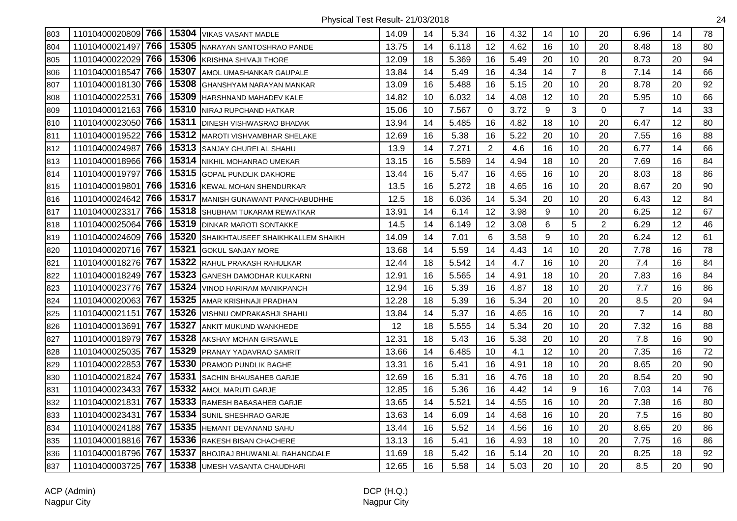| 803 | 11010400020809 766 |     | 15304 | <b>VIKAS VASANT MADLE</b>           | 14.09 | 14 | 5.34  | 16             | 4.32 | 14 | 10             | 20             | 6.96           | 14 | 78 |
|-----|--------------------|-----|-------|-------------------------------------|-------|----|-------|----------------|------|----|----------------|----------------|----------------|----|----|
| 804 | 11010400021497     | 766 | 15305 | NARAYAN SANTOSHRAO PANDE            | 13.75 | 14 | 6.118 | 12             | 4.62 | 16 | 10             | 20             | 8.48           | 18 | 80 |
| 805 | 11010400022029     | 766 | 15306 | <b>KRISHNA SHIVAJI THORE</b>        | 12.09 | 18 | 5.369 | 16             | 5.49 | 20 | 10             | 20             | 8.73           | 20 | 94 |
| 806 | 11010400018547     | 766 | 15307 | AMOL UMASHANKAR GAUPALE             | 13.84 | 14 | 5.49  | 16             | 4.34 | 14 | $\overline{7}$ | 8              | 7.14           | 14 | 66 |
| 807 | 11010400018130     | 766 | 15308 | <b>GHANSHYAM NARAYAN MANKAR</b>     | 13.09 | 16 | 5.488 | 16             | 5.15 | 20 | 10             | 20             | 8.78           | 20 | 92 |
| 808 | 11010400022531     | 766 | 15309 | <b>HARSHNAND MAHADEV KALE</b>       | 14.82 | 10 | 6.032 | 14             | 4.08 | 12 | 10             | 20             | 5.95           | 10 | 66 |
| 809 | 11010400012163     | 766 | 15310 | NIRAJ RUPCHAND HATKAR               | 15.06 | 10 | 7.567 | 0              | 3.72 | 9  | 3              | 0              | $\overline{7}$ | 14 | 33 |
| 810 | 11010400023050     | 766 | 15311 | DINESH VISHWASRAO BHADAK            | 13.94 | 14 | 5.485 | 16             | 4.82 | 18 | 10             | 20             | 6.47           | 12 | 80 |
| 811 | 11010400019522     | 766 | 15312 | <b>MAROTI VISHVAMBHAR SHELAKE</b>   | 12.69 | 16 | 5.38  | 16             | 5.22 | 20 | 10             | 20             | 7.55           | 16 | 88 |
| 812 | 11010400024987     | 766 | 15313 | <b>SANJAY GHURELAL SHAHU</b>        | 13.9  | 14 | 7.271 | $\overline{2}$ | 4.6  | 16 | 10             | 20             | 6.77           | 14 | 66 |
| 813 | 11010400018966     | 766 | 15314 | NIKHIL MOHANRAO UMEKAR              | 13.15 | 16 | 5.589 | 14             | 4.94 | 18 | 10             | 20             | 7.69           | 16 | 84 |
| 814 | 11010400019797     | 766 | 15315 | <b>GOPAL PUNDLIK DAKHORE</b>        | 13.44 | 16 | 5.47  | 16             | 4.65 | 16 | 10             | 20             | 8.03           | 18 | 86 |
| 815 | 11010400019801     | 766 | 15316 | <b>KEWAL MOHAN SHENDURKAR</b>       | 13.5  | 16 | 5.272 | 18             | 4.65 | 16 | 10             | 20             | 8.67           | 20 | 90 |
| 816 | 11010400024642 766 |     | 15317 | MANISH GUNAWANT PANCHABUDHHE        | 12.5  | 18 | 6.036 | 14             | 5.34 | 20 | 10             | 20             | 6.43           | 12 | 84 |
| 817 | 11010400023317     | 766 | 15318 | <b>SHUBHAM TUKARAM REWATKAR</b>     | 13.91 | 14 | 6.14  | 12             | 3.98 | 9  | 10             | 20             | 6.25           | 12 | 67 |
| 818 | 11010400025064     | 766 | 15319 | <b>DINKAR MAROTI SONTAKKE</b>       | 14.5  | 14 | 6.149 | 12             | 3.08 | 6  | 5              | $\overline{2}$ | 6.29           | 12 | 46 |
| 819 | 11010400024609     | 766 | 15320 | SHAIKHTAUSEEF SHAIKHKALLEM SHAIKH   | 14.09 | 14 | 7.01  | 6              | 3.58 | 9  | 10             | 20             | 6.24           | 12 | 61 |
| 820 | 11010400020716     | 767 | 15321 | GOKUL SANJAY MORE                   | 13.68 | 14 | 5.59  | 14             | 4.43 | 14 | 10             | 20             | 7.78           | 16 | 78 |
| 821 | 11010400018276     | 767 | 15322 | RAHUL PRAKASH RAHULKAR              | 12.44 | 18 | 5.542 | 14             | 4.7  | 16 | 10             | 20             | 7.4            | 16 | 84 |
| 822 | 11010400018249 767 |     | 15323 | <b>GANESH DAMODHAR KULKARNI</b>     | 12.91 | 16 | 5.565 | 14             | 4.91 | 18 | 10             | 20             | 7.83           | 16 | 84 |
| 823 | 11010400023776     | 767 | 15324 | VINOD HARIRAM MANIKPANCH            | 12.94 | 16 | 5.39  | 16             | 4.87 | 18 | 10             | 20             | 7.7            | 16 | 86 |
| 824 | 11010400020063     | 767 | 15325 | AMAR KRISHNAJI PRADHAN              | 12.28 | 18 | 5.39  | 16             | 5.34 | 20 | 10             | 20             | 8.5            | 20 | 94 |
| 825 | 11010400021151     | 767 | 15326 | <b>VISHNU OMPRAKASHJI SHAHU</b>     | 13.84 | 14 | 5.37  | 16             | 4.65 | 16 | 10             | 20             | $\overline{7}$ | 14 | 80 |
| 826 | 11010400013691     | 767 | 15327 | <b>ANKIT MUKUND WANKHEDE</b>        | 12    | 18 | 5.555 | 14             | 5.34 | 20 | 10             | 20             | 7.32           | 16 | 88 |
| 827 | 11010400018979     | 767 | 15328 | AKSHAY MOHAN GIRSAWLE               | 12.31 | 18 | 5.43  | 16             | 5.38 | 20 | 10             | 20             | 7.8            | 16 | 90 |
| 828 | 11010400025035     | 767 | 15329 | <b>PRANAY YADAVRAO SAMRIT</b>       | 13.66 | 14 | 6.485 | 10             | 4.1  | 12 | 10             | 20             | 7.35           | 16 | 72 |
| 829 | 11010400022853     | 767 | 15330 | <b>PRAMOD PUNDLIK BAGHE</b>         | 13.31 | 16 | 5.41  | 16             | 4.91 | 18 | 10             | 20             | 8.65           | 20 | 90 |
| 830 | 11010400021824     | 767 | 15331 | SACHIN BHAUSAHEB GARJE              | 12.69 | 16 | 5.31  | 16             | 4.76 | 18 | 10             | 20             | 8.54           | 20 | 90 |
| 831 | 11010400023433 767 |     | 15332 | <b>AMOL MARUTI GARJE</b>            | 12.85 | 16 | 5.36  | 16             | 4.42 | 14 | 9              | 16             | 7.03           | 14 | 76 |
| 832 | 11010400021831     | 767 | 15333 | <b>RAMESH BABASAHEB GARJE</b>       | 13.65 | 14 | 5.521 | 14             | 4.55 | 16 | 10             | 20             | 7.38           | 16 | 80 |
| 833 | 11010400023431     | 767 | 15334 | <b>SUNIL SHESHRAO GARJE</b>         | 13.63 | 14 | 6.09  | 14             | 4.68 | 16 | 10             | 20             | 7.5            | 16 | 80 |
| 834 | 11010400024188 767 |     | 15335 | HEMANT DEVANAND SAHU                | 13.44 | 16 | 5.52  | 14             | 4.56 | 16 | 10             | 20             | 8.65           | 20 | 86 |
| 835 | 11010400018816 767 |     | 15336 | <b>RAKESH BISAN CHACHERE</b>        | 13.13 | 16 | 5.41  | 16             | 4.93 | 18 | 10             | 20             | 7.75           | 16 | 86 |
| 836 | 11010400018796 767 |     | 15337 | <b>BHOJRAJ BHUWANLAL RAHANGDALE</b> | 11.69 | 18 | 5.42  | 16             | 5.14 | 20 | 10             | 20             | 8.25           | 18 | 92 |
| 837 | 11010400003725     | 767 | 15338 | <b>UMESH VASANTA CHAUDHARI</b>      | 12.65 | 16 | 5.58  | 14             | 5.03 | 20 | 10             | 20             | 8.5            | 20 | 90 |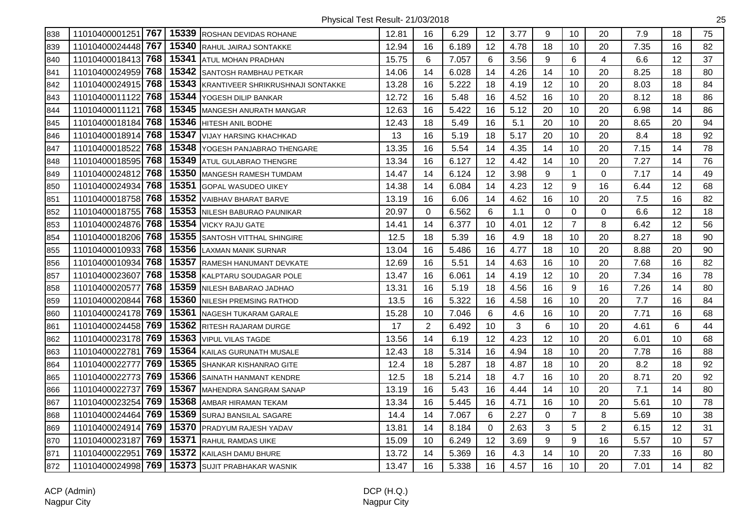| 838 | 11010400001251 767    |       | 15339 ROSHAN DEVIDAS ROHANE       | 12.81 | 16             | 6.29  | 12 | 3.77 | 9           | 10             | 20             | 7.9  | 18 | 75 |
|-----|-----------------------|-------|-----------------------------------|-------|----------------|-------|----|------|-------------|----------------|----------------|------|----|----|
| 839 | 11010400024448 767    | 15340 | <b>RAHUL JAIRAJ SONTAKKE</b>      | 12.94 | 16             | 6.189 | 12 | 4.78 | 18          | 10             | 20             | 7.35 | 16 | 82 |
| 840 | 11010400018413 768    | 15341 | <b>ATUL MOHAN PRADHAN</b>         | 15.75 | 6              | 7.057 | 6  | 3.56 | 9           | 6              | 4              | 6.6  | 12 | 37 |
| 841 | 768<br>11010400024959 | 15342 | <b>SANTOSH RAMBHAU PETKAR</b>     | 14.06 | 14             | 6.028 | 14 | 4.26 | 14          | 10             | 20             | 8.25 | 18 | 80 |
| 842 | 11010400024915 768    | 15343 | KRANTIVEER SHRIKRUSHNAJI SONTAKKE | 13.28 | 16             | 5.222 | 18 | 4.19 | 12          | 10             | 20             | 8.03 | 18 | 84 |
| 843 | 768<br>11010400011122 |       | 15344 YOGESH DILIP BANKAR         | 12.72 | 16             | 5.48  | 16 | 4.52 | 16          | 10             | 20             | 8.12 | 18 | 86 |
| 844 | 768<br>11010400011121 | 15345 | MANGESH ANURATH MANGAR            | 12.63 | 16             | 5.422 | 16 | 5.12 | 20          | 10             | 20             | 6.98 | 14 | 86 |
| 845 | 11010400018184 768    | 15346 | HITESH ANIL BODHE                 | 12.43 | 18             | 5.49  | 16 | 5.1  | 20          | 10             | 20             | 8.65 | 20 | 94 |
| 846 | 11010400018914 768    | 15347 | VIJAY HARSING KHACHKAD            | 13    | 16             | 5.19  | 18 | 5.17 | 20          | 10             | 20             | 8.4  | 18 | 92 |
| 847 | 768<br>11010400018522 | 15348 | YOGESH PANJABRAO THENGARE         | 13.35 | 16             | 5.54  | 14 | 4.35 | 14          | 10             | 20             | 7.15 | 14 | 78 |
| 848 | 768<br>11010400018595 | 15349 | <b>ATUL GULABRAO THENGRE</b>      | 13.34 | 16             | 6.127 | 12 | 4.42 | 14          | 10             | 20             | 7.27 | 14 | 76 |
| 849 | 768<br>11010400024812 | 15350 | <b>MANGESH RAMESH TUMDAM</b>      | 14.47 | 14             | 6.124 | 12 | 3.98 | 9           | $\mathbf{1}$   | $\mathbf 0$    | 7.17 | 14 | 49 |
| 850 | 11010400024934 768    |       | 15351 GOPAL WASUDEO UIKEY         | 14.38 | 14             | 6.084 | 14 | 4.23 | 12          | 9              | 16             | 6.44 | 12 | 68 |
| 851 | 11010400018758 768    |       | 15352 VAIBHAV BHARAT BARVE        | 13.19 | 16             | 6.06  | 14 | 4.62 | 16          | 10             | 20             | 7.5  | 16 | 82 |
| 852 | 11010400018755 768    | 15353 | NILESH BABURAO PAUNIKAR           | 20.97 | $\mathbf 0$    | 6.562 | 6  | 1.1  | $\mathbf 0$ | $\overline{0}$ | 0              | 6.6  | 12 | 18 |
| 853 | 11010400024876 768    | 15354 | <b>VICKY RAJU GATE</b>            | 14.41 | 14             | 6.377 | 10 | 4.01 | 12          | $\overline{7}$ | 8              | 6.42 | 12 | 56 |
| 854 | 11010400018206 768    | 15355 | SANTOSH VITTHAL SHINGIRE          | 12.5  | 18             | 5.39  | 16 | 4.9  | 18          | 10             | 20             | 8.27 | 18 | 90 |
| 855 | 768<br>11010400010933 | 15356 | <b>LAXMAN MANIK SURNAR</b>        | 13.04 | 16             | 5.486 | 16 | 4.77 | 18          | 10             | 20             | 8.88 | 20 | 90 |
| 856 | 768<br>11010400010934 | 15357 | RAMESH HANUMANT DEVKATE           | 12.69 | 16             | 5.51  | 14 | 4.63 | 16          | 10             | 20             | 7.68 | 16 | 82 |
| 857 | 768<br>11010400023607 | 15358 | KALPTARU SOUDAGAR POLE            | 13.47 | 16             | 6.061 | 14 | 4.19 | 12          | 10             | 20             | 7.34 | 16 | 78 |
| 858 | 768<br>11010400020577 | 15359 | NILESH BABARAO JADHAO             | 13.31 | 16             | 5.19  | 18 | 4.56 | 16          | 9              | 16             | 7.26 | 14 | 80 |
| 859 | 768<br>11010400020844 | 15360 | <b>NILESH PREMSING RATHOD</b>     | 13.5  | 16             | 5.322 | 16 | 4.58 | 16          | 10             | 20             | 7.7  | 16 | 84 |
| 860 | 11010400024178 769    | 15361 | <b>NAGESH TUKARAM GARALE</b>      | 15.28 | 10             | 7.046 | 6  | 4.6  | 16          | 10             | 20             | 7.71 | 16 | 68 |
| 861 | 11010400024458 769    | 15362 | RITESH RAJARAM DURGE              | 17    | $\overline{2}$ | 6.492 | 10 | 3    | 6           | 10             | 20             | 4.61 | 6  | 44 |
| 862 | 769<br>11010400023178 | 15363 | <b>VIPUL VILAS TAGDE</b>          | 13.56 | 14             | 6.19  | 12 | 4.23 | 12          | 10             | 20             | 6.01 | 10 | 68 |
| 863 | 769<br>11010400022781 | 15364 | KAILAS GURUNATH MUSALE            | 12.43 | 18             | 5.314 | 16 | 4.94 | 18          | 10             | 20             | 7.78 | 16 | 88 |
| 864 | 769<br>11010400022777 | 15365 | SHANKAR KISHANRAO GITE            | 12.4  | 18             | 5.287 | 18 | 4.87 | 18          | 10             | 20             | 8.2  | 18 | 92 |
| 865 | 769<br>11010400022773 | 15366 | <b>SAINATH HANMANT KENDRE</b>     | 12.5  | 18             | 5.214 | 18 | 4.7  | 16          | 10             | 20             | 8.71 | 20 | 92 |
| 866 | 769<br>11010400022737 |       | 15367 MAHENDRA SANGRAM SANAP      | 13.19 | 16             | 5.43  | 16 | 4.44 | 14          | 10             | 20             | 7.1  | 14 | 80 |
| 867 | 769<br>11010400023254 | 15368 | AMBAR HIRAMAN TEKAM               | 13.34 | 16             | 5.445 | 16 | 4.71 | 16          | 10             | 20             | 5.61 | 10 | 78 |
| 868 | 769<br>11010400024464 | 15369 | <b>SURAJ BANSILAL SAGARE</b>      | 14.4  | 14             | 7.067 | 6  | 2.27 | $\Omega$    | $\overline{7}$ | 8              | 5.69 | 10 | 38 |
| 869 | 11010400024914 769    | 15370 | PRADYUM RAJESH YADAV              | 13.81 | 14             | 8.184 | 0  | 2.63 | 3           | 5              | $\overline{2}$ | 6.15 | 12 | 31 |
| 870 | 769<br>11010400023187 | 15371 | RAHUL RAMDAS UIKE                 | 15.09 | 10             | 6.249 | 12 | 3.69 | 9           | 9              | 16             | 5.57 | 10 | 57 |
| 871 | 769<br>1101040002295  | 15372 | KAILASH DAMU BHURE                | 13.72 | 14             | 5.369 | 16 | 4.3  | 14          | 10             | 20             | 7.33 | 16 | 80 |
| 872 | 11010400024998 769    |       | 15373 SUJIT PRABHAKAR WASNIK      | 13.47 | 16             | 5.338 | 16 | 4.57 | 16          | 10             | 20             | 7.01 | 14 | 82 |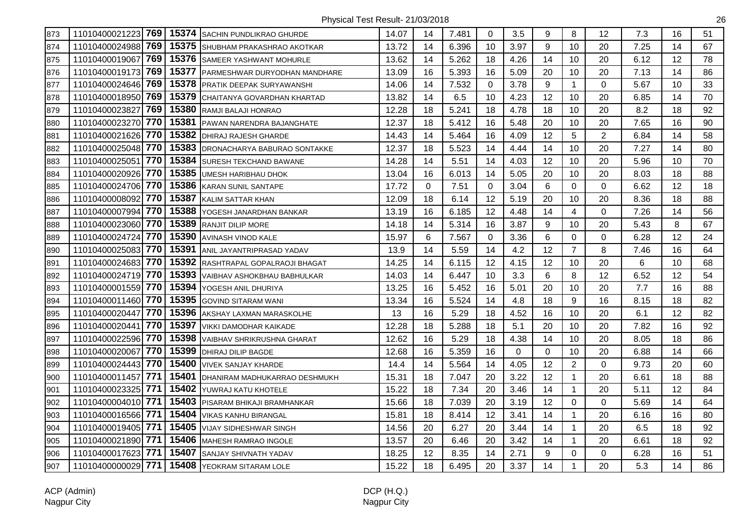| 873 | 11010400021223 769 |     | 15374 | <b>ISACHIN PUNDLIKRAO GHURDE</b>     | 14.07 | 14 | 7.481 | $\Omega$     | 3.5  | 9  | 8              | 12             | 7.3  | 16 | 51 |
|-----|--------------------|-----|-------|--------------------------------------|-------|----|-------|--------------|------|----|----------------|----------------|------|----|----|
| 874 | 11010400024988 769 |     | 15375 | SHUBHAM PRAKASHRAO AKOTKAR           | 13.72 | 14 | 6.396 | 10           | 3.97 | 9  | 10             | 20             | 7.25 | 14 | 67 |
| 875 | 11010400019067 769 |     | 15376 | SAMEER YASHWANT MOHURLE              | 13.62 | 14 | 5.262 | 18           | 4.26 | 14 | 10             | 20             | 6.12 | 12 | 78 |
| 876 | 11010400019173 769 |     | 15377 | <b>PARMESHWAR DURYODHAN MANDHARE</b> | 13.09 | 16 | 5.393 | 16           | 5.09 | 20 | 10             | 20             | 7.13 | 14 | 86 |
| 877 | 11010400024646 769 |     | 15378 | <b>PRATIK DEEPAK SURYAWANSHI</b>     | 14.06 | 14 | 7.532 | 0            | 3.78 | 9  | $\mathbf{1}$   | $\Omega$       | 5.67 | 10 | 33 |
| 878 | 11010400018950 769 |     | 15379 | CHAITANYA GOVARDHAN KHARTAD          | 13.82 | 14 | 6.5   | 10           | 4.23 | 12 | 10             | 20             | 6.85 | 14 | 70 |
| 879 | 11010400023827     | 769 | 15380 | RAMJI BALAJI HONRAO                  | 12.28 | 18 | 5.241 | 18           | 4.78 | 18 | 10             | 20             | 8.2  | 18 | 92 |
| 880 | 11010400023270 770 |     | 15381 | <b>PAWAN NARENDRA BAJANGHATE</b>     | 12.37 | 18 | 5.412 | 16           | 5.48 | 20 | 10             | 20             | 7.65 | 16 | 90 |
| 881 | 11010400021626 770 |     | 15382 | <b>DHIRAJ RAJESH GHARDE</b>          | 14.43 | 14 | 5.464 | 16           | 4.09 | 12 | 5              | $\overline{2}$ | 6.84 | 14 | 58 |
| 882 | 11010400025048     | 770 | 15383 | DRONACHARYA BABURAO SONTAKKE         | 12.37 | 18 | 5.523 | 14           | 4.44 | 14 | 10             | 20             | 7.27 | 14 | 80 |
| 883 | 11010400025051     | 770 | 15384 | SURESH TEKCHAND BAWANE               | 14.28 | 14 | 5.51  | 14           | 4.03 | 12 | 10             | 20             | 5.96 | 10 | 70 |
| 884 | 11010400020926 770 |     | 15385 | <b>UMESH HARIBHAU DHOK</b>           | 13.04 | 16 | 6.013 | 14           | 5.05 | 20 | 10             | 20             | 8.03 | 18 | 88 |
| 885 | 11010400024706 770 |     | 15386 | KARAN SUNIL SANTAPE                  | 17.72 | 0  | 7.51  | $\mathbf{0}$ | 3.04 | 6  | $\mathbf 0$    | $\Omega$       | 6.62 | 12 | 18 |
| 886 | 11010400008092 770 |     | 15387 | KALIM SATTAR KHAN                    | 12.09 | 18 | 6.14  | 12           | 5.19 | 20 | 10             | 20             | 8.36 | 18 | 88 |
| 887 | 11010400007994 770 |     | 15388 | YOGESH JANARDHAN BANKAR              | 13.19 | 16 | 6.185 | 12           | 4.48 | 14 | $\overline{4}$ | $\mathbf 0$    | 7.26 | 14 | 56 |
| 888 | 11010400023060 770 |     | 15389 | <b>RANJIT DILIP MORE</b>             | 14.18 | 14 | 5.314 | 16           | 3.87 | 9  | 10             | 20             | 5.43 | 8  | 67 |
| 889 | 11010400024724 770 |     | 15390 | AVINASH VINOD KALE                   | 15.97 | 6  | 7.567 | $\mathbf 0$  | 3.36 | 6  | $\mathbf 0$    | 0              | 6.28 | 12 | 24 |
| 890 | 11010400025083     | 770 | 15391 | ANIL JAYANTRIPRASAD YADAV            | 13.9  | 14 | 5.59  | 14           | 4.2  | 12 | $\overline{7}$ | 8              | 7.46 | 16 | 64 |
| 891 | 11010400024683 770 |     | 15392 | RASHTRAPAL GOPALRAOJI BHAGAT         | 14.25 | 14 | 6.115 | 12           | 4.15 | 12 | 10             | 20             | 6    | 10 | 68 |
| 892 | 11010400024719 770 |     | 15393 | VAIBHAV ASHOKBHAU BABHULKAR          | 14.03 | 14 | 6.447 | 10           | 3.3  | 6  | 8              | 12             | 6.52 | 12 | 54 |
| 893 | 11010400001559 770 |     | 15394 | YOGESH ANIL DHURIYA                  | 13.25 | 16 | 5.452 | 16           | 5.01 | 20 | 10             | 20             | 7.7  | 16 | 88 |
| 894 | 11010400011460 770 |     | 15395 | <b>GOVIND SITARAM WANI</b>           | 13.34 | 16 | 5.524 | 14           | 4.8  | 18 | 9              | 16             | 8.15 | 18 | 82 |
| 895 | 11010400020447     | 770 | 15396 | AKSHAY LAXMAN MARASKOLHE             | 13    | 16 | 5.29  | 18           | 4.52 | 16 | 10             | 20             | 6.1  | 12 | 82 |
| 896 | 11010400020441     | 770 | 15397 | VIKKI DAMODHAR KAIKADE               | 12.28 | 18 | 5.288 | 18           | 5.1  | 20 | 10             | 20             | 7.82 | 16 | 92 |
| 897 | 11010400022596 770 |     | 15398 | <b>VAIBHAV SHRIKRUSHNA GHARAT</b>    | 12.62 | 16 | 5.29  | 18           | 4.38 | 14 | 10             | 20             | 8.05 | 18 | 86 |
| 898 | 11010400020067     | 770 | 15399 | DHIRAJ DILIP BAGDE                   | 12.68 | 16 | 5.359 | 16           | 0    | 0  | 10             | 20             | 6.88 | 14 | 66 |
| 899 | 11010400024443 770 |     | 15400 | <b>VIVEK SANJAY KHARDE</b>           | 14.4  | 14 | 5.564 | 14           | 4.05 | 12 | $\overline{2}$ | $\Omega$       | 9.73 | 20 | 60 |
| 900 | 11010400011457 771 |     | 15401 | DHANIRAM MADHUKARRAO DESHMUKH        | 15.31 | 18 | 7.047 | 20           | 3.22 | 12 | $\mathbf{1}$   | 20             | 6.61 | 18 | 88 |
| 901 | 11010400023325 771 |     | 15402 | YUWRAJ KATU KHOTELE                  | 15.22 | 18 | 7.34  | 20           | 3.46 | 14 | $\mathbf{1}$   | 20             | 5.11 | 12 | 84 |
| 902 | 11010400004010 771 |     | 15403 | PISARAM BHIKAJI BRAMHANKAR           | 15.66 | 18 | 7.039 | 20           | 3.19 | 12 | $\mathbf 0$    | $\Omega$       | 5.69 | 14 | 64 |
| 903 | 11010400016566 771 |     | 15404 | <b>VIKAS KANHU BIRANGAL</b>          | 15.81 | 18 | 8.414 | 12           | 3.41 | 14 | $\mathbf{1}$   | 20             | 6.16 | 16 | 80 |
| 904 | 11010400019405 771 |     | 15405 | <b>VIJAY SIDHESHWAR SINGH</b>        | 14.56 | 20 | 6.27  | 20           | 3.44 | 14 | $\mathbf{1}$   | 20             | 6.5  | 18 | 92 |
| 905 | 11010400021890 771 |     | 15406 | <b>MAHESH RAMRAO INGOLE</b>          | 13.57 | 20 | 6.46  | 20           | 3.42 | 14 | $\mathbf{1}$   | 20             | 6.61 | 18 | 92 |
| 906 | 11010400017623 771 |     | 15407 | SANJAY SHIVNATH YADAV                | 18.25 | 12 | 8.35  | 14           | 2.71 | 9  | 0              | $\Omega$       | 6.28 | 16 | 51 |
| 907 | 11010400000029 771 |     | 15408 | YEOKRAM SITARAM LOLE                 | 15.22 | 18 | 6.495 | 20           | 3.37 | 14 | $\mathbf{1}$   | 20             | 5.3  | 14 | 86 |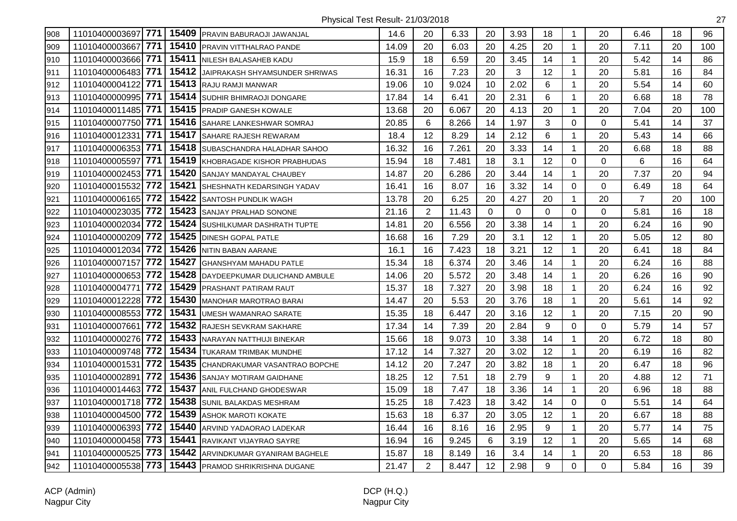| 908 | 11010400003697 771 15409 |       | <b>PRAVIN BABURAOJI JAWANJAL</b>                   | 14.6  | 20             | 6.33  | 20          | 3.93 | 18          | $\mathbf{1}$   | 20          | 6.46           | 18 | 96  |
|-----|--------------------------|-------|----------------------------------------------------|-------|----------------|-------|-------------|------|-------------|----------------|-------------|----------------|----|-----|
| 909 | 11010400003667 771       | 15410 | <b>PRAVIN VITTHALRAO PANDE</b>                     | 14.09 | 20             | 6.03  | 20          | 4.25 | 20          | $\mathbf{1}$   | 20          | 7.11           | 20 | 100 |
| 910 | 11010400003666 771       | 15411 | NILESH BALASAHEB KADU                              | 15.9  | 18             | 6.59  | 20          | 3.45 | 14          | $\mathbf{1}$   | 20          | 5.42           | 14 | 86  |
| 911 | 11010400006483 771       | 15412 | JAIPRAKASH SHYAMSUNDER SHRIWAS                     | 16.31 | 16             | 7.23  | 20          | 3    | 12          | $\mathbf{1}$   | 20          | 5.81           | 16 | 84  |
| 912 | 11010400004122 771       |       | 15413 RAJU RAMJI MANWAR                            | 19.06 | 10             | 9.024 | 10          | 2.02 | 6           | $\mathbf{1}$   | 20          | 5.54           | 14 | 60  |
| 913 | 11010400000995 771       | 15414 | <b>I</b> SUDHIR BHIMRAOJI DONGARE                  | 17.84 | 14             | 6.41  | 20          | 2.31 | 6           | $\mathbf{1}$   | 20          | 6.68           | 18 | 78  |
| 914 | 11010400011485 771       | 15415 | <b>PRADIP GANESH KOWALE</b>                        | 13.68 | 20             | 6.067 | 20          | 4.13 | 20          | $\mathbf 1$    | 20          | 7.04           | 20 | 100 |
| 915 | 11010400007750 771       | 15416 | SAHARE LANKESHWAR SOMRAJ                           | 20.85 | 6              | 8.266 | 14          | 1.97 | 3           | $\overline{0}$ | $\Omega$    | 5.41           | 14 | 37  |
| 916 | 11010400012331 771       | 15417 | SAHARE RAJESH REWARAM                              | 18.4  | 12             | 8.29  | 14          | 2.12 | 6           | $\mathbf{1}$   | 20          | 5.43           | 14 | 66  |
| 917 | 11010400006353 771       | 15418 | SUBASCHANDRA HALADHAR SAHOO                        | 16.32 | 16             | 7.261 | 20          | 3.33 | 14          | $\mathbf{1}$   | 20          | 6.68           | 18 | 88  |
| 918 | 11010400005597 771       | 15419 | <b>IKHOBRAGADE KISHOR PRABHUDAS</b>                | 15.94 | 18             | 7.481 | 18          | 3.1  | 12          | 0              | $\Omega$    | 6              | 16 | 64  |
| 919 | 11010400002453 771       | 15420 | SANJAY MANDAYAL CHAUBEY                            | 14.87 | 20             | 6.286 | 20          | 3.44 | 14          | $\mathbf{1}$   | 20          | 7.37           | 20 | 94  |
| 920 | 11010400015532 772       | 15421 | SHESHNATH KEDARSINGH YADAV                         | 16.41 | 16             | 8.07  | 16          | 3.32 | 14          | $\Omega$       | $\Omega$    | 6.49           | 18 | 64  |
| 921 | 11010400006165 772       | 15422 | <b>SANTOSH PUNDLIK WAGH</b>                        | 13.78 | 20             | 6.25  | 20          | 4.27 | 20          | $\mathbf{1}$   | 20          | $\overline{7}$ | 20 | 100 |
| 922 | 11010400023035 772       | 15423 | <b>SANJAY PRALHAD SONONE</b>                       | 21.16 | $\overline{2}$ | 11.43 | $\mathbf 0$ | 0    | $\mathbf 0$ | $\overline{0}$ | $\Omega$    | 5.81           | 16 | 18  |
| 923 | 11010400002034 772       | 15424 | SUSHILKUMAR DASHRATH TUPTE                         | 14.81 | 20             | 6.556 | 20          | 3.38 | 14          | $\mathbf 1$    | 20          | 6.24           | 16 | 90  |
| 924 | 11010400000209 772       | 15425 | <b>DINESH GOPAL PATLE</b>                          | 16.68 | 16             | 7.29  | 20          | 3.1  | 12          | $\mathbf{1}$   | 20          | 5.05           | 12 | 80  |
| 925 | 11010400012034 772       | 15426 | NITIN BABAN AARANE                                 | 16.1  | 16             | 7.423 | 18          | 3.21 | 12          | $\mathbf{1}$   | 20          | 6.41           | 18 | 84  |
| 926 | 11010400007157 772       | 15427 | <b>GHANSHYAM MAHADU PATLE</b>                      | 15.34 | 18             | 6.374 | 20          | 3.46 | 14          | $\mathbf{1}$   | 20          | 6.24           | 16 | 88  |
| 927 | 11010400000653 772       | 15428 | DAYDEEPKUMAR DULICHAND AMBULE                      | 14.06 | 20             | 5.572 | 20          | 3.48 | 14          | $\mathbf{1}$   | 20          | 6.26           | 16 | 90  |
| 928 | 11010400004771 772       | 15429 | <b>PRASHANT PATIRAM RAUT</b>                       | 15.37 | 18             | 7.327 | 20          | 3.98 | 18          | $\mathbf 1$    | 20          | 6.24           | 16 | 92  |
| 929 | 11010400012228 772       | 15430 | <b>MANOHAR MAROTRAO BARAI</b>                      | 14.47 | 20             | 5.53  | 20          | 3.76 | 18          | $\mathbf 1$    | 20          | 5.61           | 14 | 92  |
| 930 | 11010400008553 772       | 15431 | UMESH WAMANRAO SARATE                              | 15.35 | 18             | 6.447 | 20          | 3.16 | 12          | $\mathbf{1}$   | 20          | 7.15           | 20 | 90  |
| 931 | 11010400007661 772       | 15432 | RAJESH SEVKRAM SAKHARE                             | 17.34 | 14             | 7.39  | 20          | 2.84 | 9           | $\overline{0}$ | 0           | 5.79           | 14 | 57  |
| 932 | 11010400000276 772       | 15433 | NARAYAN NATTHUJI BINEKAR                           | 15.66 | 18             | 9.073 | 10          | 3.38 | 14          | $\mathbf{1}$   | 20          | 6.72           | 18 | 80  |
| 933 | 11010400009748 772       | 15434 | TUKARAM TRIMBAK MUNDHE                             | 17.12 | 14             | 7.327 | 20          | 3.02 | 12          | $\mathbf{1}$   | 20          | 6.19           | 16 | 82  |
| 934 | 11010400001531 772       | 15435 | CHANDRAKUMAR VASANTRAO BOPCHE                      | 14.12 | 20             | 7.247 | 20          | 3.82 | 18          | $\mathbf{1}$   | 20          | 6.47           | 18 | 96  |
| 935 | 11010400002891 772       | 15436 | SANJAY MOTIRAM GAIDHANE                            | 18.25 | 12             | 7.51  | 18          | 2.79 | 9           | $\mathbf{1}$   | 20          | 4.88           | 12 | 71  |
| 936 | 11010400014463 772       | 15437 | ANIL FULCHAND GHODESWAR                            | 15.09 | 18             | 7.47  | 18          | 3.36 | 14          | $\mathbf 1$    | 20          | 6.96           | 18 | 88  |
| 937 | 11010400001718 772       | 15438 | SUNIL BALAKDAS MESHRAM                             | 15.25 | 18             | 7.423 | 18          | 3.42 | 14          | 0              | $\mathbf 0$ | 5.51           | 14 | 64  |
| 938 | 11010400004500 772       | 15439 | <b>ASHOK MAROTI KOKATE</b>                         | 15.63 | 18             | 6.37  | 20          | 3.05 | 12          | $\mathbf{1}$   | 20          | 6.67           | 18 | 88  |
| 939 | 11010400006393 772       | 15440 | ARVIND YADAORAO LADEKAR                            | 16.44 | 16             | 8.16  | 16          | 2.95 | 9           | $\mathbf{1}$   | 20          | 5.77           | 14 | 75  |
| 940 | 11010400000458 773       | 15441 | RAVIKANT VIJAYRAO SAYRE                            | 16.94 | 16             | 9.245 | 6           | 3.19 | 12          | $\mathbf{1}$   | 20          | 5.65           | 14 | 68  |
| 941 | 11010400000525 773       | 15442 | ARVINDKUMAR GYANIRAM BAGHELE                       | 15.87 | 18             | 8.149 | 16          | 3.4  | 14          | $\mathbf{1}$   | 20          | 6.53           | 18 | 86  |
| 942 |                          |       | 11010400005538 773 15443 PRAMOD SHRIKRISHNA DUGANE | 21.47 | $\overline{2}$ | 8.447 | 12          | 2.98 | 9           | $\overline{0}$ | $\Omega$    | 5.84           | 16 | 39  |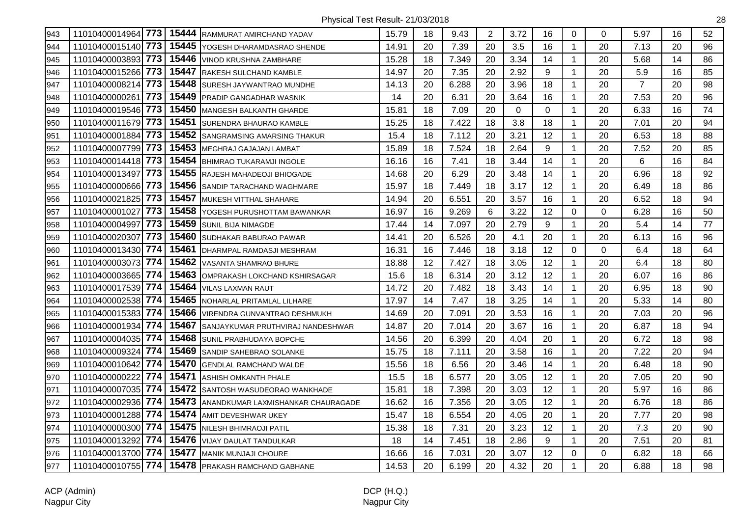| 943 | 11010400014964 773    |       | 15444 RAMMURAT AMIRCHAND YADAV           | 15.79 | 18 | 9.43  | 2  | 3.72 | 16          | 0            | 0        | 5.97           | 16 | 52 |
|-----|-----------------------|-------|------------------------------------------|-------|----|-------|----|------|-------------|--------------|----------|----------------|----|----|
| 944 | 11010400015140 773    | 15445 | YOGESH DHARAMDASRAO SHENDE               | 14.91 | 20 | 7.39  | 20 | 3.5  | 16          | $\mathbf{1}$ | 20       | 7.13           | 20 | 96 |
| 945 | 11010400003893 773    | 15446 | <b>VINOD KRUSHNA ZAMBHARE</b>            | 15.28 | 18 | 7.349 | 20 | 3.34 | 14          | $\mathbf{1}$ | 20       | 5.68           | 14 | 86 |
| 946 | 11010400015266 773    | 15447 | RAKESH SULCHAND KAMBLE                   | 14.97 | 20 | 7.35  | 20 | 2.92 | 9           | $\mathbf{1}$ | 20       | 5.9            | 16 | 85 |
| 947 | 773<br>11010400008214 | 15448 | SURESH JAYWANTRAO MUNDHE                 | 14.13 | 20 | 6.288 | 20 | 3.96 | 18          | $\mathbf{1}$ | 20       | $\overline{7}$ | 20 | 98 |
| 948 | 773<br>11010400000261 | 15449 | <b>PRADIP GANGADHAR WASNIK</b>           | 14    | 20 | 6.31  | 20 | 3.64 | 16          | $\mathbf 1$  | 20       | 7.53           | 20 | 96 |
| 949 | 11010400019546 773    | 15450 | <b>MANGESH BALKANTH GHARDE</b>           | 15.81 | 18 | 7.09  | 20 | 0    | $\mathbf 0$ | $\mathbf{1}$ | 20       | 6.33           | 16 | 74 |
| 950 | 11010400011679 773    |       | 15451 SURENDRA BHAURAO KAMBLE            | 15.25 | 18 | 7.422 | 18 | 3.8  | 18          | $\mathbf 1$  | 20       | 7.01           | 20 | 94 |
| 951 | 11010400001884 773    |       | 15452 SANGRAMSING AMARSING THAKUR        | 15.4  | 18 | 7.112 | 20 | 3.21 | 12          | $\mathbf{1}$ | 20       | 6.53           | 18 | 88 |
| 952 | 11010400007799 773    | 15453 | MEGHRAJ GAJAJAN LAMBAT                   | 15.89 | 18 | 7.524 | 18 | 2.64 | 9           | $\mathbf{1}$ | 20       | 7.52           | 20 | 85 |
| 953 | 11010400014418 773    | 15454 | <b>BHIMRAO TUKARAMJI INGOLE</b>          | 16.16 | 16 | 7.41  | 18 | 3.44 | 14          | $\mathbf{1}$ | 20       | 6              | 16 | 84 |
| 954 | 773<br>11010400013497 | 15455 | RAJESH MAHADEOJI BHIOGADE                | 14.68 | 20 | 6.29  | 20 | 3.48 | 14          | $\mathbf{1}$ | 20       | 6.96           | 18 | 92 |
| 955 | 11010400000666 773    |       | 15456 SANDIP TARACHAND WAGHMARE          | 15.97 | 18 | 7.449 | 18 | 3.17 | 12          | $\mathbf{1}$ | 20       | 6.49           | 18 | 86 |
| 956 | 11010400021825 773    |       | 15457 MUKESH VITTHAL SHAHARE             | 14.94 | 20 | 6.551 | 20 | 3.57 | 16          | $\mathbf{1}$ | 20       | 6.52           | 18 | 94 |
| 957 | 773<br>11010400001027 | 15458 | YOGESH PURUSHOTTAM BAWANKAR              | 16.97 | 16 | 9.269 | 6  | 3.22 | 12          | 0            | 0        | 6.28           | 16 | 50 |
| 958 | 773<br>11010400004997 | 15459 | <b>SUNIL BIJA NIMAGDE</b>                | 17.44 | 14 | 7.097 | 20 | 2.79 | 9           | $\mathbf{1}$ | 20       | 5.4            | 14 | 77 |
| 959 | 773<br>11010400020307 | 15460 | <b>SUDHAKAR BABURAO PAWAR</b>            | 14.41 | 20 | 6.526 | 20 | 4.1  | 20          | $\mathbf{1}$ | 20       | 6.13           | 16 | 96 |
| 960 | 11010400013430 774    | 15461 | DHARMPAL RAMDASJI MESHRAM                | 16.31 | 16 | 7.446 | 18 | 3.18 | 12          | 0            | $\Omega$ | 6.4            | 18 | 64 |
| 961 | 11010400003073 774    | 15462 | VASANTA SHAMRAO BHURE                    | 18.88 | 12 | 7.427 | 18 | 3.05 | 12          | $\mathbf{1}$ | 20       | 6.4            | 18 | 80 |
| 962 | 11010400003665 774    | 15463 | OMPRAKASH LOKCHAND KSHIRSAGAR            | 15.6  | 18 | 6.314 | 20 | 3.12 | 12          | $\mathbf{1}$ | 20       | 6.07           | 16 | 86 |
| 963 | 11010400017539 774    | 15464 | <b>VILAS LAXMAN RAUT</b>                 | 14.72 | 20 | 7.482 | 18 | 3.43 | 14          | $\mathbf{1}$ | 20       | 6.95           | 18 | 90 |
| 964 | 11010400002538 774    | 15465 | NOHARLAL PRITAMLAL LILHARE               | 17.97 | 14 | 7.47  | 18 | 3.25 | 14          | $\mathbf{1}$ | 20       | 5.33           | 14 | 80 |
| 965 | 11010400015383 774    | 15466 | VIRENDRA GUNVANTRAO DESHMUKH             | 14.69 | 20 | 7.091 | 20 | 3.53 | 16          | $\mathbf{1}$ | 20       | 7.03           | 20 | 96 |
| 966 | 11010400001934 774    | 15467 | SANJAYKUMAR PRUTHVIRAJ NANDESHWAR        | 14.87 | 20 | 7.014 | 20 | 3.67 | 16          | $\mathbf{1}$ | 20       | 6.87           | 18 | 94 |
| 967 | 11010400004035 774    | 15468 | SUNIL PRABHUDAYA BOPCHE                  | 14.56 | 20 | 6.399 | 20 | 4.04 | 20          | $\mathbf 1$  | 20       | 6.72           | 18 | 98 |
| 968 | 774<br>11010400009324 | 15469 | SANDIP SAHEBRAO SOLANKE                  | 15.75 | 18 | 7.111 | 20 | 3.58 | 16          | $\mathbf{1}$ | 20       | 7.22           | 20 | 94 |
| 969 | 774<br>11010400010642 | 15470 | <b>GENDLAL RAMCHAND WALDE</b>            | 15.56 | 18 | 6.56  | 20 | 3.46 | 14          | $\mathbf{1}$ | 20       | 6.48           | 18 | 90 |
| 970 | 774<br>11010400000222 | 15471 | <b>ASHISH OMKANTH PHALE</b>              | 15.5  | 18 | 6.577 | 20 | 3.05 | 12          | $\mathbf{1}$ | 20       | 7.05           | 20 | 90 |
| 971 | 11010400007035 774    | 15472 | <b>SANTOSH WASUDEORAO WANKHADE</b>       | 15.81 | 18 | 7.398 | 20 | 3.03 | 12          | $\mathbf{1}$ | 20       | 5.97           | 16 | 86 |
| 972 | 11010400002936 774    |       | 15473 ANANDKUMAR LAXMISHANKAR CHAURAGADE | 16.62 | 16 | 7.356 | 20 | 3.05 | 12          | $\mathbf{1}$ | 20       | 6.76           | 18 | 86 |
| 973 | 11010400001288 774    |       | 15474 AMIT DEVESHWAR UKEY                | 15.47 | 18 | 6.554 | 20 | 4.05 | 20          | $\mathbf 1$  | 20       | 7.77           | 20 | 98 |
| 974 | 11010400000300 774    | 15475 | NILESH BHIMRAOJI PATIL                   | 15.38 | 18 | 7.31  | 20 | 3.23 | 12          | $\mathbf{1}$ | 20       | 7.3            | 20 | 90 |
| 975 | 11010400013292 774    | 15476 | <b>VIJAY DAULAT TANDULKAR</b>            | 18    | 14 | 7.451 | 18 | 2.86 | 9           | $\mathbf{1}$ | 20       | 7.51           | 20 | 81 |
| 976 | 11010400013700 774    | 15477 | <b>MANIK MUNJAJI CHOURE</b>              | 16.66 | 16 | 7.031 | 20 | 3.07 | 12          | 0            | 0        | 6.82           | 18 | 66 |
| 977 | 11010400010755 774    |       | 15478 PRAKASH RAMCHAND GABHANE           | 14.53 | 20 | 6.199 | 20 | 4.32 | 20          | $\mathbf{1}$ | 20       | 6.88           | 18 | 98 |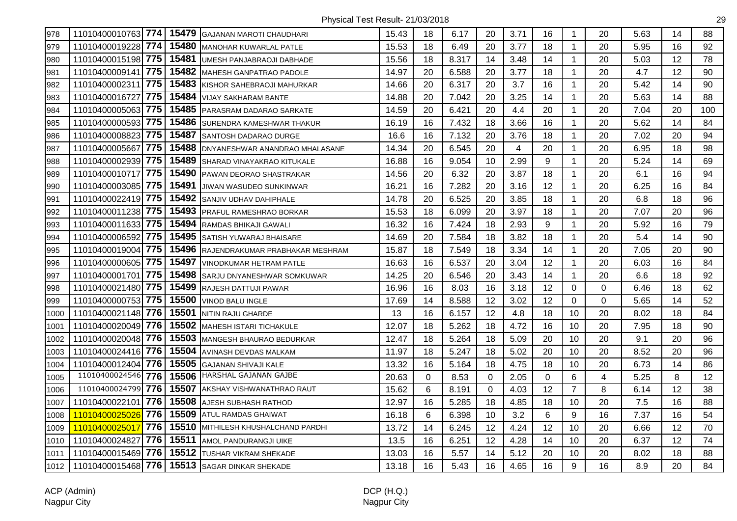| 978  |                    |       |       | 11010400010763 774   15479 GAJANAN MAROTI CHAUDHARI | 15.43 | 18 | 6.17  | 20          | 3.71 | 16          | 1              | 20       | 5.63 | 14 | 88  |
|------|--------------------|-------|-------|-----------------------------------------------------|-------|----|-------|-------------|------|-------------|----------------|----------|------|----|-----|
| 979  | 11010400019228 774 |       | 15480 | <b>MANOHAR KUWARLAL PATLE</b>                       | 15.53 | 18 | 6.49  | 20          | 3.77 | 18          | $\mathbf{1}$   | 20       | 5.95 | 16 | 92  |
| 980  | 11010400015198 775 |       | 15481 | UMESH PANJABRAOJI DABHADE                           | 15.56 | 18 | 8.317 | 14          | 3.48 | 14          | $\mathbf{1}$   | 20       | 5.03 | 12 | 78  |
| 981  | 11010400009141     | 775   | 15482 | MAHESH GANPATRAO PADOLE                             | 14.97 | 20 | 6.588 | 20          | 3.77 | 18          | $\mathbf{1}$   | 20       | 4.7  | 12 | 90  |
| 982  | 11010400002311     | 775   | 15483 | KISHOR SAHEBRAOJI MAHURKAR                          | 14.66 | 20 | 6.317 | 20          | 3.7  | 16          | $\mathbf{1}$   | 20       | 5.42 | 14 | 90  |
| 983  | 11010400016727     | 775   | 15484 | <b>VIJAY SAKHARAM BANTE</b>                         | 14.88 | 20 | 7.042 | 20          | 3.25 | 14          | $\mathbf 1$    | 20       | 5.63 | 14 | 88  |
| 984  | 11010400005063 775 |       | 15485 | <b>PARASRAM DADARAO SARKATE</b>                     | 14.59 | 20 | 6.421 | 20          | 4.4  | 20          | $\mathbf{1}$   | 20       | 7.04 | 20 | 100 |
| 985  | 11010400000593 775 |       | 15486 | <b>SURENDRA KAMESHWAR THAKUR</b>                    | 16.19 | 16 | 7.432 | 18          | 3.66 | 16          | $\mathbf{1}$   | 20       | 5.62 | 14 | 84  |
| 986  | 11010400008823 775 |       |       | 15487 SANTOSH DADARAO DURGE                         | 16.6  | 16 | 7.132 | 20          | 3.76 | 18          | $\mathbf{1}$   | 20       | 7.02 | 20 | 94  |
| 987  | 11010400005667     | 775   | 15488 | DNYANESHWAR ANANDRAO MHALASANE                      | 14.34 | 20 | 6.545 | 20          | 4    | 20          | $\mathbf{1}$   | 20       | 6.95 | 18 | 98  |
| 988  | 11010400002939 775 |       | 15489 | SHARAD VINAYAKRAO KITUKALE                          | 16.88 | 16 | 9.054 | 10          | 2.99 | 9           | $\mathbf{1}$   | 20       | 5.24 | 14 | 69  |
| 989  | 11010400010717     | 775   | 15490 | PAWAN DEORAO SHASTRAKAR                             | 14.56 | 20 | 6.32  | 20          | 3.87 | 18          | $\mathbf{1}$   | 20       | 6.1  | 16 | 94  |
| 990  | 11010400003085 775 |       | 15491 | <b>JIWAN WASUDEO SUNKINWAR</b>                      | 16.21 | 16 | 7.282 | 20          | 3.16 | 12          | $\mathbf{1}$   | 20       | 6.25 | 16 | 84  |
| 991  | 11010400022419 775 |       |       | 15492 SANJIV UDHAV DAHIPHALE                        | 14.78 | 20 | 6.525 | 20          | 3.85 | 18          | $\mathbf{1}$   | 20       | 6.8  | 18 | 96  |
| 992  | 11010400011238 775 |       |       | 15493 PRAFUL RAMESHRAO BORKAR                       | 15.53 | 18 | 6.099 | 20          | 3.97 | 18          | $\mathbf{1}$   | 20       | 7.07 | 20 | 96  |
| 993  | 11010400011633 775 |       | 15494 | <b>RAMDAS BHIKAJI GAWALI</b>                        | 16.32 | 16 | 7.424 | 18          | 2.93 | 9           | $\mathbf 1$    | 20       | 5.92 | 16 | 79  |
| 994  | 11010400006592     | 775   | 15495 | <b>SATISH YUWARAJ BHAISARE</b>                      | 14.69 | 20 | 7.584 | 18          | 3.82 | 18          | $\mathbf{1}$   | 20       | 5.4  | 14 | 90  |
| 995  | 11010400019004 775 |       | 15496 | RAJENDRAKUMAR PRABHAKAR MESHRAM                     | 15.87 | 18 | 7.549 | 18          | 3.34 | 14          | $\mathbf{1}$   | 20       | 7.05 | 20 | 90  |
| 996  | 11010400000605 775 |       | 15497 | VINODKUMAR HETRAM PATLE                             | 16.63 | 16 | 6.537 | 20          | 3.04 | 12          | $\mathbf{1}$   | 20       | 6.03 | 16 | 84  |
| 997  | 11010400001701     | 775   | 15498 | <b>SARJU DNYANESHWAR SOMKUWAR</b>                   | 14.25 | 20 | 6.546 | 20          | 3.43 | 14          | $\mathbf{1}$   | 20       | 6.6  | 18 | 92  |
| 998  | 11010400021480 775 |       | 15499 | <b>RAJESH DATTUJI PAWAR</b>                         | 16.96 | 16 | 8.03  | 16          | 3.18 | 12          | 0              | $\Omega$ | 6.46 | 18 | 62  |
| 999  | 11010400000753 775 |       | 15500 | <b>VINOD BALU INGLE</b>                             | 17.69 | 14 | 8.588 | 12          | 3.02 | 12          | 0              | $\Omega$ | 5.65 | 14 | 52  |
| 1000 | 11010400021148 776 |       |       | 15501 NITIN RAJU GHARDE                             | 13    | 16 | 6.157 | 12          | 4.8  | 18          | 10             | 20       | 8.02 | 18 | 84  |
| 1001 | 11010400020049 776 |       |       | 15502 MAHESH ISTARI TICHAKULE                       | 12.07 | 18 | 5.262 | 18          | 4.72 | 16          | 10             | 20       | 7.95 | 18 | 90  |
| 1002 | 11010400020048 776 |       | 15503 | <b>MANGESH BHAURAO BEDURKAR</b>                     | 12.47 | 18 | 5.264 | 18          | 5.09 | 20          | 10             | 20       | 9.1  | 20 | 96  |
| 1003 | 11010400024416 776 |       | 15504 | AVINASH DEVDAS MALKAM                               | 11.97 | 18 | 5.247 | 18          | 5.02 | 20          | 10             | 20       | 8.52 | 20 | 96  |
| 1004 | 11010400012404     | l 776 | 15505 | <b>GAJANAN SHIVAJI KALE</b>                         | 13.32 | 16 | 5.164 | 18          | 4.75 | 18          | 10             | 20       | 6.73 | 14 | 86  |
| 1005 | 11010400024546     | 776   | 15506 | HARSHAL GAJANAN GAJBE                               | 20.63 | 0  | 8.53  | $\mathbf 0$ | 2.05 | $\mathbf 0$ | 6              | 4        | 5.25 | 8  | 12  |
| 1006 | 11010400024799     | 776   |       | 15507 AKSHAY VISHWANATHRAO RAUT                     | 15.62 | 6  | 8.191 | 0           | 4.03 | 12          | $\overline{7}$ | 8        | 6.14 | 12 | 38  |
| 1007 | 11010400022101     | 776   |       | 15508 AJESH SUBHASH RATHOD                          | 12.97 | 16 | 5.285 | 18          | 4.85 | 18          | 10             | 20       | 7.5  | 16 | 88  |
| 1008 | 11010400025026     | 776   |       | 15509 ATUL RAMDAS GHAIWAT                           | 16.18 | 6  | 6.398 | 10          | 3.2  | 6           | 9              | 16       | 7.37 | 16 | 54  |
| 1009 | 11010400025017     | 776   |       | 15510 MITHILESH KHUSHALCHAND PARDHI                 | 13.72 | 14 | 6.245 | 12          | 4.24 | 12          | 10             | 20       | 6.66 | 12 | 70  |
| 1010 | 11010400024827     | 776   |       | 15511 AMOL PANDURANGJI UIKE                         | 13.5  | 16 | 6.251 | 12          | 4.28 | 14          | 10             | 20       | 6.37 | 12 | 74  |
| 1011 | 11010400015469 776 |       | 15512 | <b>TUSHAR VIKRAM SHEKADE</b>                        | 13.03 | 16 | 5.57  | 14          | 5.12 | 20          | 10             | 20       | 8.02 | 18 | 88  |
| 1012 | 11010400015468 776 |       |       | 15513 SAGAR DINKAR SHEKADE                          | 13.18 | 16 | 5.43  | 16          | 4.65 | 16          | 9              | 16       | 8.9  | 20 | 84  |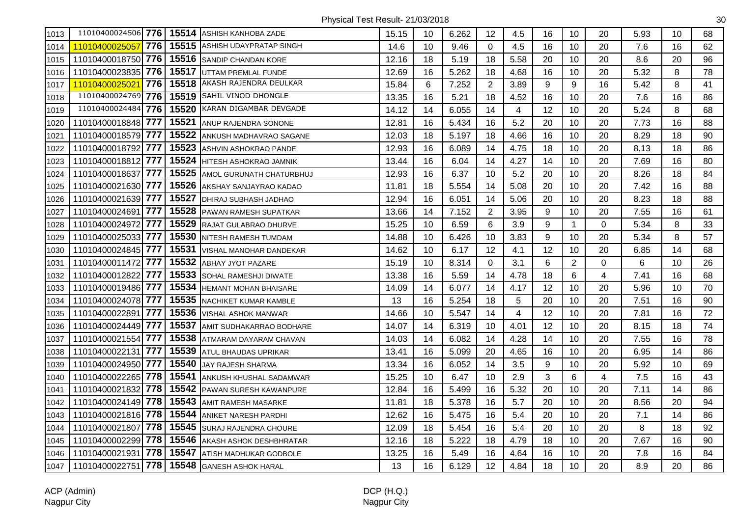| 1013 |                    |     |       | 11010400024506 776   15514 ASHISH KANHOBA ZADE | 15.15 | 10 | 6.262 | 12             | 4.5                     | 16 | 10             | 20                      | 5.93 | 10 | 68 |
|------|--------------------|-----|-------|------------------------------------------------|-------|----|-------|----------------|-------------------------|----|----------------|-------------------------|------|----|----|
| 1014 | 11010400025057     | 776 |       | 15515 ASHISH UDAYPRATAP SINGH                  | 14.6  | 10 | 9.46  | 0              | 4.5                     | 16 | 10             | 20                      | 7.6  | 16 | 62 |
| 1015 | 11010400018750 776 |     |       | 15516 SANDIP CHANDAN KORE                      | 12.16 | 18 | 5.19  | 18             | 5.58                    | 20 | 10             | 20                      | 8.6  | 20 | 96 |
| 1016 | 11010400023835 776 |     | 15517 | UTTAM PREMLAL FUNDE                            | 12.69 | 16 | 5.262 | 18             | 4.68                    | 16 | 10             | 20                      | 5.32 | 8  | 78 |
| 1017 | 1101040002502      | 776 | 15518 | AKASH RAJENDRA DEULKAR                         | 15.84 | 6  | 7.252 | $\overline{2}$ | 3.89                    | 9  | 9              | 16                      | 5.42 | 8  | 41 |
| 1018 | 11010400024769     | 776 |       | 15519 SAHIL VINOD DHONGLE                      | 13.35 | 16 | 5.21  | 18             | 4.52                    | 16 | 10             | 20                      | 7.6  | 16 | 86 |
| 1019 | 11010400024484     | 776 | 15520 | KARAN DIGAMBAR DEVGADE                         | 14.12 | 14 | 6.055 | 14             | $\overline{\mathbf{4}}$ | 12 | 10             | 20                      | 5.24 | 8  | 68 |
| 1020 | 11010400018848 777 |     |       | 15521 ANUP RAJENDRA SONONE                     | 12.81 | 16 | 5.434 | 16             | 5.2                     | 20 | 10             | 20                      | 7.73 | 16 | 88 |
| 1021 | 11010400018579 777 |     | 15522 | ANKUSH MADHAVRAO SAGANE                        | 12.03 | 18 | 5.197 | 18             | 4.66                    | 16 | 10             | 20                      | 8.29 | 18 | 90 |
| 1022 | 11010400018792 777 |     | 15523 | ASHVIN ASHOKRAO PANDE                          | 12.93 | 16 | 6.089 | 14             | 4.75                    | 18 | 10             | 20                      | 8.13 | 18 | 86 |
| 1023 | 11010400018812     | 777 | 15524 | HITESH ASHOKRAO JAMNIK                         | 13.44 | 16 | 6.04  | 14             | 4.27                    | 14 | 10             | 20                      | 7.69 | 16 | 80 |
| 1024 | 11010400018637     | 777 | 15525 | AMOL GURUNATH CHATURBHUJ                       | 12.93 | 16 | 6.37  | 10             | 5.2                     | 20 | 10             | 20                      | 8.26 | 18 | 84 |
| 1025 | 11010400021630 777 |     | 15526 | AKSHAY SANJAYRAO KADAO                         | 11.81 | 18 | 5.554 | 14             | 5.08                    | 20 | 10             | 20                      | 7.42 | 16 | 88 |
| 1026 | 11010400021639 777 |     |       | 15527 DHIRAJ SUBHASH JADHAO                    | 12.94 | 16 | 6.051 | 14             | 5.06                    | 20 | 10             | 20                      | 8.23 | 18 | 88 |
| 1027 | 11010400024691     | 777 |       | 15528 PAWAN RAMESH SUPATKAR                    | 13.66 | 14 | 7.152 | $\overline{2}$ | 3.95                    | 9  | 10             | 20                      | 7.55 | 16 | 61 |
| 1028 | 11010400024972     | 777 | 15529 | RAJAT GULABRAO DHURVE                          | 15.25 | 10 | 6.59  | 6              | 3.9                     | 9  | $\mathbf{1}$   | $\Omega$                | 5.34 | 8  | 33 |
| 1029 | 11010400025033 777 |     | 15530 | NITESH RAMESH TUMDAM                           | 14.88 | 10 | 6.426 | 10             | 3.83                    | 9  | 10             | 20                      | 5.34 | 8  | 57 |
| 1030 | 11010400024845     | 777 | 15531 | VISHAL MANOHAR DANDEKAR                        | 14.62 | 10 | 6.17  | 12             | 4.1                     | 12 | 10             | 20                      | 6.85 | 14 | 68 |
| 1031 | 11010400011472     | 777 | 15532 | <b>ABHAY JYOT PAZARE</b>                       | 15.19 | 10 | 8.314 | $\Omega$       | 3.1                     | 6  | $\overline{2}$ | 0                       | 6    | 10 | 26 |
| 1032 | 11010400012822     | 777 | 15533 | SOHAL RAMESHJI DIWATE                          | 13.38 | 16 | 5.59  | 14             | 4.78                    | 18 | 6              | $\overline{\mathbf{4}}$ | 7.41 | 16 | 68 |
| 1033 | 11010400019486 777 |     | 15534 | <b>HEMANT MOHAN BHAISARE</b>                   | 14.09 | 14 | 6.077 | 14             | 4.17                    | 12 | 10             | 20                      | 5.96 | 10 | 70 |
| 1034 | 11010400024078 777 |     |       | 15535 NACHIKET KUMAR KAMBLE                    | 13    | 16 | 5.254 | 18             | 5                       | 20 | 10             | 20                      | 7.51 | 16 | 90 |
| 1035 | 11010400022891     | 777 |       | 15536 VISHAL ASHOK MANWAR                      | 14.66 | 10 | 5.547 | 14             | $\overline{\mathbf{4}}$ | 12 | 10             | 20                      | 7.81 | 16 | 72 |
| 1036 | 11010400024449 777 |     |       | 15537 AMIT SUDHAKARRAO BODHARE                 | 14.07 | 14 | 6.319 | 10             | 4.01                    | 12 | 10             | 20                      | 8.15 | 18 | 74 |
| 1037 | 11010400021554 777 |     | 15538 | ATMARAM DAYARAM CHAVAN                         | 14.03 | 14 | 6.082 | 14             | 4.28                    | 14 | 10             | 20                      | 7.55 | 16 | 78 |
| 1038 | 11010400022131     | 777 | 15539 | <b>ATUL BHAUDAS UPRIKAR</b>                    | 13.41 | 16 | 5.099 | 20             | 4.65                    | 16 | 10             | 20                      | 6.95 | 14 | 86 |
| 1039 | 11010400024950 777 |     | 15540 | <b>JAY RAJESH SHARMA</b>                       | 13.34 | 16 | 6.052 | 14             | 3.5                     | 9  | 10             | 20                      | 5.92 | 10 | 69 |
| 1040 | 11010400022265 778 |     |       | 15541 ANKUSH KHUSHAL SADAMWAR                  | 15.25 | 10 | 6.47  | 10             | 2.9                     | 3  | 6              | $\overline{\mathbf{4}}$ | 7.5  | 16 | 43 |
| 1041 | 11010400021832 778 |     |       | 15542 PAWAN SURESH KAWANPURE                   | 12.84 | 16 | 5.499 | 16             | 5.32                    | 20 | 10             | 20                      | 7.11 | 14 | 86 |
| 1042 | 11010400024149 778 |     |       | 15543 AMIT RAMESH MASARKE                      | 11.81 | 18 | 5.378 | 16             | 5.7                     | 20 | 10             | 20                      | 8.56 | 20 | 94 |
| 1043 | 11010400021816 778 |     | 15544 | ANIKET NARESH PARDHI                           | 12.62 | 16 | 5.475 | 16             | 5.4                     | 20 | 10             | 20                      | 7.1  | 14 | 86 |
| 1044 | 11010400021807     | 778 | 15545 | SURAJ RAJENDRA CHOURE                          | 12.09 | 18 | 5.454 | 16             | 5.4                     | 20 | 10             | 20                      | 8    | 18 | 92 |
| 1045 | 11010400002299     | 778 | 15546 | AKASH ASHOK DESHBHRATAR                        | 12.16 | 18 | 5.222 | 18             | 4.79                    | 18 | 10             | 20                      | 7.67 | 16 | 90 |
| 1046 | 11010400021931     | 778 | 15547 | ATISH MADHUKAR GODBOLE                         | 13.25 | 16 | 5.49  | 16             | 4.64                    | 16 | 10             | 20                      | 7.8  | 16 | 84 |
| 1047 | 11010400022751     | 778 | 15548 | <b>GANESH ASHOK HARAL</b>                      | 13    | 16 | 6.129 | 12             | 4.84                    | 18 | 10             | 20                      | 8.9  | 20 | 86 |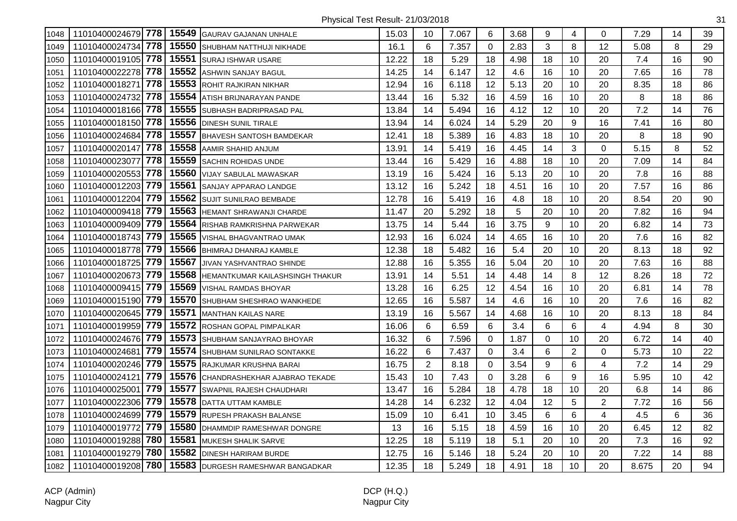| 1048 |                    |     |       | 11010400024679 778 15549 GAURAV GAJANAN UNHALE | 15.03 | 10             | 7.067 | 6           | 3.68 | 9           | 4              | $\Omega$                | 7.29  | 14 | 39 |
|------|--------------------|-----|-------|------------------------------------------------|-------|----------------|-------|-------------|------|-------------|----------------|-------------------------|-------|----|----|
| 1049 | 11010400024734 778 |     |       | 15550 SHUBHAM NATTHUJI NIKHADE                 | 16.1  | 6              | 7.357 | $\Omega$    | 2.83 | 3           | 8              | 12                      | 5.08  | 8  | 29 |
| 1050 | 11010400019105     | 778 |       | 15551 SURAJ ISHWAR USARE                       | 12.22 | 18             | 5.29  | 18          | 4.98 | 18          | 10             | 20                      | 7.4   | 16 | 90 |
| 1051 | 11010400022278 778 |     | 15552 | <b>ASHWIN SANJAY BAGUL</b>                     | 14.25 | 14             | 6.147 | 12          | 4.6  | 16          | 10             | 20                      | 7.65  | 16 | 78 |
| 1052 | 11010400018271     | 778 |       | 15553 ROHIT RAJKIRAN NIKHAR                    | 12.94 | 16             | 6.118 | 12          | 5.13 | 20          | 10             | 20                      | 8.35  | 18 | 86 |
| 1053 | 11010400024732 778 |     |       | 15554 ATISH BRIJNARAYAN PANDE                  | 13.44 | 16             | 5.32  | 16          | 4.59 | 16          | 10             | 20                      | 8     | 18 | 86 |
| 1054 | 11010400018166 778 |     |       | 15555 SUBHASH BADRIPRASAD PAL                  | 13.84 | 14             | 5.494 | 16          | 4.12 | 12          | 10             | 20                      | 7.2   | 14 | 76 |
| 1055 | 11010400018150 778 |     |       | 15556 DINESH SUNIL TIRALE                      | 13.94 | 14             | 6.024 | 14          | 5.29 | 20          | 9              | 16                      | 7.41  | 16 | 80 |
| 1056 | 11010400024684     | 778 |       | 15557 BHAVESH SANTOSH BAMDEKAR                 | 12.41 | 18             | 5.389 | 16          | 4.83 | 18          | 10             | 20                      | 8     | 18 | 90 |
| 1057 | 11010400020147     | 778 | 15558 | AAMIR SHAHID ANJUM                             | 13.91 | 14             | 5.419 | 16          | 4.45 | 14          | 3              | $\Omega$                | 5.15  | 8  | 52 |
| 1058 | 11010400023077     | 778 |       | 15559 SACHIN ROHIDAS UNDE                      | 13.44 | 16             | 5.429 | 16          | 4.88 | 18          | 10             | 20                      | 7.09  | 14 | 84 |
| 1059 | 11010400020553     | 778 |       | 15560 VIJAY SABULAL MAWASKAR                   | 13.19 | 16             | 5.424 | 16          | 5.13 | 20          | 10             | 20                      | 7.8   | 16 | 88 |
| 1060 | 11010400012203 779 |     | 15561 | <b>SANJAY APPARAO LANDGE</b>                   | 13.12 | 16             | 5.242 | 18          | 4.51 | 16          | 10             | 20                      | 7.57  | 16 | 86 |
| 1061 | 11010400012204 779 |     |       | 15562 SUJIT SUNILRAO BEMBADE                   | 12.78 | 16             | 5.419 | 16          | 4.8  | 18          | 10             | 20                      | 8.54  | 20 | 90 |
| 1062 | 11010400009418 779 |     |       | 15563 HEMANT SHRAWANJI CHARDE                  | 11.47 | 20             | 5.292 | 18          | 5    | 20          | 10             | 20                      | 7.82  | 16 | 94 |
| 1063 | 11010400009409 779 |     |       | 15564 RISHAB RAMKRISHNA PARWEKAR               | 13.75 | 14             | 5.44  | 16          | 3.75 | 9           | 10             | 20                      | 6.82  | 14 | 73 |
| 1064 | 11010400018743 779 |     |       | 15565 VISHAL BHAGVANTRAO UMAK                  | 12.93 | 16             | 6.024 | 14          | 4.65 | 16          | 10             | 20                      | 7.6   | 16 | 82 |
| 1065 | 11010400018778 779 |     |       | 15566 BHIMRAJ DHANRAJ KAMBLE                   | 12.38 | 18             | 5.482 | 16          | 5.4  | 20          | 10             | 20                      | 8.13  | 18 | 92 |
| 1066 | 11010400018725     | 779 | 15567 | JIVAN YASHVANTRAO SHINDE                       | 12.88 | 16             | 5.355 | 16          | 5.04 | 20          | 10             | 20                      | 7.63  | 16 | 88 |
| 1067 | 11010400020673 779 |     |       | 15568 HEMANTKUMAR KAILASHSINGH THAKUR          | 13.91 | 14             | 5.51  | 14          | 4.48 | 14          | 8              | 12                      | 8.26  | 18 | 72 |
| 1068 | 11010400009415 779 |     |       | 15569 VISHAL RAMDAS BHOYAR                     | 13.28 | 16             | 6.25  | 12          | 4.54 | 16          | 10             | 20                      | 6.81  | 14 | 78 |
| 1069 | 11010400015190 779 |     |       | 15570 SHUBHAM SHESHRAO WANKHEDE                | 12.65 | 16             | 5.587 | 14          | 4.6  | 16          | 10             | 20                      | 7.6   | 16 | 82 |
| 1070 | 11010400020645 779 |     | 15571 | <b>MANTHAN KAILAS NARE</b>                     | 13.19 | 16             | 5.567 | 14          | 4.68 | 16          | 10             | 20                      | 8.13  | 18 | 84 |
| 1071 | 11010400019959 779 |     |       | 15572 ROSHAN GOPAL PIMPALKAR                   | 16.06 | 6              | 6.59  | 6           | 3.4  | 6           | 6              | 4                       | 4.94  | 8  | 30 |
| 1072 | 11010400024676 779 |     |       | 15573 SHUBHAM SANJAYRAO BHOYAR                 | 16.32 | 6              | 7.596 | 0           | 1.87 | $\mathbf 0$ | 10             | 20                      | 6.72  | 14 | 40 |
| 1073 | 11010400024681     | 779 |       | 15574 SHUBHAM SUNILRAO SONTAKKE                | 16.22 | 6              | 7.437 | $\Omega$    | 3.4  | 6           | $\overline{2}$ | 0                       | 5.73  | 10 | 22 |
| 1074 | 11010400020246     | 779 |       | 15575 RAJKUMAR KRUSHNA BARAI                   | 16.75 | $\overline{2}$ | 8.18  | 0           | 3.54 | 9           | 6              | 4                       | 7.2   | 14 | 29 |
| 1075 | 11010400024121     | 779 |       | 15576 CHANDRASHEKHAR AJABRAO TEKADE            | 15.43 | 10             | 7.43  | $\mathbf 0$ | 3.28 | $\,6\,$     | 9              | 16                      | 5.95  | 10 | 42 |
| 1076 | 11010400025001     | 779 |       | 15577 SWAPNIL RAJESH CHAUDHARI                 | 13.47 | 16             | 5.284 | 18          | 4.78 | 18          | 10             | 20                      | 6.8   | 14 | 86 |
| 1077 | 11010400022306 779 |     |       | 15578 DATTA UTTAM KAMBLE                       | 14.28 | 14             | 6.232 | 12          | 4.04 | 12          | 5              | $\overline{2}$          | 7.72  | 16 | 56 |
| 1078 | 11010400024699 779 |     |       | 15579 RUPESH PRAKASH BALANSE                   | 15.09 | 10             | 6.41  | 10          | 3.45 | 6           | 6              | $\overline{\mathbf{4}}$ | 4.5   | 6  | 36 |
| 1079 | 11010400019772     | 779 |       | 15580 DHAMMDIP RAMESHWAR DONGRE                | 13    | 16             | 5.15  | 18          | 4.59 | 16          | 10             | 20                      | 6.45  | 12 | 82 |
| 1080 | 11010400019288 780 |     | 15581 | <b>MUKESH SHALIK SARVE</b>                     | 12.25 | 18             | 5.119 | 18          | 5.1  | 20          | 10             | 20                      | 7.3   | 16 | 92 |
| 1081 | 11010400019279 780 |     |       | 15582 DINESH HARIRAM BURDE                     | 12.75 | 16             | 5.146 | 18          | 5.24 | 20          | 10             | 20                      | 7.22  | 14 | 88 |
| 1082 | 11010400019208 780 |     |       | 15583 DURGESH RAMESHWAR BANGADKAR              | 12.35 | 18             | 5.249 | 18          | 4.91 | 18          | 10             | 20                      | 8.675 | 20 | 94 |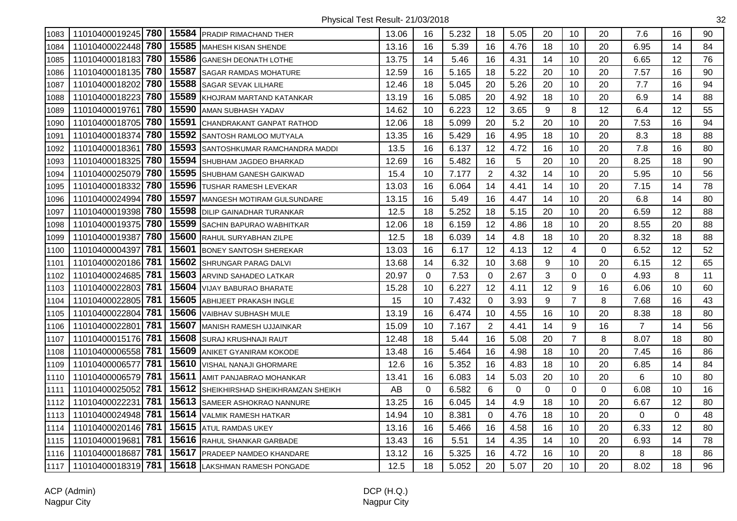| 1083 |                       |       | 11010400019245 780 15584 PRADIP RIMACHAND THER | 13.06 | 16          | 5.232 | 18             | 5.05 | 20          | 10             | 20       | 7.6             | 16          | 90 |
|------|-----------------------|-------|------------------------------------------------|-------|-------------|-------|----------------|------|-------------|----------------|----------|-----------------|-------------|----|
| 1084 | 11010400022448 780    | 15585 | <b>MAHESH KISAN SHENDE</b>                     | 13.16 | 16          | 5.39  | 16             | 4.76 | 18          | 10             | 20       | 6.95            | 14          | 84 |
| 1085 | 11010400018183 780    | 15586 | <b>GANESH DEONATH LOTHE</b>                    | 13.75 | 14          | 5.46  | 16             | 4.31 | 14          | 10             | 20       | 6.65            | 12          | 76 |
| 1086 | 11010400018135 780    | 15587 | <b>SAGAR RAMDAS MOHATURE</b>                   | 12.59 | 16          | 5.165 | 18             | 5.22 | 20          | 10             | 20       | 7.57            | 16          | 90 |
| 1087 | 780<br>11010400018202 | 15588 | <b>SAGAR SEVAK LILHARE</b>                     | 12.46 | 18          | 5.045 | 20             | 5.26 | 20          | 10             | 20       | 7.7             | 16          | 94 |
| 1088 | 780<br>11010400018223 | 15589 | KHOJRAM MARTAND KATANKAR                       | 13.19 | 16          | 5.085 | 20             | 4.92 | 18          | 10             | 20       | 6.9             | 14          | 88 |
| 1089 | 780<br>11010400019761 | 15590 | AMAN SUBHASH YADAV                             | 14.62 | 10          | 6.223 | 12             | 3.65 | 9           | 8              | 12       | 6.4             | 12          | 55 |
| 1090 | 11010400018705 780    | 15591 | CHANDRAKANT GANPAT RATHOD                      | 12.06 | 18          | 5.099 | 20             | 5.2  | 20          | 10             | 20       | 7.53            | 16          | 94 |
| 1091 | 11010400018374 780    |       | 15592 SANTOSH RAMLOO MUTYALA                   | 13.35 | 16          | 5.429 | 16             | 4.95 | 18          | 10             | 20       | 8.3             | 18          | 88 |
| 1092 | 780<br>11010400018361 | 15593 | SANTOSHKUMAR RAMCHANDRA MADDI                  | 13.5  | 16          | 6.137 | 12             | 4.72 | 16          | 10             | 20       | 7.8             | 16          | 80 |
| 1093 | 780<br>11010400018325 | 15594 | SHUBHAM JAGDEO BHARKAD                         | 12.69 | 16          | 5.482 | 16             | 5    | 20          | 10             | 20       | 8.25            | 18          | 90 |
| 1094 | 780<br>11010400025079 | 15595 | SHUBHAM GANESH GAIKWAD                         | 15.4  | 10          | 7.177 | $\overline{2}$ | 4.32 | 14          | 10             | 20       | 5.95            | 10          | 56 |
| 1095 | 780<br>11010400018332 | 15596 | <b>TUSHAR RAMESH LEVEKAR</b>                   | 13.03 | 16          | 6.064 | 14             | 4.41 | 14          | 10             | 20       | 7.15            | 14          | 78 |
| 1096 | 11010400024994 780    |       | 15597 MANGESH MOTIRAM GULSUNDARE               | 13.15 | 16          | 5.49  | 16             | 4.47 | 14          | 10             | 20       | 6.8             | 14          | 80 |
| 1097 | 11010400019398 780    | 15598 | <b>IDILIP GAINADHAR TURANKAR</b>               | 12.5  | 18          | 5.252 | 18             | 5.15 | 20          | 10             | 20       | 6.59            | 12          | 88 |
| 1098 | 11010400019375 780    | 15599 | <b>SACHIN BAPURAO WABHITKAR</b>                | 12.06 | 18          | 6.159 | 12             | 4.86 | 18          | 10             | 20       | 8.55            | 20          | 88 |
| 1099 | 780<br>11010400019387 | 15600 | RAHUL SURYABHAN ZILPE                          | 12.5  | 18          | 6.039 | 14             | 4.8  | 18          | 10             | 20       | 8.32            | 18          | 88 |
| 1100 | 781<br>11010400004397 | 15601 | <b>BONEY SANTOSH SHEREKAR</b>                  | 13.03 | 16          | 6.17  | 12             | 4.13 | 12          | 4              | $\Omega$ | 6.52            | 12          | 52 |
| 1101 | 11010400020186 781    | 15602 | SHRUNGAR PARAG DALVI                           | 13.68 | 14          | 6.32  | 10             | 3.68 | 9           | 10             | 20       | 6.15            | 12          | 65 |
| 1102 | 781<br>11010400024685 | 15603 | ARVIND SAHADEO LATKAR                          | 20.97 | 0           | 7.53  | 0              | 2.67 | 3           | 0              | 0        | 4.93            | 8           | 11 |
| 1103 | 11010400022803 781    | 15604 | VIJAY BABURAO BHARATE                          | 15.28 | 10          | 6.227 | 12             | 4.11 | 12          | 9              | 16       | 6.06            | 10          | 60 |
| 1104 | 11010400022805 781    |       | 15605 ABHIJEET PRAKASH INGLE                   | 15    | 10          | 7.432 | 0              | 3.93 | 9           | $\overline{7}$ | 8        | 7.68            | 16          | 43 |
| 1105 | 11010400022804 781    | 15606 | VAIBHAV SUBHASH MULE                           | 13.19 | 16          | 6.474 | 10             | 4.55 | 16          | 10             | 20       | 8.38            | 18          | 80 |
| 1106 | 781<br>11010400022801 | 15607 | <b>MANISH RAMESH UJJAINKAR</b>                 | 15.09 | 10          | 7.167 | $\overline{2}$ | 4.41 | 14          | 9              | 16       | 7               | 14          | 56 |
| 1107 | 11010400015176 781    | 15608 | SURAJ KRUSHNAJI RAUT                           | 12.48 | 18          | 5.44  | 16             | 5.08 | 20          | $\overline{7}$ | 8        | 8.07            | 18          | 80 |
| 1108 | 11010400006558 781    | 15609 | ANIKET GYANIRAM KOKODE                         | 13.48 | 16          | 5.464 | 16             | 4.98 | 18          | 10             | 20       | 7.45            | 16          | 86 |
| 1109 | 781<br>11010400006577 | 15610 | VISHAL NANAJI GHORMARE                         | 12.6  | 16          | 5.352 | 16             | 4.83 | 18          | 10             | 20       | 6.85            | 14          | 84 |
| 1110 | 781<br>11010400006579 | 15611 | AMIT PANJABRAO MOHANKAR                        | 13.41 | 16          | 6.083 | 14             | 5.03 | 20          | 10             | 20       | $6\phantom{1}6$ | 10          | 80 |
| 1111 | 781<br>11010400025052 |       | 15612 SHEIKHIRSHAD SHEIKHRAMZAN SHEIKH         | AB    | $\mathbf 0$ | 6.582 | $\,6$          | 0    | $\mathbf 0$ | 0              | 0        | 6.08            | 10          | 16 |
| 1112 | 781<br>11010400022231 |       | 15613 SAMEER ASHOKRAO NANNURE                  | 13.25 | 16          | 6.045 | 14             | 4.9  | 18          | 10             | 20       | 6.67            | 12          | 80 |
| 1113 | 11010400024948 781    |       | 15614 VALMIK RAMESH HATKAR                     | 14.94 | 10          | 8.381 | $\mathbf 0$    | 4.76 | 18          | 10             | 20       | $\mathbf 0$     | $\mathbf 0$ | 48 |
| 1114 | 11010400020146 781    | 15615 | <b>ATUL RAMDAS UKEY</b>                        | 13.16 | 16          | 5.466 | 16             | 4.58 | 16          | 10             | 20       | 6.33            | 12          | 80 |
| 1115 | 781<br>11010400019681 | 15616 | <b>RAHUL SHANKAR GARBADE</b>                   | 13.43 | 16          | 5.51  | 14             | 4.35 | 14          | 10             | 20       | 6.93            | 14          | 78 |
| 1116 | 781<br>11010400018687 |       | 15617 PRADEEP NAMDEO KHANDARE                  | 13.12 | 16          | 5.325 | 16             | 4.72 | 16          | 10             | 20       | 8               | 18          | 86 |
| 1117 | 11010400018319 781    |       | 15618 LAKSHMAN RAMESH PONGADE                  | 12.5  | 18          | 5.052 | 20             | 5.07 | 20          | 10             | 20       | 8.02            | 18          | 96 |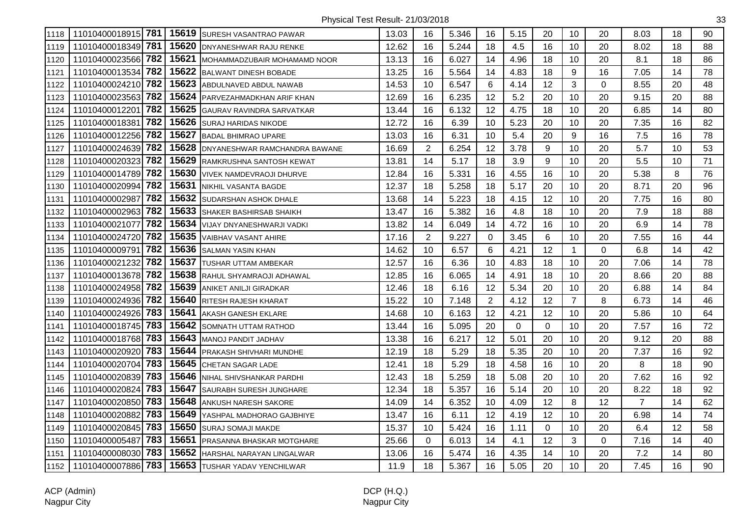| 1118 |                         |       | 11010400018915 781   15619 SURESH VASANTRAO PAWAR | 13.03 | 16             | 5.346 | 16             | 5.15 | 20       | 10             | 20          | 8.03           | 18 | 90 |
|------|-------------------------|-------|---------------------------------------------------|-------|----------------|-------|----------------|------|----------|----------------|-------------|----------------|----|----|
| 1119 | 11010400018349 781      | 15620 | <b>DNYANESHWAR RAJU RENKE</b>                     | 12.62 | 16             | 5.244 | 18             | 4.5  | 16       | 10             | 20          | 8.02           | 18 | 88 |
| 1120 | 11010400023566 782      | 15621 | MOHAMMADZUBAIR MOHAMAMD NOOR                      | 13.13 | 16             | 6.027 | 14             | 4.96 | 18       | 10             | 20          | 8.1            | 18 | 86 |
| 1121 | l 782<br>11010400013534 | 15622 | <b>BALWANT DINESH BOBADE</b>                      | 13.25 | 16             | 5.564 | 14             | 4.83 | 18       | 9              | 16          | 7.05           | 14 | 78 |
| 1122 | 11010400024210 782      | 15623 | <b>ABDULNAVED ABDUL NAWAB</b>                     | 14.53 | 10             | 6.547 | 6              | 4.14 | 12       | 3              | $\Omega$    | 8.55           | 20 | 48 |
| 1123 | 11010400023563 782      |       | 15624 PARVEZAHMADKHAN ARIF KHAN                   | 12.69 | 16             | 6.235 | 12             | 5.2  | 20       | 10             | 20          | 9.15           | 20 | 88 |
| 1124 | 782<br>11010400012201   | 15625 | GAURAV RAVINDRA SARVATKAR                         | 13.44 | 16             | 6.132 | 12             | 4.75 | 18       | 10             | 20          | 6.85           | 14 | 80 |
| 1125 | 782<br>11010400018381   | 15626 | <b>SURAJ HARIDAS NIKODE</b>                       | 12.72 | 16             | 6.39  | 10             | 5.23 | 20       | 10             | 20          | 7.35           | 16 | 82 |
| 1126 | 11010400012256 782      |       | 15627 BADAL BHIMRAO UPARE                         | 13.03 | 16             | 6.31  | 10             | 5.4  | 20       | 9              | 16          | 7.5            | 16 | 78 |
| 1127 | 11010400024639 782      | 15628 | DNYANESHWAR RAMCHANDRA BAWANE                     | 16.69 | $\overline{2}$ | 6.254 | 12             | 3.78 | 9        | 10             | 20          | 5.7            | 10 | 53 |
| 1128 | 782<br>11010400020323   | 15629 | RAMKRUSHNA SANTOSH KEWAT                          | 13.81 | 14             | 5.17  | 18             | 3.9  | 9        | 10             | 20          | 5.5            | 10 | 71 |
| 1129 | 782<br>11010400014789   | 15630 | VIVEK NAMDEVRAOJI DHURVE                          | 12.84 | 16             | 5.331 | 16             | 4.55 | 16       | 10             | 20          | 5.38           | 8  | 76 |
| 1130 | 11010400020994 782      | 15631 | NIKHIL VASANTA BAGDE                              | 12.37 | 18             | 5.258 | 18             | 5.17 | 20       | 10             | 20          | 8.71           | 20 | 96 |
| 1131 | 782<br>11010400002987   | 15632 | <b>SUDARSHAN ASHOK DHALE</b>                      | 13.68 | 14             | 5.223 | 18             | 4.15 | 12       | 10             | 20          | 7.75           | 16 | 80 |
| 1132 | 11010400002963 782      |       | 15633 SHAKER BASHIRSAB SHAIKH                     | 13.47 | 16             | 5.382 | 16             | 4.8  | 18       | 10             | 20          | 7.9            | 18 | 88 |
| 1133 | 782<br>11010400021077   |       | 15634 VIJAY DNYANESHWARJI VADKI                   | 13.82 | 14             | 6.049 | 14             | 4.72 | 16       | 10             | 20          | 6.9            | 14 | 78 |
| 1134 | 11010400024720 782      | 15635 | VAIBHAV VASANT AHIRE                              | 17.16 | $\overline{2}$ | 9.227 | 0              | 3.45 | 6        | 10             | 20          | 7.55           | 16 | 44 |
| 1135 | 782<br>11010400009791   | 15636 | <b>SALMAN YASIN KHAN</b>                          | 14.62 | 10             | 6.57  | 6              | 4.21 | 12       | $\mathbf{1}$   | $\Omega$    | 6.8            | 14 | 42 |
| 1136 | 782<br>11010400021232   | 15637 | TUSHAR UTTAM AMBEKAR                              | 12.57 | 16             | 6.36  | 10             | 4.83 | 18       | 10             | 20          | 7.06           | 14 | 78 |
| 1137 | 11010400013678 782      | 15638 | RAHUL SHYAMRAOJI ADHAWAL                          | 12.85 | 16             | 6.065 | 14             | 4.91 | 18       | 10             | 20          | 8.66           | 20 | 88 |
| 1138 | 11010400024958 782      | 15639 | ANIKET ANILJI GIRADKAR                            | 12.46 | 18             | 6.16  | 12             | 5.34 | 20       | 10             | 20          | 6.88           | 14 | 84 |
| 1139 | 11010400024936 782      | 15640 | RITESH RAJESH KHARAT                              | 15.22 | 10             | 7.148 | $\overline{2}$ | 4.12 | 12       | $\overline{7}$ | 8           | 6.73           | 14 | 46 |
| 1140 | 11010400024926 783      |       | 15641 AKASH GANESH EKLARE                         | 14.68 | 10             | 6.163 | 12             | 4.21 | 12       | 10             | 20          | 5.86           | 10 | 64 |
| 1141 | 11010400018745 783      | 15642 | <b>SOMNATH UTTAM RATHOD</b>                       | 13.44 | 16             | 5.095 | 20             | 0    | 0        | 10             | 20          | 7.57           | 16 | 72 |
| 1142 | 11010400018768 783      | 15643 | MANOJ PANDIT JADHAV                               | 13.38 | 16             | 6.217 | 12             | 5.01 | 20       | 10             | 20          | 9.12           | 20 | 88 |
| 1143 | 783<br>11010400020920   | 15644 | <b>PRAKASH SHIVHARI MUNDHE</b>                    | 12.19 | 18             | 5.29  | 18             | 5.35 | 20       | 10             | 20          | 7.37           | 16 | 92 |
| 1144 | 783<br>11010400020704   | 15645 | CHETAN SAGAR LADE                                 | 12.41 | 18             | 5.29  | 18             | 4.58 | 16       | 10             | 20          | 8              | 18 | 90 |
| 1145 | 783<br>11010400020839   | 15646 | NIHAL SHIVSHANKAR PARDHI                          | 12.43 | 18             | 5.259 | 18             | 5.08 | 20       | 10             | 20          | 7.62           | 16 | 92 |
| 1146 | 11010400020824 783      |       | 15647 SAURABH SURESH JUNGHARE                     | 12.34 | 18             | 5.357 | 16             | 5.14 | 20       | 10             | 20          | 8.22           | 18 | 92 |
| 1147 | 11010400020850 783      | 15648 | <b>ANKUSH NARESH SAKORE</b>                       | 14.09 | 14             | 6.352 | 10             | 4.09 | 12       | 8              | 12          | $\overline{7}$ | 14 | 62 |
| 1148 | 783<br>11010400020882   | 15649 | YASHPAL MADHORAO GAJBHIYE                         | 13.47 | 16             | 6.11  | 12             | 4.19 | 12       | 10             | 20          | 6.98           | 14 | 74 |
| 1149 | 11010400020845 783      | 15650 | SURAJ SOMAJI MAKDE                                | 15.37 | 10             | 5.424 | 16             | 1.11 | $\Omega$ | 10             | 20          | 6.4            | 12 | 58 |
| 1150 | 783<br>11010400005487   |       | 15651 PRASANNA BHASKAR MOTGHARE                   | 25.66 | 0              | 6.013 | 14             | 4.1  | 12       | 3              | $\mathbf 0$ | 7.16           | 14 | 40 |
| 1151 | 11010400008030 783      | 15652 | HARSHAL NARAYAN LINGALWAR                         | 13.06 | 16             | 5.474 | 16             | 4.35 | 14       | 10             | 20          | 7.2            | 14 | 80 |
| 1152 | 11010400007886 783      | 15653 | TUSHAR YADAV YENCHILWAR                           | 11.9  | 18             | 5.367 | 16             | 5.05 | 20       | 10             | 20          | 7.45           | 16 | 90 |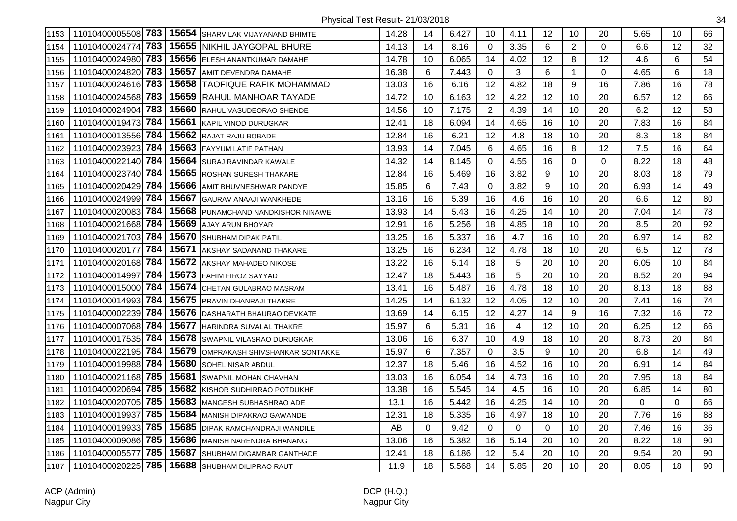| 1153 | 11010400005508 783    |       | 15654 SHARVILAK VIJAYANAND BHIMTE    | 14.28 | 14 | 6.427 | 10             | 4.11     | 12       | 10             | 20          | 5.65        | 10          | 66 |
|------|-----------------------|-------|--------------------------------------|-------|----|-------|----------------|----------|----------|----------------|-------------|-------------|-------------|----|
| 1154 | 783<br>11010400024774 | 15655 | INIKHIL JAYGOPAL BHURE               | 14.13 | 14 | 8.16  | 0              | 3.35     | 6        | $\overline{2}$ | $\Omega$    | 6.6         | 12          | 32 |
| 1155 | 783<br>11010400024980 |       | 15656 ELESH ANANTKUMAR DAMAHE        | 14.78 | 10 | 6.065 | 14             | 4.02     | 12       | 8              | 12          | 4.6         | 6           | 54 |
| 1156 | 783<br>11010400024820 |       | 15657 AMIT DEVENDRA DAMAHE           | 16.38 | 6  | 7.443 | 0              | 3        | 6        | $\overline{1}$ | $\Omega$    | 4.65        | 6           | 18 |
| 1157 | 11010400024616 783    |       | <b>15658 TAOFIQUE RAFIK MOHAMMAD</b> | 13.03 | 16 | 6.16  | 12             | 4.82     | 18       | 9              | 16          | 7.86        | 16          | 78 |
| 1158 | 11010400024568 783    | 15659 | <b>RAHUL MANHOAR TAYADE</b>          | 14.72 | 10 | 6.163 | 12             | 4.22     | 12       | 10             | 20          | 6.57        | 12          | 66 |
| 1159 | 783<br>11010400024904 | 15660 | RAHUL VASUDEORAO SHENDE              | 14.56 | 10 | 7.175 | $\overline{2}$ | 4.39     | 14       | 10             | 20          | 6.2         | 12          | 58 |
| 1160 | 11010400019473 784    | 15661 | KAPIL VINOD DURUGKAR                 | 12.41 | 18 | 6.094 | 14             | 4.65     | 16       | 10             | 20          | 7.83        | 16          | 84 |
| 1161 | 784<br>11010400013556 | 15662 | RAJAT RAJU BOBADE                    | 12.84 | 16 | 6.21  | 12             | 4.8      | 18       | 10             | 20          | 8.3         | 18          | 84 |
| 1162 | 784<br>11010400023923 | 15663 | <b>FAYYUM LATIF PATHAN</b>           | 13.93 | 14 | 7.045 | 6              | 4.65     | 16       | 8              | 12          | 7.5         | 16          | 64 |
| 1163 | 784<br>11010400022140 | 15664 | SURAJ RAVINDAR KAWALE                | 14.32 | 14 | 8.145 | $\Omega$       | 4.55     | 16       | $\overline{0}$ | $\mathbf 0$ | 8.22        | 18          | 48 |
| 1164 | 784<br>11010400023740 | 15665 | <b>ROSHAN SURESH THAKARE</b>         | 12.84 | 16 | 5.469 | 16             | 3.82     | 9        | 10             | 20          | 8.03        | 18          | 79 |
| 1165 | 784<br>11010400020429 | 15666 | <b>IAMIT BHUVNESHWAR PANDYE</b>      | 15.85 | 6  | 7.43  | 0              | 3.82     | 9        | 10             | 20          | 6.93        | 14          | 49 |
| 1166 | 784<br>11010400024999 | 15667 | <b>GAURAV ANAAJI WANKHEDE</b>        | 13.16 | 16 | 5.39  | 16             | 4.6      | 16       | 10             | 20          | 6.6         | 12          | 80 |
| 1167 | 11010400020083 784    | 15668 | PUNAMCHAND NANDKISHOR NINAWE         | 13.93 | 14 | 5.43  | 16             | 4.25     | 14       | 10             | 20          | 7.04        | 14          | 78 |
| 1168 | 784<br>11010400021668 | 15669 | AJAY ARUN BHOYAR                     | 12.91 | 16 | 5.256 | 18             | 4.85     | 18       | 10             | 20          | 8.5         | 20          | 92 |
| 1169 | 784<br>11010400021703 | 15670 | <b>SHUBHAM DIPAK PATIL</b>           | 13.25 | 16 | 5.337 | 16             | 4.7      | 16       | 10             | 20          | 6.97        | 14          | 82 |
| 1170 | 784<br>11010400020177 | 15671 | AKSHAY SADANAND THAKARE              | 13.25 | 16 | 6.234 | 12             | 4.78     | 18       | 10             | 20          | 6.5         | 12          | 78 |
| 1171 | 784<br>11010400020168 | 15672 | AKSHAY MAHADEO NIKOSE                | 13.22 | 16 | 5.14  | 18             | 5        | 20       | 10             | 20          | 6.05        | 10          | 84 |
| 1172 | 784<br>11010400014997 |       | 15673 FAHIM FIROZ SAYYAD             | 12.47 | 18 | 5.443 | 16             | 5        | 20       | 10             | 20          | 8.52        | 20          | 94 |
| 1173 | 11010400015000 784    | 15674 | ICHETAN GULABRAO MASRAM              | 13.41 | 16 | 5.487 | 16             | 4.78     | 18       | 10             | 20          | 8.13        | 18          | 88 |
| 1174 | 784<br>11010400014993 | 15675 | <b>PRAVIN DHANRAJI THAKRE</b>        | 14.25 | 14 | 6.132 | 12             | 4.05     | 12       | 10             | 20          | 7.41        | 16          | 74 |
| 1175 | 784<br>11010400002239 | 15676 | DASHARATH BHAURAO DEVKATE            | 13.69 | 14 | 6.15  | 12             | 4.27     | 14       | 9              | 16          | 7.32        | 16          | 72 |
| 1176 | 11010400007068 784    | 15677 | HARINDRA SUVALAL THAKRE              | 15.97 | 6  | 5.31  | 16             | 4        | 12       | 10             | 20          | 6.25        | 12          | 66 |
| 1177 | 784<br>11010400017535 | 15678 | SWAPNIL VILASRAO DURUGKAR            | 13.06 | 16 | 6.37  | 10             | 4.9      | 18       | 10             | 20          | 8.73        | 20          | 84 |
| 1178 | 784<br>11010400022195 | 15679 | OMPRAKASH SHIVSHANKAR SONTAKKE       | 15.97 | 6  | 7.357 | 0              | 3.5      | 9        | 10             | 20          | 6.8         | 14          | 49 |
| 1179 | 784<br>11010400019988 | 15680 | SOHEL NISAR ABDUL                    | 12.37 | 18 | 5.46  | 16             | 4.52     | 16       | 10             | 20          | 6.91        | 14          | 84 |
| 1180 | 785<br>11010400021168 | 15681 | <b>SWAPNIL MOHAN CHAVHAN</b>         | 13.03 | 16 | 6.054 | 14             | 4.73     | 16       | 10             | 20          | 7.95        | 18          | 84 |
| 1181 | 785<br>11010400020694 | 15682 | KISHOR SUDHIRRAO POTDUKHE            | 13.38 | 16 | 5.545 | 14             | 4.5      | 16       | 10             | 20          | 6.85        | 14          | 80 |
| 1182 | 11010400020705 785    | 15683 | MANGESH SUBHASHRAO ADE               | 13.1  | 16 | 5.442 | 16             | 4.25     | 14       | 10             | 20          | $\mathbf 0$ | $\mathbf 0$ | 66 |
| 1183 | 785<br>11010400019937 | 15684 | <b>MANISH DIPAKRAO GAWANDE</b>       | 12.31 | 18 | 5.335 | 16             | 4.97     | 18       | 10             | 20          | 7.76        | 16          | 88 |
| 1184 | 785<br>11010400019933 | 15685 | DIPAK RAMCHANDRAJI WANDILE           | AB    | 0  | 9.42  | $\Omega$       | $\Omega$ | $\Omega$ | 10             | 20          | 7.46        | 16          | 36 |
| 1185 | 785<br>11010400009086 | 15686 | MANISH NARENDRA BHANANG              | 13.06 | 16 | 5.382 | 16             | 5.14     | 20       | 10             | 20          | 8.22        | 18          | 90 |
| 1186 | 785<br>11010400005577 | 15687 | SHUBHAM DIGAMBAR GANTHADE            | 12.41 | 18 | 6.186 | 12             | 5.4      | 20       | 10             | 20          | 9.54        | 20          | 90 |
| 1187 | 785<br>11010400020225 | 15688 | SHUBHAM DILIPRAO RAUT                | 11.9  | 18 | 5.568 | 14             | 5.85     | 20       | 10             | 20          | 8.05        | 18          | 90 |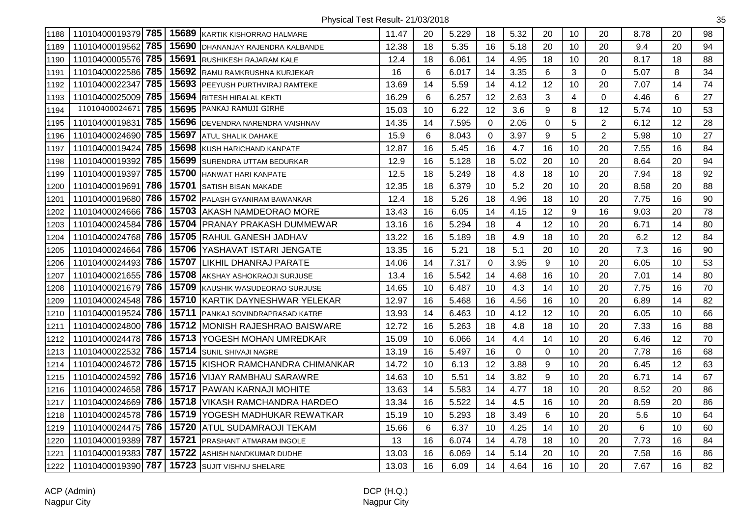| 1188 | 11010400019379 785    | 15689 | <b>KARTIK KISHORRAO HALMARE</b>          | 11.47 | 20 | 5.229 | 18       | 5.32 | 20          | 10               | 20             | 8.78 | 20 | 98 |
|------|-----------------------|-------|------------------------------------------|-------|----|-------|----------|------|-------------|------------------|----------------|------|----|----|
| 1189 | 785<br>11010400019562 | 15690 | DHANANJAY RAJENDRA KALBANDE              | 12.38 | 18 | 5.35  | 16       | 5.18 | 20          | 10               | 20             | 9.4  | 20 | 94 |
| 1190 | 785<br>11010400005576 | 15691 | RUSHIKESH RAJARAM KALE                   | 12.4  | 18 | 6.061 | 14       | 4.95 | 18          | 10               | 20             | 8.17 | 18 | 88 |
| 1191 | 11010400022586 785    | 15692 | RAMU RAMKRUSHNA KURJEKAR                 | 16    | 6  | 6.017 | 14       | 3.35 | 6           | 3                | 0              | 5.07 | 8  | 34 |
| 1192 | 11010400022347 785    | 15693 | <b>PEEYUSH PURTHVIRAJ RAMTEKE</b>        | 13.69 | 14 | 5.59  | 14       | 4.12 | 12          | 10               | 20             | 7.07 | 14 | 74 |
| 1193 | 11010400025009 785    | 15694 | RITESH HIRALAL KEKTI                     | 16.29 | 6  | 6.257 | 12       | 2.63 | 3           | 4                | $\Omega$       | 4.46 | 6  | 27 |
| 1194 | 11010400024671<br>785 | 15695 | PANKAJ RAMUJI GIRHE                      | 15.03 | 10 | 6.22  | 12       | 3.6  | 9           | 8                | 12             | 5.74 | 10 | 53 |
| 1195 | 785<br>11010400019831 | 15696 | DEVENDRA NARENDRA VAISHNAV               | 14.35 | 14 | 7.595 | 0        | 2.05 | $\mathbf 0$ | 5                | $\overline{2}$ | 6.12 | 12 | 28 |
| 1196 | 11010400024690 785    | 15697 | <b>ATUL SHALIK DAHAKE</b>                | 15.9  | 6  | 8.043 | $\Omega$ | 3.97 | 9           | 5                | $\overline{2}$ | 5.98 | 10 | 27 |
| 1197 | 785<br>11010400019424 | 15698 | KUSH HARICHAND KANPATE                   | 12.87 | 16 | 5.45  | 16       | 4.7  | 16          | 10               | 20             | 7.55 | 16 | 84 |
| 1198 | 785<br>11010400019392 | 15699 | SURENDRA UTTAM BEDURKAR                  | 12.9  | 16 | 5.128 | 18       | 5.02 | 20          | 10               | 20             | 8.64 | 20 | 94 |
| 1199 | 785<br>11010400019397 | 15700 | <b>HANWAT HARI KANPATE</b>               | 12.5  | 18 | 5.249 | 18       | 4.8  | 18          | 10               | 20             | 7.94 | 18 | 92 |
| 1200 | 11010400019691 786    | 15701 | <b>SATISH BISAN MAKADE</b>               | 12.35 | 18 | 6.379 | 10       | 5.2  | 20          | 10               | 20             | 8.58 | 20 | 88 |
| 1201 | 11010400019680 786    | 15702 | <b>PALASH GYANIRAM BAWANKAR</b>          | 12.4  | 18 | 5.26  | 18       | 4.96 | 18          | 10               | 20             | 7.75 | 16 | 90 |
| 1202 | 11010400024666 786    | 15703 | IAKASH NAMDEORAO MORE                    | 13.43 | 16 | 6.05  | 14       | 4.15 | 12          | $\boldsymbol{9}$ | 16             | 9.03 | 20 | 78 |
| 1203 | 786<br>11010400024584 | 15704 | <b>PRANAY PRAKASH DUMMEWAR</b>           | 13.16 | 16 | 5.294 | 18       | 4    | 12          | 10               | 20             | 6.71 | 14 | 80 |
| 1204 | 11010400024768 786    | 15705 | IRAHUL GANESH JADHAV                     | 13.22 | 16 | 5.189 | 18       | 4.9  | 18          | 10               | 20             | 6.2  | 12 | 84 |
| 1205 | 786<br>11010400024664 | 15706 | YASHAVAT ISTARI JENGATE                  | 13.35 | 16 | 5.21  | 18       | 5.1  | 20          | 10               | 20             | 7.3  | 16 | 90 |
| 1206 | 786<br>11010400024493 | 15707 | LIKHIL DHANRAJ PARATE                    | 14.06 | 14 | 7.317 | $\Omega$ | 3.95 | 9           | 10               | 20             | 6.05 | 10 | 53 |
| 1207 | 11010400021655 786    | 15708 | AKSHAY ASHOKRAOJI SURJUSE                | 13.4  | 16 | 5.542 | 14       | 4.68 | 16          | 10               | 20             | 7.01 | 14 | 80 |
| 1208 | 11010400021679 786    |       | 15709 KAUSHIK WASUDEORAO SURJUSE         | 14.65 | 10 | 6.487 | 10       | 4.3  | 14          | 10               | 20             | 7.75 | 16 | 70 |
| 1209 | 11010400024548 786    | 15710 | IKARTIK DAYNESHWAR YELEKAR               | 12.97 | 16 | 5.468 | 16       | 4.56 | 16          | 10               | 20             | 6.89 | 14 | 82 |
| 1210 | 786<br>11010400019524 |       | 15711 PANKAJ SOVINDRAPRASAD KATRE        | 13.93 | 14 | 6.463 | 10       | 4.12 | 12          | 10               | 20             | 6.05 | 10 | 66 |
| 1211 | 11010400024800 786    |       | 15712 MONISH RAJESHRAO BAISWARE          | 12.72 | 16 | 5.263 | 18       | 4.8  | 18          | 10               | 20             | 7.33 | 16 | 88 |
| 1212 | 786<br>11010400024478 | 15713 | YOGESH MOHAN UMREDKAR                    | 15.09 | 10 | 6.066 | 14       | 4.4  | 14          | 10               | 20             | 6.46 | 12 | 70 |
| 1213 | 786<br>11010400022532 | 15714 | <b>SUNIL SHIVAJI NAGRE</b>               | 13.19 | 16 | 5.497 | 16       | 0    | $\Omega$    | 10               | 20             | 7.78 | 16 | 68 |
| 1214 | 786<br>11010400024672 |       | <b>15715 KISHOR RAMCHANDRA CHIMANKAR</b> | 14.72 | 10 | 6.13  | 12       | 3.88 | 9           | 10               | 20             | 6.45 | 12 | 63 |
| 1215 | 786<br>11010400024592 |       | 15716 VIJAY RAMBHAU SARAWRE              | 14.63 | 10 | 5.51  | 14       | 3.82 | 9           | 10               | 20             | 6.71 | 14 | 67 |
| 1216 | 11010400024658 786    |       | 15717   PAWAN KARNAJI MOHITE             | 13.63 | 14 | 5.583 | 14       | 4.77 | 18          | 10               | 20             | 8.52 | 20 | 86 |
| 1217 | 11010400024669 786    |       | 15718   VIKASH RAMCHANDRA HARDEO         | 13.34 | 16 | 5.522 | 14       | 4.5  | 16          | 10               | 20             | 8.59 | 20 | 86 |
| 1218 | 11010400024578 786    | 15719 | <b>YOGESH MADHUKAR REWATKAR</b>          | 15.19 | 10 | 5.293 | 18       | 3.49 | 6           | 10               | 20             | 5.6  | 10 | 64 |
| 1219 | 11010400024475 786    | 15720 | <b>ATUL SUDAMRAOJI TEKAM</b>             | 15.66 | 6  | 6.37  | 10       | 4.25 | 14          | 10               | 20             | 6    | 10 | 60 |
| 1220 | 787<br>11010400019389 | 15721 | PRASHANT ATMARAM INGOLE                  | 13    | 16 | 6.074 | 14       | 4.78 | 18          | 10               | 20             | 7.73 | 16 | 84 |
| 1221 | 787<br>11010400019383 | 15722 | ASHISH NANDKUMAR DUDHE                   | 13.03 | 16 | 6.069 | 14       | 5.14 | 20          | 10               | 20             | 7.58 | 16 | 86 |
| 1222 | 11010400019390 787    | 15723 | <b>SUJIT VISHNU SHELARE</b>              | 13.03 | 16 | 6.09  | 14       | 4.64 | 16          | 10               | 20             | 7.67 | 16 | 82 |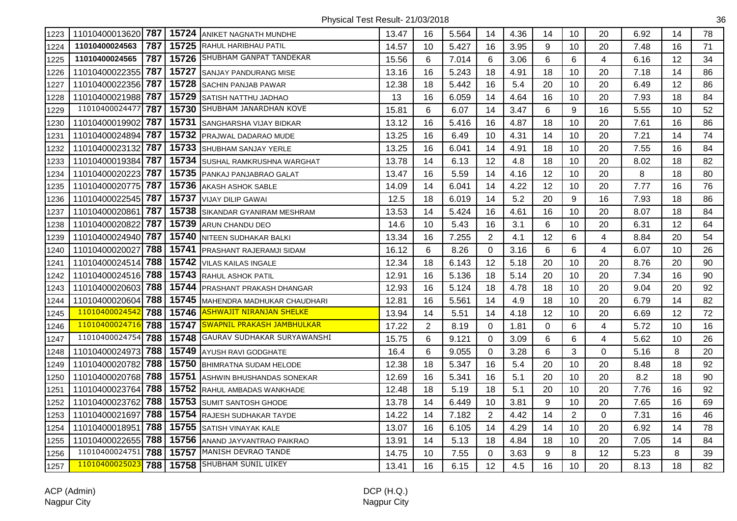| 1223 |                    |     |       | 11010400013620 787   15724 ANIKET NAGNATH MUNDHE | 13.47 | 16             | 5.564 | 14             | 4.36 | 14 | 10             | 20       | 6.92 | 14 | 78 |
|------|--------------------|-----|-------|--------------------------------------------------|-------|----------------|-------|----------------|------|----|----------------|----------|------|----|----|
| 1224 | 11010400024563     | 787 |       | 15725 RAHUL HARIBHAU PATIL                       | 14.57 | 10             | 5.427 | 16             | 3.95 | 9  | 10             | 20       | 7.48 | 16 | 71 |
| 1225 | 11010400024565     | 787 |       | 15726 SHUBHAM GANPAT TANDEKAR                    | 15.56 | 6              | 7.014 | 6              | 3.06 | 6  | 6              | 4        | 6.16 | 12 | 34 |
| 1226 | 11010400022355     | 787 | 15727 | <b>SANJAY PANDURANG MISE</b>                     | 13.16 | 16             | 5.243 | 18             | 4.91 | 18 | 10             | 20       | 7.18 | 14 | 86 |
| 1227 | 11010400022356     | 787 | 15728 | <b>SACHIN PANJAB PAWAR</b>                       | 12.38 | 18             | 5.442 | 16             | 5.4  | 20 | 10             | 20       | 6.49 | 12 | 86 |
| 1228 | 11010400021988 787 |     | 15729 | <b>SATISH NATTHU JADHAO</b>                      | 13    | 16             | 6.059 | 14             | 4.64 | 16 | 10             | 20       | 7.93 | 18 | 84 |
| 1229 | 11010400024477     | 787 |       | 15730 SHUBHAM JANARDHAN KOVE                     | 15.81 | 6              | 6.07  | 14             | 3.47 | 6  | 9              | 16       | 5.55 | 10 | 52 |
| 1230 | 11010400019902     | 787 |       | 15731 SANGHARSHA VIJAY BIDKAR                    | 13.12 | 16             | 5.416 | 16             | 4.87 | 18 | 10             | 20       | 7.61 | 16 | 86 |
| 1231 | 11010400024894     | 787 | 15732 | PRAJWAL DADARAO MUDE                             | 13.25 | 16             | 6.49  | 10             | 4.31 | 14 | 10             | 20       | 7.21 | 14 | 74 |
| 1232 | 11010400023132     | 787 | 15733 | <b>SHUBHAM SANJAY YERLE</b>                      | 13.25 | 16             | 6.041 | 14             | 4.91 | 18 | 10             | 20       | 7.55 | 16 | 84 |
| 1233 | 11010400019384     | 787 | 15734 | <b>SUSHAL RAMKRUSHNA WARGHAT</b>                 | 13.78 | 14             | 6.13  | 12             | 4.8  | 18 | 10             | 20       | 8.02 | 18 | 82 |
| 1234 | 11010400020223     | 787 | 15735 | PANKAJ PANJABRAO GALAT                           | 13.47 | 16             | 5.59  | 14             | 4.16 | 12 | 10             | 20       | 8    | 18 | 80 |
| 1235 | 11010400020775 787 |     |       | 15736 AKASH ASHOK SABLE                          | 14.09 | 14             | 6.041 | 14             | 4.22 | 12 | 10             | 20       | 7.77 | 16 | 76 |
| 1236 | 11010400022545 787 |     |       | 15737 VIJAY DILIP GAWAI                          | 12.5  | 18             | 6.019 | 14             | 5.2  | 20 | 9              | 16       | 7.93 | 18 | 86 |
| 1237 | 11010400020861     | 787 | 15738 | <b>SIKANDAR GYANIRAM MESHRAM</b>                 | 13.53 | 14             | 5.424 | 16             | 4.61 | 16 | 10             | 20       | 8.07 | 18 | 84 |
| 1238 | 11010400020822     | 787 | 15739 | ARUN CHANDU DEO                                  | 14.6  | 10             | 5.43  | 16             | 3.1  | 6  | 10             | 20       | 6.31 | 12 | 64 |
| 1239 | 11010400024940 787 |     | 15740 | <b>NITEEN SUDHAKAR BALKI</b>                     | 13.34 | 16             | 7.255 | $\overline{2}$ | 4.1  | 12 | 6              | 4        | 8.84 | 20 | 54 |
| 1240 | 11010400020027     | 788 | 15741 | PRASHANT RAJERAMJI SIDAM                         | 16.12 | 6              | 8.26  | $\Omega$       | 3.16 | 6  | 6              | 4        | 6.07 | 10 | 26 |
| 1241 | 11010400024514     | 788 |       | 15742 VILAS KAILAS INGALE                        | 12.34 | 18             | 6.143 | 12             | 5.18 | 20 | 10             | 20       | 8.76 | 20 | 90 |
| 1242 | 11010400024516 788 |     | 15743 | <b>RAHUL ASHOK PATIL</b>                         | 12.91 | 16             | 5.136 | 18             | 5.14 | 20 | 10             | 20       | 7.34 | 16 | 90 |
| 1243 | 11010400020603     | 788 |       | 15744 PRASHANT PRAKASH DHANGAR                   | 12.93 | 16             | 5.124 | 18             | 4.78 | 18 | 10             | 20       | 9.04 | 20 | 92 |
| 1244 | 11010400020604     | 788 | 15745 | MAHENDRA MADHUKAR CHAUDHARI                      | 12.81 | 16             | 5.561 | 14             | 4.9  | 18 | 10             | 20       | 6.79 | 14 | 82 |
| 1245 | 11010400024542     | 788 |       | 15746 ASHWAJIT NIRANJAN SHELKE                   | 13.94 | 14             | 5.51  | 14             | 4.18 | 12 | 10             | 20       | 6.69 | 12 | 72 |
| 1246 | 11010400024716     | 788 |       | 15747 SWAPNIL PRAKASH JAMBHULKAR                 | 17.22 | $\overline{2}$ | 8.19  | 0              | 1.81 | 0  | 6              | 4        | 5.72 | 10 | 16 |
| 1247 | 11010400024754     | 788 | 15748 | GAURAV SUDHAKAR SURYAWANSHI                      | 15.75 | 6              | 9.121 | 0              | 3.09 | 6  | 6              | 4        | 5.62 | 10 | 26 |
| 1248 | 11010400024973     | 788 | 15749 | <b>AYUSH RAVI GODGHATE</b>                       | 16.4  | 6              | 9.055 | 0              | 3.28 | 6  | 3              | 0        | 5.16 | 8  | 20 |
| 1249 | 11010400020782     | 788 |       | 15750 BHIMRATNA SUDAM HELODE                     | 12.38 | 18             | 5.347 | 16             | 5.4  | 20 | 10             | 20       | 8.48 | 18 | 92 |
| 1250 | 11010400020768 788 |     |       | 15751 ASHWIN BHUSHANDAS SONEKAR                  | 12.69 | 16             | 5.341 | 16             | 5.1  | 20 | 10             | 20       | 8.2  | 18 | 90 |
| 1251 | 11010400023764 788 |     |       | 15752 RAHUL AMBADAS WANKHADE                     | 12.48 | 18             | 5.19  | 18             | 5.1  | 20 | 10             | 20       | 7.76 | 16 | 92 |
| 1252 | 11010400023762     | 788 |       | 15753 SUMIT SANTOSH GHODE                        | 13.78 | 14             | 6.449 | 10             | 3.81 | 9  | 10             | 20       | 7.65 | 16 | 69 |
| 1253 | 11010400021697     | 788 | 15754 | RAJESH SUDHAKAR TAYDE                            | 14.22 | 14             | 7.182 | $\overline{2}$ | 4.42 | 14 | $\overline{2}$ | $\Omega$ | 7.31 | 16 | 46 |
| 1254 | 11010400018951     | 788 | 15755 | <b>SATISH VINAYAK KALE</b>                       | 13.07 | 16             | 6.105 | 14             | 4.29 | 14 | 10             | 20       | 6.92 | 14 | 78 |
| 1255 | 11010400022655     | 788 | 15756 | ANAND JAYVANTRAO PAIKRAO                         | 13.91 | 14             | 5.13  | 18             | 4.84 | 18 | 10             | 20       | 7.05 | 14 | 84 |
| 1256 | 11010400024751     | 788 |       | 15757 MANISH DEVRAO TANDE                        | 14.75 | 10             | 7.55  | $\Omega$       | 3.63 | 9  | 8              | 12       | 5.23 | 8  | 39 |
| 1257 | 11010400025023     | 788 |       | 15758 SHUBHAM SUNIL UIKEY                        | 13.41 | 16             | 6.15  | 12             | 4.5  | 16 | 10             | 20       | 8.13 | 18 | 82 |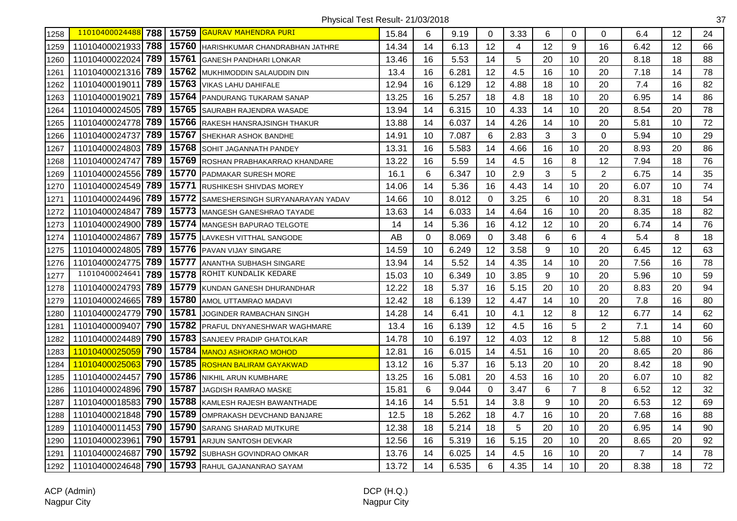| 1258 | 11010400024488     | 788 | 15759 | <b>GAURAV MAHENDRA PURI</b>        | 15.84 | 6           | 9.19  | $\mathbf 0$ | 3.33 | 6  | 0              | $\Omega$       | 6.4            | 12 | 24 |
|------|--------------------|-----|-------|------------------------------------|-------|-------------|-------|-------------|------|----|----------------|----------------|----------------|----|----|
| 1259 | 11010400021933     | 788 | 15760 | HARISHKUMAR CHANDRABHAN JATHRE     | 14.34 | 14          | 6.13  | 12          | 4    | 12 | 9              | 16             | 6.42           | 12 | 66 |
| 1260 | 11010400022024     | 789 | 15761 | <b>GANESH PANDHARI LONKAR</b>      | 13.46 | 16          | 5.53  | 14          | 5    | 20 | 10             | 20             | 8.18           | 18 | 88 |
| 1261 | 11010400021316 789 |     | 15762 | MUKHIMODDIN SALAUDDIN DIN          | 13.4  | 16          | 6.281 | 12          | 4.5  | 16 | 10             | 20             | 7.18           | 14 | 78 |
| 1262 | 11010400019011     | 789 | 15763 | VIKAS LAHU DAHIFALE                | 12.94 | 16          | 6.129 | 12          | 4.88 | 18 | 10             | 20             | 7.4            | 16 | 82 |
| 1263 | 1101040001902      | 789 | 15764 | PANDURANG TUKARAM SANAP            | 13.25 | 16          | 5.257 | 18          | 4.8  | 18 | 10             | 20             | 6.95           | 14 | 86 |
| 1264 | 11010400024505 789 |     | 15765 | SAURABH RAJENDRA WASADE            | 13.94 | 14          | 6.315 | 10          | 4.33 | 14 | 10             | 20             | 8.54           | 20 | 78 |
| 1265 | 11010400024778 789 |     | 15766 | RAKESH HANSRAJSINGH THAKUR         | 13.88 | 14          | 6.037 | 14          | 4.26 | 14 | 10             | 20             | 5.81           | 10 | 72 |
| 1266 | 11010400024737     | 789 | 15767 | SHEKHAR ASHOK BANDHE               | 14.91 | 10          | 7.087 | 6           | 2.83 | 3  | 3              | $\overline{0}$ | 5.94           | 10 | 29 |
| 1267 | 11010400024803     | 789 | 15768 | SOHIT JAGANNATH PANDEY             | 13.31 | 16          | 5.583 | 14          | 4.66 | 16 | 10             | 20             | 8.93           | 20 | 86 |
| 1268 | 11010400024747     | 789 | 15769 | ROSHAN PRABHAKARRAO KHANDARE       | 13.22 | 16          | 5.59  | 14          | 4.5  | 16 | 8              | 12             | 7.94           | 18 | 76 |
| 1269 | 11010400024556     | 789 | 15770 | PADMAKAR SURESH MORE               | 16.1  | 6           | 6.347 | 10          | 2.9  | 3  | 5              | $\overline{2}$ | 6.75           | 14 | 35 |
| 1270 | 11010400024549     | 789 | 15771 | RUSHIKESH SHIVDAS MOREY            | 14.06 | 14          | 5.36  | 16          | 4.43 | 14 | 10             | 20             | 6.07           | 10 | 74 |
| 1271 | 11010400024496 789 |     | 15772 | SAMESHERSINGH SURYANARAYAN YADAV   | 14.66 | 10          | 8.012 | 0           | 3.25 | 6  | 10             | 20             | 8.31           | 18 | 54 |
| 1272 | 11010400024847     | 789 | 15773 | <b>MANGESH GANESHRAO TAYADE</b>    | 13.63 | 14          | 6.033 | 14          | 4.64 | 16 | 10             | 20             | 8.35           | 18 | 82 |
| 1273 | 11010400024900 789 |     | 15774 | MANGESH BAPURAO TELGOTE            | 14    | 14          | 5.36  | 16          | 4.12 | 12 | 10             | 20             | 6.74           | 14 | 76 |
| 1274 | 11010400024867     | 789 | 15775 | LAVKESH VITTHAL SANGODE            | AB    | $\mathbf 0$ | 8.069 | $\mathbf 0$ | 3.48 | 6  | 6              | $\overline{4}$ | 5.4            | 8  | 18 |
| 1275 | 11010400024805     | 789 | 15776 | PAVAN VIJAY SINGARE                | 14.59 | 10          | 6.249 | 12          | 3.58 | 9  | 10             | 20             | 6.45           | 12 | 63 |
| 1276 | 11010400024775     | 789 | 15777 | ANANTHA SUBHASH SINGARE            | 13.94 | 14          | 5.52  | 14          | 4.35 | 14 | 10             | 20             | 7.56           | 16 | 78 |
| 1277 | 11010400024641     | 789 | 15778 | ROHIT KUNDALIK KEDARE              | 15.03 | 10          | 6.349 | 10          | 3.85 | 9  | 10             | 20             | 5.96           | 10 | 59 |
| 1278 | 11010400024793     | 789 | 15779 | KUNDAN GANESH DHURANDHAR           | 12.22 | 18          | 5.37  | 16          | 5.15 | 20 | 10             | 20             | 8.83           | 20 | 94 |
| 1279 | 11010400024665 789 |     | 15780 | AMOL UTTAMRAO MADAVI               | 12.42 | 18          | 6.139 | 12          | 4.47 | 14 | 10             | 20             | 7.8            | 16 | 80 |
| 1280 | 11010400024779 790 |     | 15781 | JOGINDER RAMBACHAN SINGH           | 14.28 | 14          | 6.41  | 10          | 4.1  | 12 | 8              | 12             | 6.77           | 14 | 62 |
| 1281 | 11010400009407     | 790 | 15782 | <b>PRAFUL DNYANESHWAR WAGHMARE</b> | 13.4  | 16          | 6.139 | 12          | 4.5  | 16 | 5              | $\overline{2}$ | 7.1            | 14 | 60 |
| 1282 | 11010400024489     | 790 | 15783 | SANJEEV PRADIP GHATOLKAR           | 14.78 | 10          | 6.197 | 12          | 4.03 | 12 | 8              | 12             | 5.88           | 10 | 56 |
| 1283 | 11010400025059     | 790 | 15784 | MANOJ ASHOKRAO MOHOD               | 12.81 | 16          | 6.015 | 14          | 4.51 | 16 | 10             | 20             | 8.65           | 20 | 86 |
| 1284 | 1101040002506      | 790 | 15785 | ROSHAN BALIRAM GAYAKWAD            | 13.12 | 16          | 5.37  | 16          | 5.13 | 20 | 10             | 20             | 8.42           | 18 | 90 |
| 1285 | 11010400024457     | 790 | 15786 | NIKHIL ARUN KUMBHARE               | 13.25 | 16          | 5.081 | 20          | 4.53 | 16 | 10             | 20             | 6.07           | 10 | 82 |
| 1286 | 11010400024896     | 790 | 15787 | JAGDISH RAMRAO MASKE               | 15.81 | 6           | 9.044 | 0           | 3.47 | 6  | $\overline{7}$ | 8              | 6.52           | 12 | 32 |
| 1287 | 11010400018583     | 790 | 15788 | KAMLESH RAJESH BAWANTHADE          | 14.16 | 14          | 5.51  | 14          | 3.8  | 9  | 10             | 20             | 6.53           | 12 | 69 |
| 1288 | 11010400021848 790 |     | 15789 | OMPRAKASH DEVCHAND BANJARE         | 12.5  | 18          | 5.262 | 18          | 4.7  | 16 | 10             | 20             | 7.68           | 16 | 88 |
| 1289 | 11010400011453 790 |     | 15790 | SARANG SHARAD MUTKURE              | 12.38 | 18          | 5.214 | 18          | 5    | 20 | 10             | 20             | 6.95           | 14 | 90 |
| 1290 | 11010400023961     | 790 | 15791 | ARJUN SANTOSH DEVKAR               | 12.56 | 16          | 5.319 | 16          | 5.15 | 20 | 10             | 20             | 8.65           | 20 | 92 |
| 1291 | 11010400024687     | 790 | 15792 | SUBHASH GOVINDRAO OMKAR            | 13.76 | 14          | 6.025 | 14          | 4.5  | 16 | 10             | 20             | $\overline{7}$ | 14 | 78 |
| 1292 | 11010400024648     | 790 | 15793 | RAHUL GAJANANRAO SAYAM             | 13.72 | 14          | 6.535 | 6           | 4.35 | 14 | 10             | 20             | 8.38           | 18 | 72 |